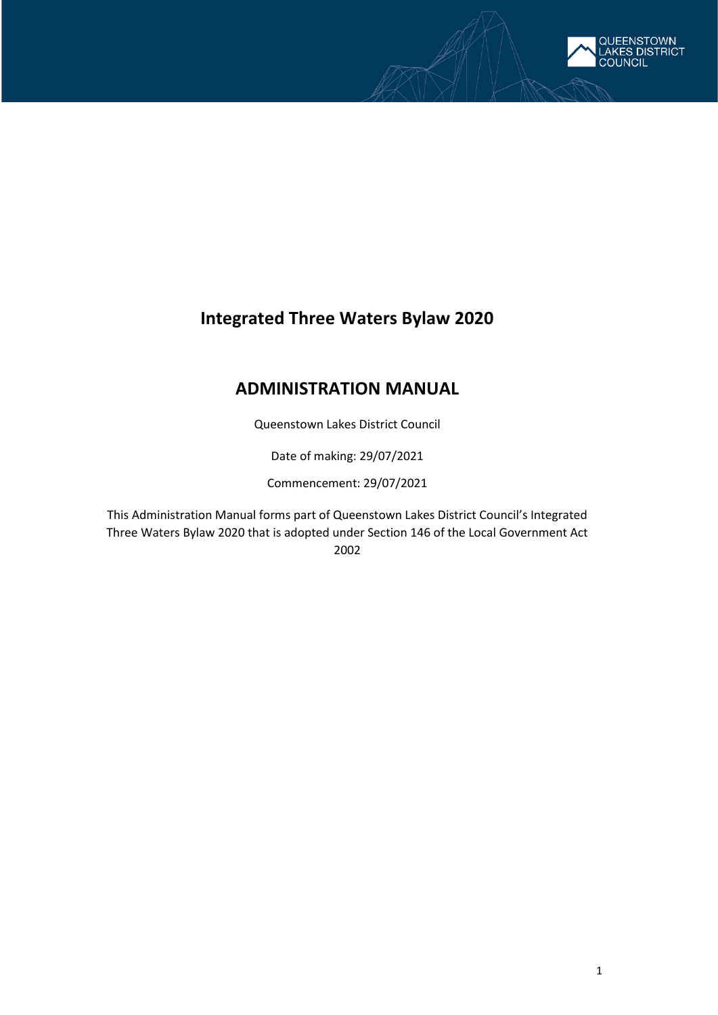

# **Integrated Three Waters Bylaw 2020**

# **ADMINISTRATION MANUAL**

Queenstown Lakes District Council

Date of making: 29/07/2021

Commencement: 29/07/2021

This Administration Manual forms part of Queenstown Lakes District Council's Integrated Three Waters Bylaw 2020 that is adopted under Section 146 of the Local Government Act 2002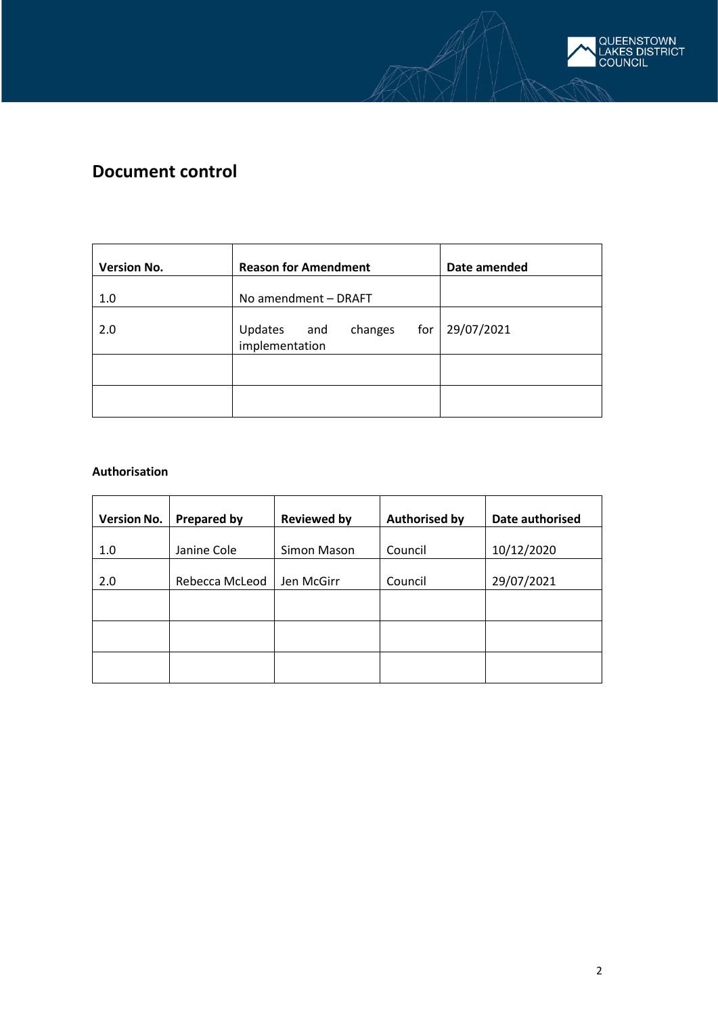

# **Document control**

| <b>Version No.</b> | <b>Reason for Amendment</b>                     | Date amended |
|--------------------|-------------------------------------------------|--------------|
| 1.0                | No amendment - DRAFT                            |              |
| 2.0                | for<br>changes<br>Updates and<br>implementation | 29/07/2021   |
|                    |                                                 |              |
|                    |                                                 |              |

## **Authorisation**

| <b>Version No.</b> | <b>Prepared by</b> | <b>Reviewed by</b> | <b>Authorised by</b> | Date authorised |
|--------------------|--------------------|--------------------|----------------------|-----------------|
| 1.0                | Janine Cole        | Simon Mason        | Council              | 10/12/2020      |
| 2.0                | Rebecca McLeod     | Jen McGirr         | Council              | 29/07/2021      |
|                    |                    |                    |                      |                 |
|                    |                    |                    |                      |                 |
|                    |                    |                    |                      |                 |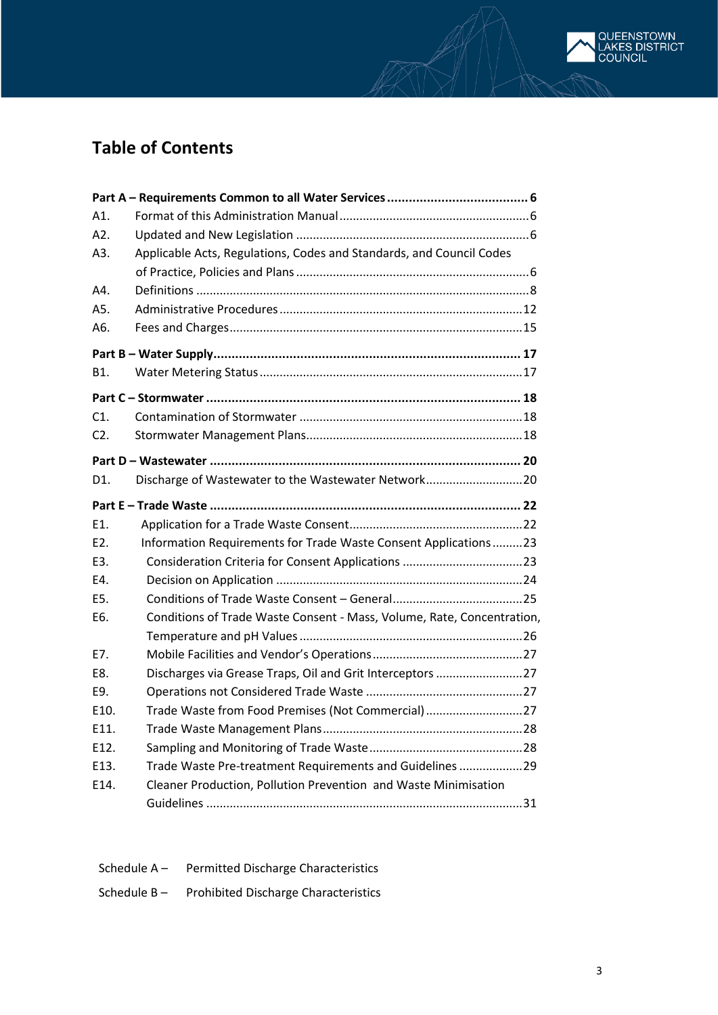

| A1.               |                                                                        |
|-------------------|------------------------------------------------------------------------|
| A2.               |                                                                        |
| A3.               | Applicable Acts, Regulations, Codes and Standards, and Council Codes   |
|                   |                                                                        |
| A4.               |                                                                        |
| A5.               |                                                                        |
| A6.               |                                                                        |
|                   |                                                                        |
| B1.               |                                                                        |
|                   |                                                                        |
| C1.               |                                                                        |
| C2.               |                                                                        |
|                   |                                                                        |
| D1.               | Discharge of Wastewater to the Wastewater Network20                    |
|                   |                                                                        |
| E1.               |                                                                        |
| E <sub>2</sub> .  | Information Requirements for Trade Waste Consent Applications23        |
| E3.               |                                                                        |
| E4.               |                                                                        |
| E5.               |                                                                        |
| E6.               | Conditions of Trade Waste Consent - Mass, Volume, Rate, Concentration, |
|                   |                                                                        |
| E7.               |                                                                        |
| E8.               | Discharges via Grease Traps, Oil and Grit Interceptors 27              |
| E9.               |                                                                        |
| E10.              | Trade Waste from Food Premises (Not Commercial)27                      |
| F <sub>11</sub> . |                                                                        |
| E12.              |                                                                        |
| E13.              | Trade Waste Pre-treatment Requirements and Guidelines 29               |
| E14.              | Cleaner Production, Pollution Prevention and Waste Minimisation        |
|                   |                                                                        |

| Schedule $A -$ | <b>Permitted Discharge Characteristics</b>  |
|----------------|---------------------------------------------|
| Schedule B-    | <b>Prohibited Discharge Characteristics</b> |

| QUEENSTOWN<br>| LAKES DISTRICT<br>| COUNCIL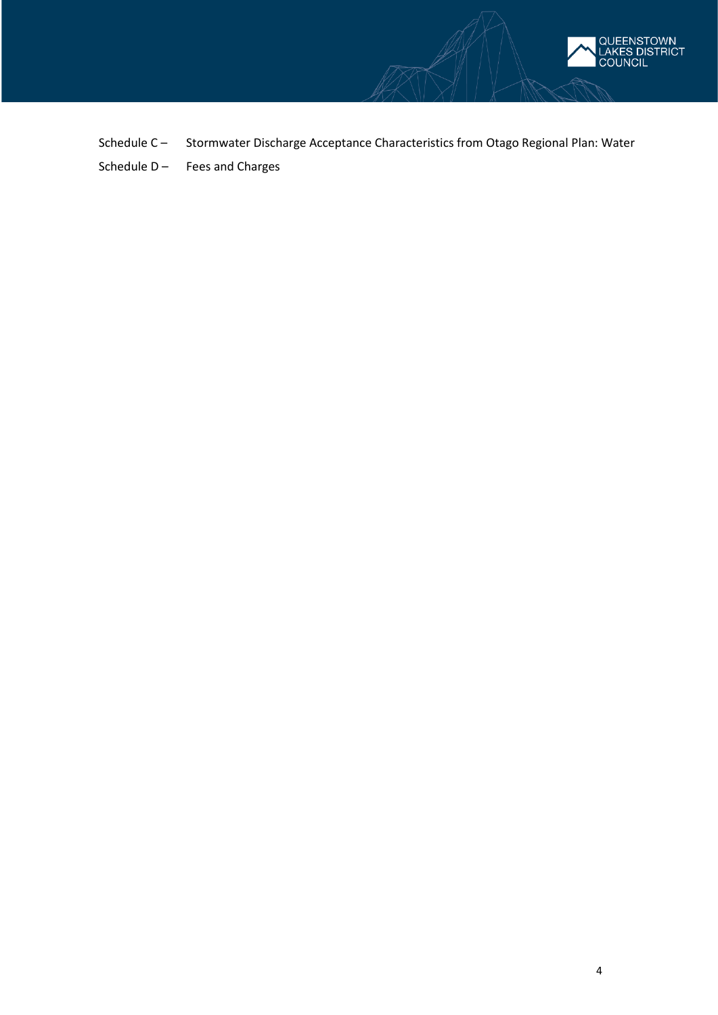

Schedule C – Stormwater Discharge Acceptance Characteristics from Otago Regional Plan: Water Schedule  $D -$  Fees and Charges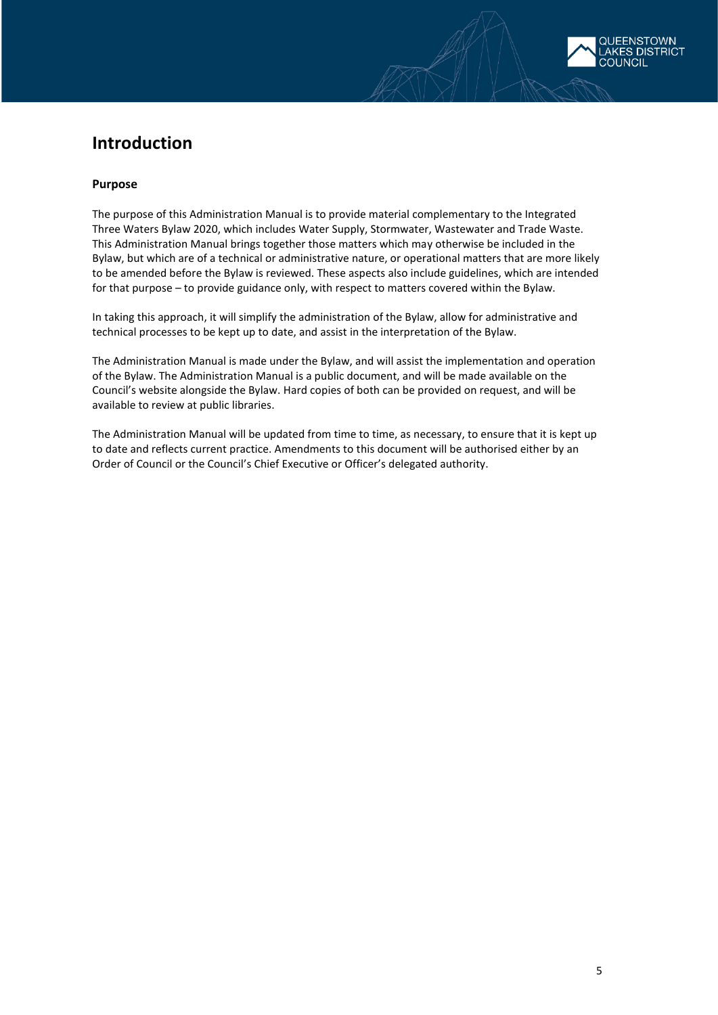# **Introduction**

### **Purpose**

The purpose of this Administration Manual is to provide material complementary to the Integrated Three Waters Bylaw 2020, which includes Water Supply, Stormwater, Wastewater and Trade Waste. This Administration Manual brings together those matters which may otherwise be included in the Bylaw, but which are of a technical or administrative nature, or operational matters that are more likely to be amended before the Bylaw is reviewed. These aspects also include guidelines, which are intended for that purpose – to provide guidance only, with respect to matters covered within the Bylaw.

In taking this approach, it will simplify the administration of the Bylaw, allow for administrative and technical processes to be kept up to date, and assist in the interpretation of the Bylaw.

The Administration Manual is made under the Bylaw, and will assist the implementation and operation of the Bylaw. The Administration Manual is a public document, and will be made available on the Council's website alongside the Bylaw. Hard copies of both can be provided on request, and will be available to review at public libraries.

The Administration Manual will be updated from time to time, as necessary, to ensure that it is kept up to date and reflects current practice. Amendments to this document will be authorised either by an Order of Council or the Council's Chief Executive or Officer's delegated authority.

**FNSTOWN FS DISTRICT** 

OUNCIL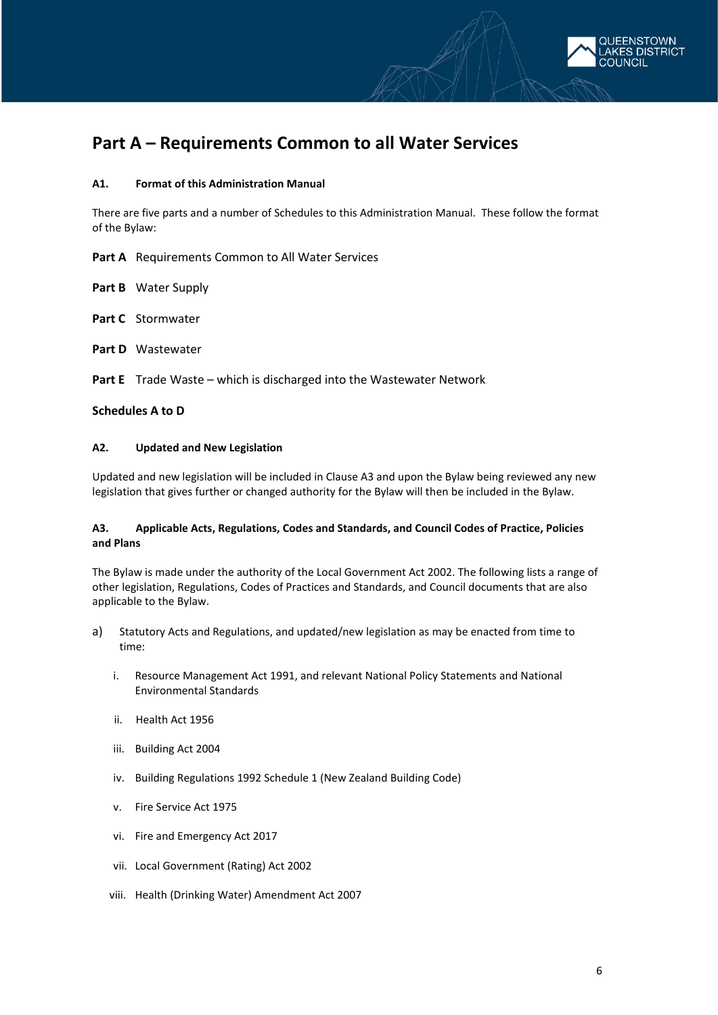

# <span id="page-5-0"></span>**Part A – Requirements Common to all Water Services**

#### <span id="page-5-1"></span>**A1. Format of this Administration Manual**

There are five parts and a number of Schedules to this Administration Manual. These follow the format of the Bylaw:

**Part A** Requirements Common to All Water Services

**Part B** Water Supply

**Part C** Stormwater

**Part D** Wastewater

**Part E** Trade Waste – which is discharged into the Wastewater Network

#### <span id="page-5-2"></span>**Schedules A to D**

### **A2. Updated and New Legislation**

Updated and new legislation will be included in Clause A3 and upon the Bylaw being reviewed any new legislation that gives further or changed authority for the Bylaw will then be included in the Bylaw.

### <span id="page-5-3"></span>**A3. Applicable Acts, Regulations, Codes and Standards, and Council Codes of Practice, Policies and Plans**

The Bylaw is made under the authority of the Local Government Act 2002. The following lists a range of other legislation, Regulations, Codes of Practices and Standards, and Council documents that are also applicable to the Bylaw.

- a) Statutory Acts and Regulations, and updated/new legislation as may be enacted from time to time:
	- i. Resource Management Act 1991, and relevant National Policy Statements and National Environmental Standards
	- ii. Health Act 1956
	- iii. Building Act 2004
	- iv. Building Regulations 1992 Schedule 1 (New Zealand Building Code)
	- v. Fire Service Act 1975
	- vi. Fire and Emergency Act 2017
	- vii. Local Government (Rating) Act 2002
	- viii. Health (Drinking Water) Amendment Act 2007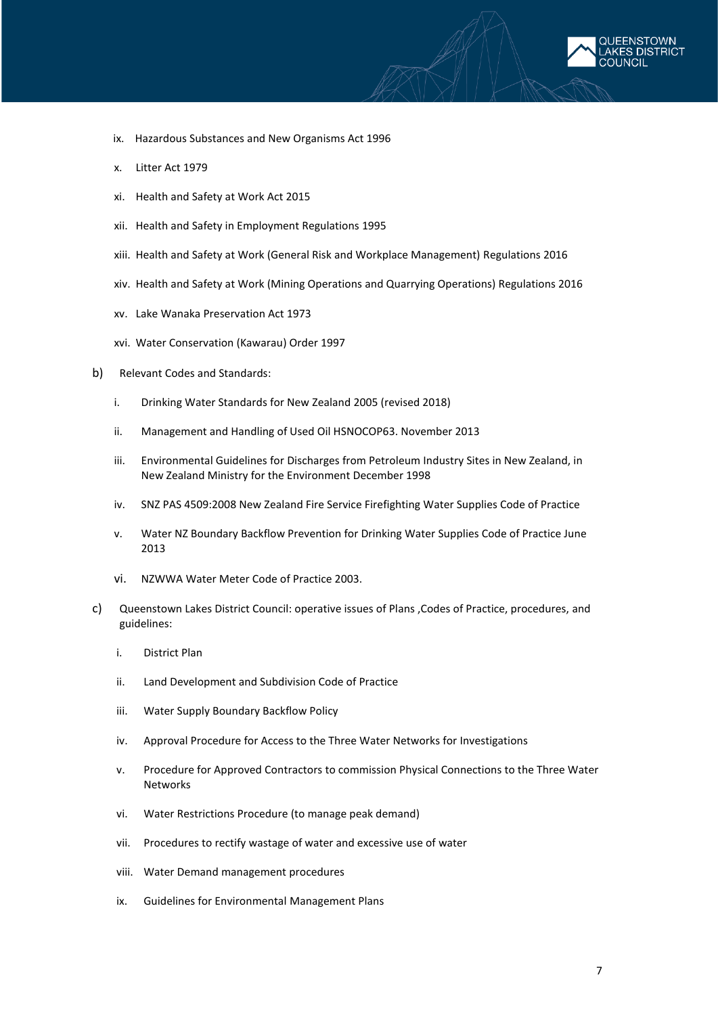

- ix. Hazardous Substances and New Organisms Act 1996
- x. Litter Act 1979
- xi. Health and Safety at Work Act 2015
- xii. Health and Safety in Employment Regulations 1995
- xiii. Health and Safety at Work (General Risk and Workplace Management) Regulations 2016
- xiv. Health and Safety at Work (Mining Operations and Quarrying Operations) Regulations 2016
- xv. Lake Wanaka Preservation Act 1973
- xvi. Water Conservation (Kawarau) Order 1997
- b) Relevant Codes and Standards:
	- i. Drinking Water Standards for New Zealand 2005 (revised 2018)
	- ii. Management and Handling of Used Oil HSNOCOP63. November 2013
	- iii. Environmental Guidelines for Discharges from Petroleum Industry Sites in New Zealand, in New Zealand Ministry for the Environment December 1998
	- iv. SNZ PAS 4509:2008 New Zealand Fire Service Firefighting Water Supplies Code of Practice
	- v. Water NZ Boundary Backflow Prevention for Drinking Water Supplies Code of Practice June 2013
	- vi. NZWWA Water Meter Code of Practice 2003.
- c) Queenstown Lakes District Council: operative issues of Plans ,Codes of Practice, procedures, and guidelines:
	- i. District Plan
	- ii. Land Development and Subdivision Code of Practice
	- iii. Water Supply Boundary Backflow Policy
	- iv. Approval Procedure for Access to the Three Water Networks for Investigations
	- v. Procedure for Approved Contractors to commission Physical Connections to the Three Water **Networks**
	- vi. Water Restrictions Procedure (to manage peak demand)
	- vii. Procedures to rectify wastage of water and excessive use of water
	- viii. Water Demand management procedures
	- ix. Guidelines for Environmental Management Plans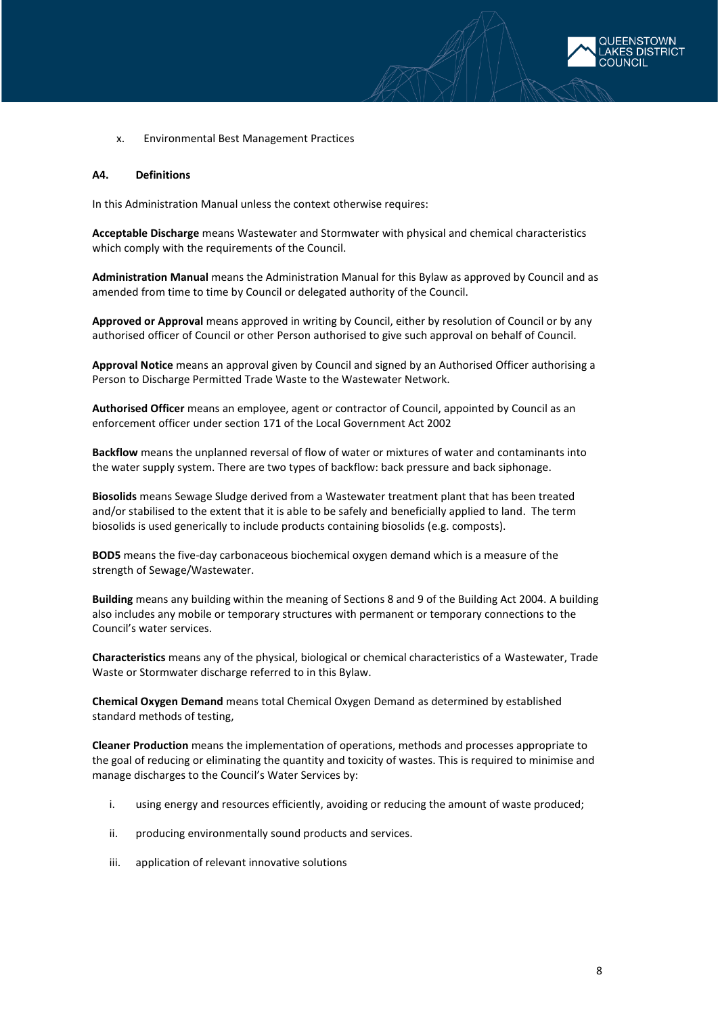

x. Environmental Best Management Practices

#### <span id="page-7-0"></span>**A4. Definitions**

In this Administration Manual unless the context otherwise requires:

**Acceptable Discharge** means Wastewater and Stormwater with physical and chemical characteristics which comply with the requirements of the Council.

**Administration Manual** means the Administration Manual for this Bylaw as approved by Council and as amended from time to time by Council or delegated authority of the Council.

**Approved or Approval** means approved in writing by Council, either by resolution of Council or by any authorised officer of Council or other Person authorised to give such approval on behalf of Council.

**Approval Notice** means an approval given by Council and signed by an Authorised Officer authorising a Person to Discharge Permitted Trade Waste to the Wastewater Network.

**Authorised Officer** means an employee, agent or contractor of Council, appointed by Council as an enforcement officer under section 171 of the Local Government Act 2002

**Backflow** means the unplanned reversal of flow of water or mixtures of water and contaminants into the water supply system. There are two types of backflow: back pressure and back siphonage.

**Biosolids** means Sewage Sludge derived from a Wastewater treatment plant that has been treated and/or stabilised to the extent that it is able to be safely and beneficially applied to land. The term biosolids is used generically to include products containing biosolids (e.g. composts).

**BOD5** means the five-day carbonaceous biochemical oxygen demand which is a measure of the strength of Sewage/Wastewater.

**Building** means any building within the meaning of Sections 8 and 9 of the Building Act 2004. A building also includes any mobile or temporary structures with permanent or temporary connections to the Council's water services.

**Characteristics** means any of the physical, biological or chemical characteristics of a Wastewater, Trade Waste or Stormwater discharge referred to in this Bylaw.

**Chemical Oxygen Demand** means total Chemical Oxygen Demand as determined by established standard methods of testing,

**Cleaner Production** means the implementation of operations, methods and processes appropriate to the goal of reducing or eliminating the quantity and toxicity of wastes. This is required to minimise and manage discharges to the Council's Water Services by:

- i. using energy and resources efficiently, avoiding or reducing the amount of waste produced;
- ii. producing environmentally sound products and services.
- iii. application of relevant innovative solutions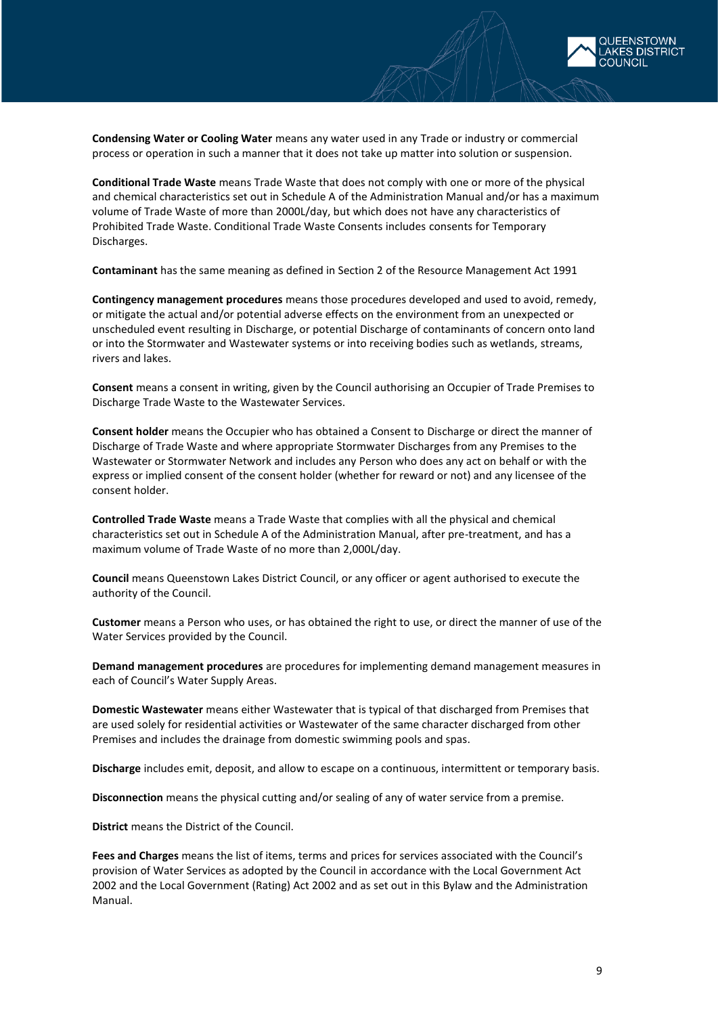

**Condensing Water or Cooling Water** means any water used in any Trade or industry or commercial process or operation in such a manner that it does not take up matter into solution or suspension.

**Conditional Trade Waste** means Trade Waste that does not comply with one or more of the physical and chemical characteristics set out in Schedule A of the Administration Manual and/or has a maximum volume of Trade Waste of more than 2000L/day, but which does not have any characteristics of Prohibited Trade Waste. Conditional Trade Waste Consents includes consents for Temporary Discharges.

**Contaminant** has the same meaning as defined in Section 2 of the Resource Management Act 1991

**Contingency management procedures** means those procedures developed and used to avoid, remedy, or mitigate the actual and/or potential adverse effects on the environment from an unexpected or unscheduled event resulting in Discharge, or potential Discharge of contaminants of concern onto land or into the Stormwater and Wastewater systems or into receiving bodies such as wetlands, streams, rivers and lakes.

**Consent** means a consent in writing, given by the Council authorising an Occupier of Trade Premises to Discharge Trade Waste to the Wastewater Services.

**Consent holder** means the Occupier who has obtained a Consent to Discharge or direct the manner of Discharge of Trade Waste and where appropriate Stormwater Discharges from any Premises to the Wastewater or Stormwater Network and includes any Person who does any act on behalf or with the express or implied consent of the consent holder (whether for reward or not) and any licensee of the consent holder.

**Controlled Trade Waste** means a Trade Waste that complies with all the physical and chemical characteristics set out in Schedule A of the Administration Manual, after pre-treatment, and has a maximum volume of Trade Waste of no more than 2,000L/day.

**Council** means Queenstown Lakes District Council, or any officer or agent authorised to execute the authority of the Council.

**Customer** means a Person who uses, or has obtained the right to use, or direct the manner of use of the Water Services provided by the Council.

**Demand management procedures** are procedures for implementing demand management measures in each of Council's Water Supply Areas.

**Domestic Wastewater** means either Wastewater that is typical of that discharged from Premises that are used solely for residential activities or Wastewater of the same character discharged from other Premises and includes the drainage from domestic swimming pools and spas.

**Discharge** includes emit, deposit, and allow to escape on a continuous, intermittent or temporary basis.

**Disconnection** means the physical cutting and/or sealing of any of water service from a premise.

**District** means the District of the Council.

**Fees and Charges** means the list of items, terms and prices for services associated with the Council's provision of Water Services as adopted by the Council in accordance with the Local Government Act 2002 and the Local Government (Rating) Act 2002 and as set out in this Bylaw and the Administration Manual.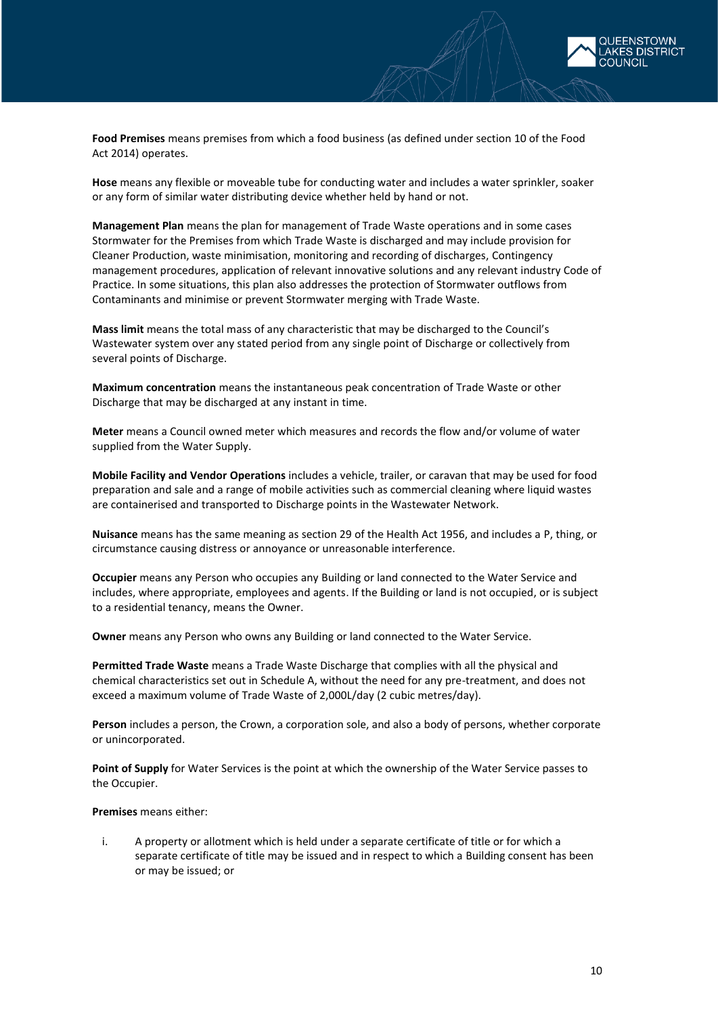

**Food Premises** means premises from which a food business (as defined under section 10 of the Food Act 2014) operates.

**Hose** means any flexible or moveable tube for conducting water and includes a water sprinkler, soaker or any form of similar water distributing device whether held by hand or not.

**Management Plan** means the plan for management of Trade Waste operations and in some cases Stormwater for the Premises from which Trade Waste is discharged and may include provision for Cleaner Production, waste minimisation, monitoring and recording of discharges, Contingency management procedures, application of relevant innovative solutions and any relevant industry Code of Practice. In some situations, this plan also addresses the protection of Stormwater outflows from Contaminants and minimise or prevent Stormwater merging with Trade Waste.

**Mass limit** means the total mass of any characteristic that may be discharged to the Council's Wastewater system over any stated period from any single point of Discharge or collectively from several points of Discharge.

**Maximum concentration** means the instantaneous peak concentration of Trade Waste or other Discharge that may be discharged at any instant in time.

**Meter** means a Council owned meter which measures and records the flow and/or volume of water supplied from the Water Supply.

**Mobile Facility and Vendor Operations** includes a vehicle, trailer, or caravan that may be used for food preparation and sale and a range of mobile activities such as commercial cleaning where liquid wastes are containerised and transported to Discharge points in the Wastewater Network.

**Nuisance** means has the same meaning as section 29 of the Health Act 1956, and includes a P, thing, or circumstance causing distress or annoyance or unreasonable interference.

**Occupier** means any Person who occupies any Building or land connected to the Water Service and includes, where appropriate, employees and agents. If the Building or land is not occupied, or is subject to a residential tenancy, means the Owner.

**Owner** means any Person who owns any Building or land connected to the Water Service.

**Permitted Trade Waste** means a Trade Waste Discharge that complies with all the physical and chemical characteristics set out in Schedule A, without the need for any pre-treatment, and does not exceed a maximum volume of Trade Waste of 2,000L/day (2 cubic metres/day).

**Person** includes a person, the Crown, a corporation sole, and also a body of persons, whether corporate or unincorporated.

Point of Supply for Water Services is the point at which the ownership of the Water Service passes to the Occupier.

**Premises** means either:

i. A property or allotment which is held under a separate certificate of title or for which a separate certificate of title may be issued and in respect to which a Building consent has been or may be issued; or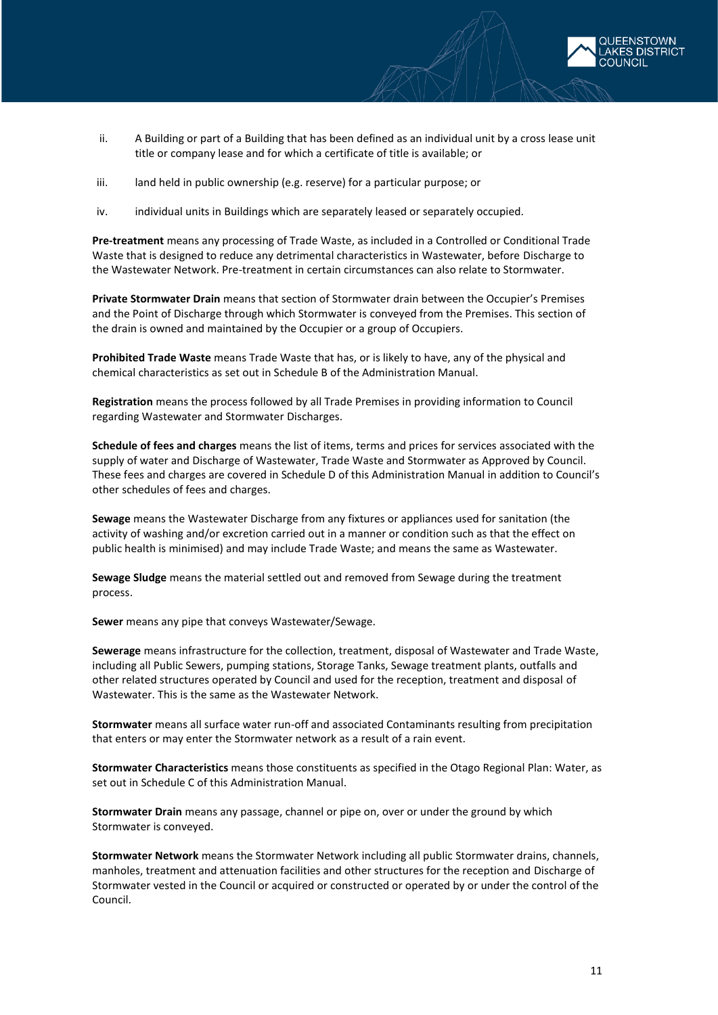

- ii. A Building or part of a Building that has been defined as an individual unit by a cross lease unit title or company lease and for which a certificate of title is available; or
- iii. land held in public ownership (e.g. reserve) for a particular purpose; or
- iv. individual units in Buildings which are separately leased or separately occupied.

**Pre-treatment** means any processing of Trade Waste, as included in a Controlled or Conditional Trade Waste that is designed to reduce any detrimental characteristics in Wastewater, before Discharge to the Wastewater Network. Pre-treatment in certain circumstances can also relate to Stormwater.

**Private Stormwater Drain** means that section of Stormwater drain between the Occupier's Premises and the Point of Discharge through which Stormwater is conveyed from the Premises. This section of the drain is owned and maintained by the Occupier or a group of Occupiers.

**Prohibited Trade Waste** means Trade Waste that has, or is likely to have, any of the physical and chemical characteristics as set out in Schedule B of the Administration Manual.

**Registration** means the process followed by all Trade Premises in providing information to Council regarding Wastewater and Stormwater Discharges.

**Schedule of fees and charges** means the list of items, terms and prices for services associated with the supply of water and Discharge of Wastewater, Trade Waste and Stormwater as Approved by Council. These fees and charges are covered in Schedule D of this Administration Manual in addition to Council's other schedules of fees and charges.

**Sewage** means the Wastewater Discharge from any fixtures or appliances used for sanitation (the activity of washing and/or excretion carried out in a manner or condition such as that the effect on public health is minimised) and may include Trade Waste; and means the same as Wastewater.

**Sewage Sludge** means the material settled out and removed from Sewage during the treatment process.

**Sewer** means any pipe that conveys Wastewater/Sewage.

**Sewerage** means infrastructure for the collection, treatment, disposal of Wastewater and Trade Waste, including all Public Sewers, pumping stations, Storage Tanks, Sewage treatment plants, outfalls and other related structures operated by Council and used for the reception, treatment and disposal of Wastewater. This is the same as the Wastewater Network.

**Stormwater** means all surface water run-off and associated Contaminants resulting from precipitation that enters or may enter the Stormwater network as a result of a rain event.

**Stormwater Characteristics** means those constituents as specified in the Otago Regional Plan: Water, as set out in Schedule C of this Administration Manual.

**Stormwater Drain** means any passage, channel or pipe on, over or under the ground by which Stormwater is conveyed.

**Stormwater Network** means the Stormwater Network including all public Stormwater drains, channels, manholes, treatment and attenuation facilities and other structures for the reception and Discharge of Stormwater vested in the Council or acquired or constructed or operated by or under the control of the Council.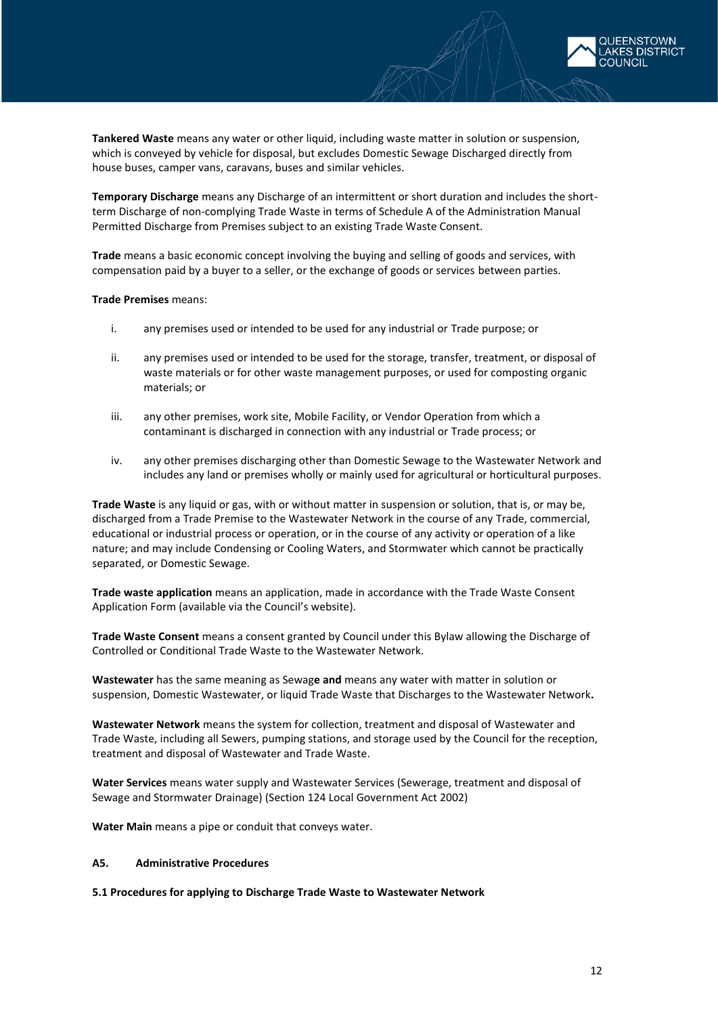

**Tankered Waste** means any water or other liquid, including waste matter in solution or suspension, which is conveyed by vehicle for disposal, but excludes Domestic Sewage Discharged directly from house buses, camper vans, caravans, buses and similar vehicles.

**Temporary Discharge** means any Discharge of an intermittent or short duration and includes the shortterm Discharge of non-complying Trade Waste in terms of Schedule A of the Administration Manual Permitted Discharge from Premises subject to an existing Trade Waste Consent.

**Trade** means a basic economic concept involving the buying and selling of goods and services, with compensation paid by a buyer to a seller, or the exchange of goods or services between parties.

#### **Trade Premises** means:

- i. any premises used or intended to be used for any industrial or Trade purpose; or
- ii. any premises used or intended to be used for the storage, transfer, treatment, or disposal of waste materials or for other waste management purposes, or used for composting organic materials; or
- iii. any other premises, work site, Mobile Facility, or Vendor Operation from which a contaminant is discharged in connection with any industrial or Trade process; or
- iv. any other premises discharging other than Domestic Sewage to the Wastewater Network and includes any land or premises wholly or mainly used for agricultural or horticultural purposes.

**Trade Waste** is any liquid or gas, with or without matter in suspension or solution, that is, or may be, discharged from a Trade Premise to the Wastewater Network in the course of any Trade, commercial, educational or industrial process or operation, or in the course of any activity or operation of a like nature; and may include Condensing or Cooling Waters, and Stormwater which cannot be practically separated, or Domestic Sewage.

**Trade waste application** means an application, made in accordance with the Trade Waste Consent Application Form (available via the Council's website).

**Trade Waste Consent** means a consent granted by Council under this Bylaw allowing the Discharge of Controlled or Conditional Trade Waste to the Wastewater Network.

**Wastewater** has the same meaning as Sewag**e and** means any water with matter in solution or suspension, Domestic Wastewater, or liquid Trade Waste that Discharges to the Wastewater Network**.** 

**Wastewater Network** means the system for collection, treatment and disposal of Wastewater and Trade Waste, including all Sewers, pumping stations, and storage used by the Council for the reception, treatment and disposal of Wastewater and Trade Waste.

**Water Services** means water supply and Wastewater Services (Sewerage, treatment and disposal of Sewage and Stormwater Drainage) (Section 124 Local Government Act 2002)

<span id="page-11-0"></span>**Water Main** means a pipe or conduit that conveys water.

### **A5. Administrative Procedures**

**5.1 Procedures for applying to Discharge Trade Waste to Wastewater Network**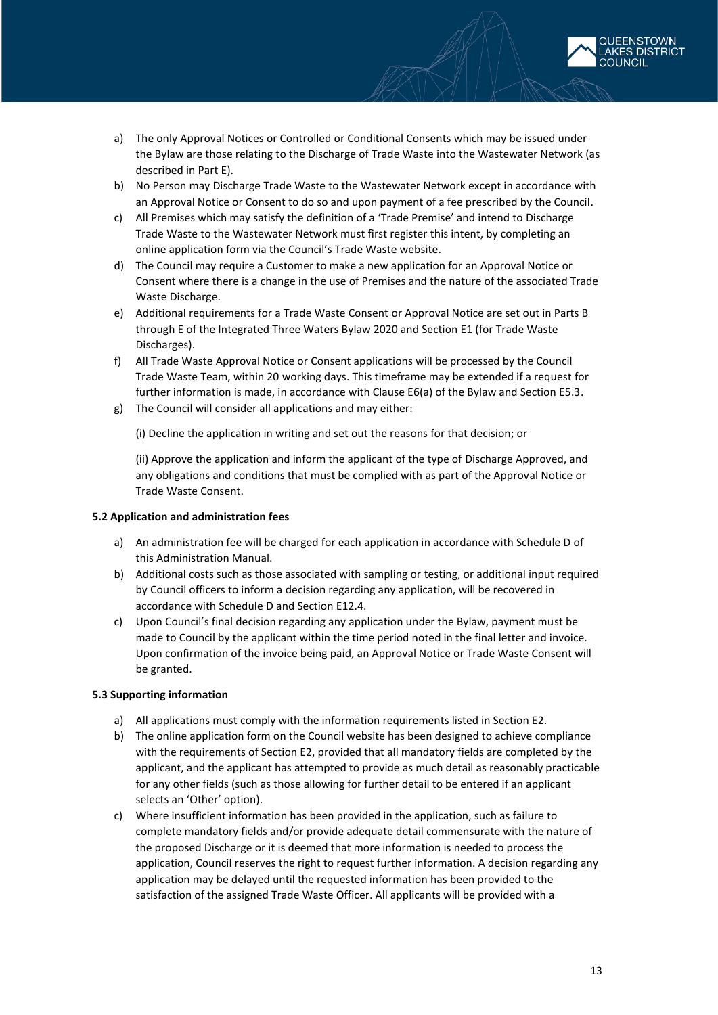

- a) The only Approval Notices or Controlled or Conditional Consents which may be issued under the Bylaw are those relating to the Discharge of Trade Waste into the Wastewater Network (as described in Part E).
- b) No Person may Discharge Trade Waste to the Wastewater Network except in accordance with an Approval Notice or Consent to do so and upon payment of a fee prescribed by the Council.
- c) All Premises which may satisfy the definition of a 'Trade Premise' and intend to Discharge Trade Waste to the Wastewater Network must first register this intent, by completing an online application form via the Council's Trade Waste website.
- d) The Council may require a Customer to make a new application for an Approval Notice or Consent where there is a change in the use of Premises and the nature of the associated Trade Waste Discharge.
- e) Additional requirements for a Trade Waste Consent or Approval Notice are set out in Parts B through E of the Integrated Three Waters Bylaw 2020 and Section E1 (for Trade Waste Discharges).
- f) All Trade Waste Approval Notice or Consent applications will be processed by the Council Trade Waste Team, within 20 working days. This timeframe may be extended if a request for further information is made, in accordance with Clause E6(a) of the Bylaw and Section E5.3.
- g) The Council will consider all applications and may either:

(i) Decline the application in writing and set out the reasons for that decision; or

(ii) Approve the application and inform the applicant of the type of Discharge Approved, and any obligations and conditions that must be complied with as part of the Approval Notice or Trade Waste Consent.

### **5.2 Application and administration fees**

- a) An administration fee will be charged for each application in accordance with Schedule D of this Administration Manual.
- b) Additional costs such as those associated with sampling or testing, or additional input required by Council officers to inform a decision regarding any application, will be recovered in accordance with Schedule D and Section E12.4.
- c) Upon Council's final decision regarding any application under the Bylaw, payment must be made to Council by the applicant within the time period noted in the final letter and invoice. Upon confirmation of the invoice being paid, an Approval Notice or Trade Waste Consent will be granted.

### **5.3 Supporting information**

- a) All applications must comply with the information requirements listed in Section E2.
- b) The online application form on the Council website has been designed to achieve compliance with the requirements of Section E2, provided that all mandatory fields are completed by the applicant, and the applicant has attempted to provide as much detail as reasonably practicable for any other fields (such as those allowing for further detail to be entered if an applicant selects an 'Other' option).
- c) Where insufficient information has been provided in the application, such as failure to complete mandatory fields and/or provide adequate detail commensurate with the nature of the proposed Discharge or it is deemed that more information is needed to process the application, Council reserves the right to request further information. A decision regarding any application may be delayed until the requested information has been provided to the satisfaction of the assigned Trade Waste Officer. All applicants will be provided with a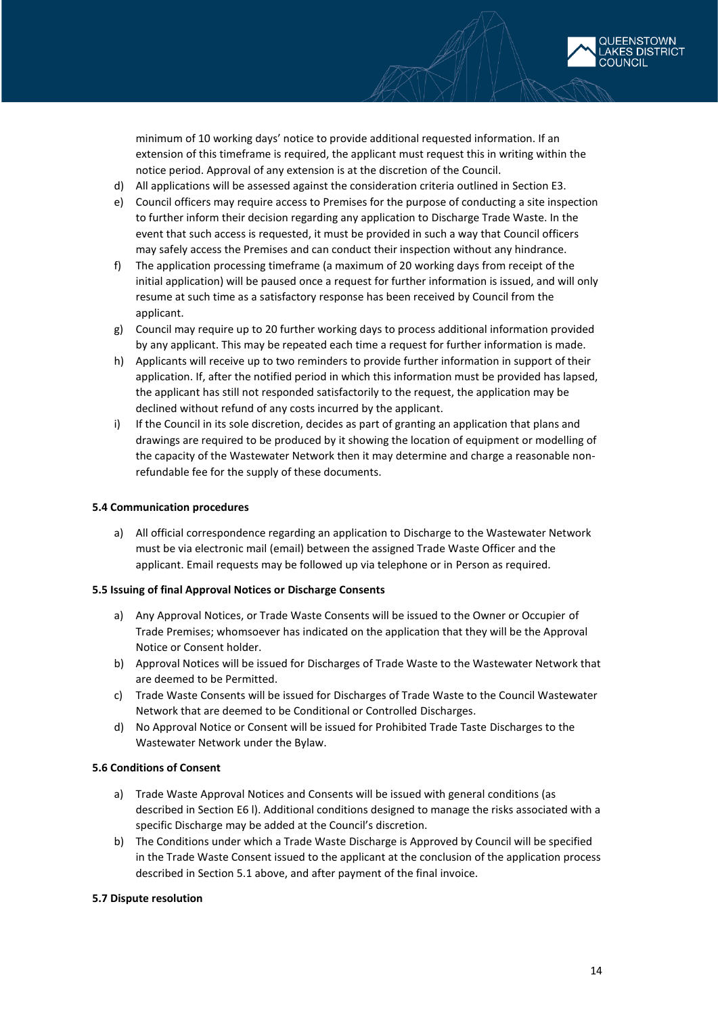

minimum of 10 working days' notice to provide additional requested information. If an extension of this timeframe is required, the applicant must request this in writing within the notice period. Approval of any extension is at the discretion of the Council.

- d) All applications will be assessed against the consideration criteria outlined in Section E3.
- e) Council officers may require access to Premises for the purpose of conducting a site inspection to further inform their decision regarding any application to Discharge Trade Waste. In the event that such access is requested, it must be provided in such a way that Council officers may safely access the Premises and can conduct their inspection without any hindrance.
- f) The application processing timeframe (a maximum of 20 working days from receipt of the initial application) will be paused once a request for further information is issued, and will only resume at such time as a satisfactory response has been received by Council from the applicant.
- g) Council may require up to 20 further working days to process additional information provided by any applicant. This may be repeated each time a request for further information is made.
- h) Applicants will receive up to two reminders to provide further information in support of their application. If, after the notified period in which this information must be provided has lapsed, the applicant has still not responded satisfactorily to the request, the application may be declined without refund of any costs incurred by the applicant.
- i) If the Council in its sole discretion, decides as part of granting an application that plans and drawings are required to be produced by it showing the location of equipment or modelling of the capacity of the Wastewater Network then it may determine and charge a reasonable nonrefundable fee for the supply of these documents.

#### **5.4 Communication procedures**

a) All official correspondence regarding an application to Discharge to the Wastewater Network must be via electronic mail (email) between the assigned Trade Waste Officer and the applicant. Email requests may be followed up via telephone or in Person as required.

#### **5.5 Issuing of final Approval Notices or Discharge Consents**

- a) Any Approval Notices, or Trade Waste Consents will be issued to the Owner or Occupier of Trade Premises; whomsoever has indicated on the application that they will be the Approval Notice or Consent holder.
- b) Approval Notices will be issued for Discharges of Trade Waste to the Wastewater Network that are deemed to be Permitted.
- c) Trade Waste Consents will be issued for Discharges of Trade Waste to the Council Wastewater Network that are deemed to be Conditional or Controlled Discharges.
- d) No Approval Notice or Consent will be issued for Prohibited Trade Taste Discharges to the Wastewater Network under the Bylaw.

#### **5.6 Conditions of Consent**

- a) Trade Waste Approval Notices and Consents will be issued with general conditions (as described in Section E6 l). Additional conditions designed to manage the risks associated with a specific Discharge may be added at the Council's discretion.
- b) The Conditions under which a Trade Waste Discharge is Approved by Council will be specified in the Trade Waste Consent issued to the applicant at the conclusion of the application process described in Section 5.1 above, and after payment of the final invoice.

#### **5.7 Dispute resolution**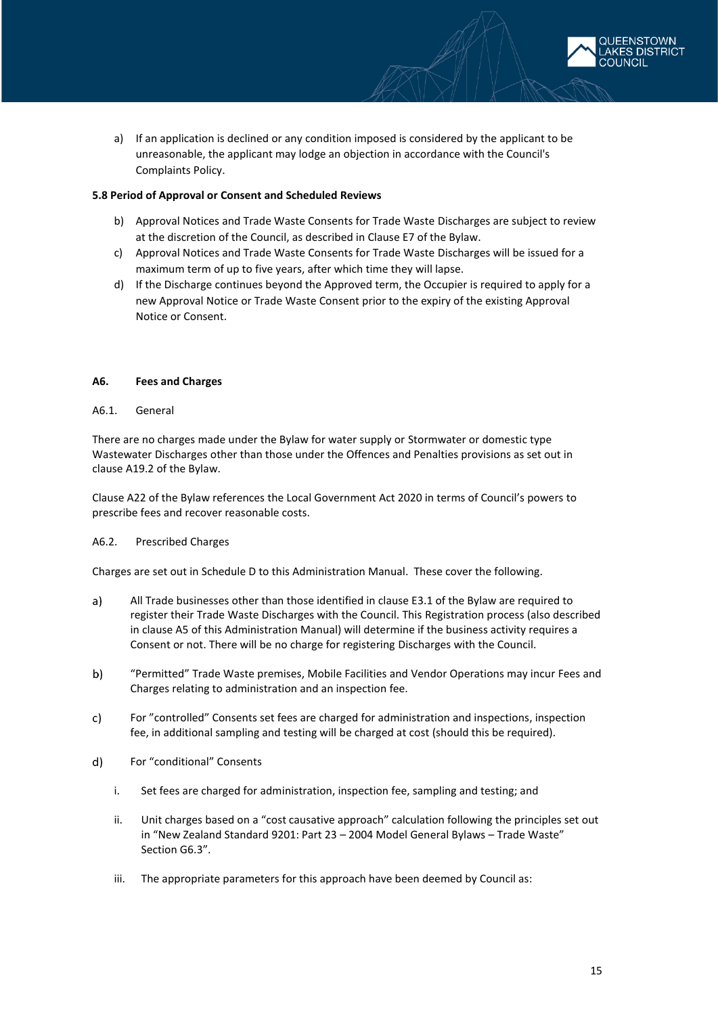

a) If an application is declined or any condition imposed is considered by the applicant to be unreasonable, the applicant may lodge an objection in accordance with the Council's Complaints Policy.

### **5.8 Period of Approval or Consent and Scheduled Reviews**

- b) Approval Notices and Trade Waste Consents for Trade Waste Discharges are subject to review at the discretion of the Council, as described in Clause E7 of the Bylaw.
- c) Approval Notices and Trade Waste Consents for Trade Waste Discharges will be issued for a maximum term of up to five years, after which time they will lapse.
- d) If the Discharge continues beyond the Approved term, the Occupier is required to apply for a new Approval Notice or Trade Waste Consent prior to the expiry of the existing Approval Notice or Consent.

### <span id="page-14-0"></span>**A6. Fees and Charges**

#### A6.1. General

There are no charges made under the Bylaw for water supply or Stormwater or domestic type Wastewater Discharges other than those under the Offences and Penalties provisions as set out in clause A19.2 of the Bylaw.

Clause A22 of the Bylaw references the Local Government Act 2020 in terms of Council's powers to prescribe fees and recover reasonable costs.

### A6.2. Prescribed Charges

Charges are set out in Schedule D to this Administration Manual. These cover the following.

- $a)$ All Trade businesses other than those identified in clause E3.1 of the Bylaw are required to register their Trade Waste Discharges with the Council. This Registration process (also described in clause A5 of this Administration Manual) will determine if the business activity requires a Consent or not. There will be no charge for registering Discharges with the Council.
- $b)$ "Permitted" Trade Waste premises, Mobile Facilities and Vendor Operations may incur Fees and Charges relating to administration and an inspection fee.
- For "controlled" Consents set fees are charged for administration and inspections, inspection  $c)$ fee, in additional sampling and testing will be charged at cost (should this be required).
- $d)$ For "conditional" Consents
	- i. Set fees are charged for administration, inspection fee, sampling and testing; and
	- ii. Unit charges based on a "cost causative approach" calculation following the principles set out in "New Zealand Standard 9201: Part 23 – 2004 Model General Bylaws – Trade Waste" Section G6.3".
	- iii. The appropriate parameters for this approach have been deemed by Council as: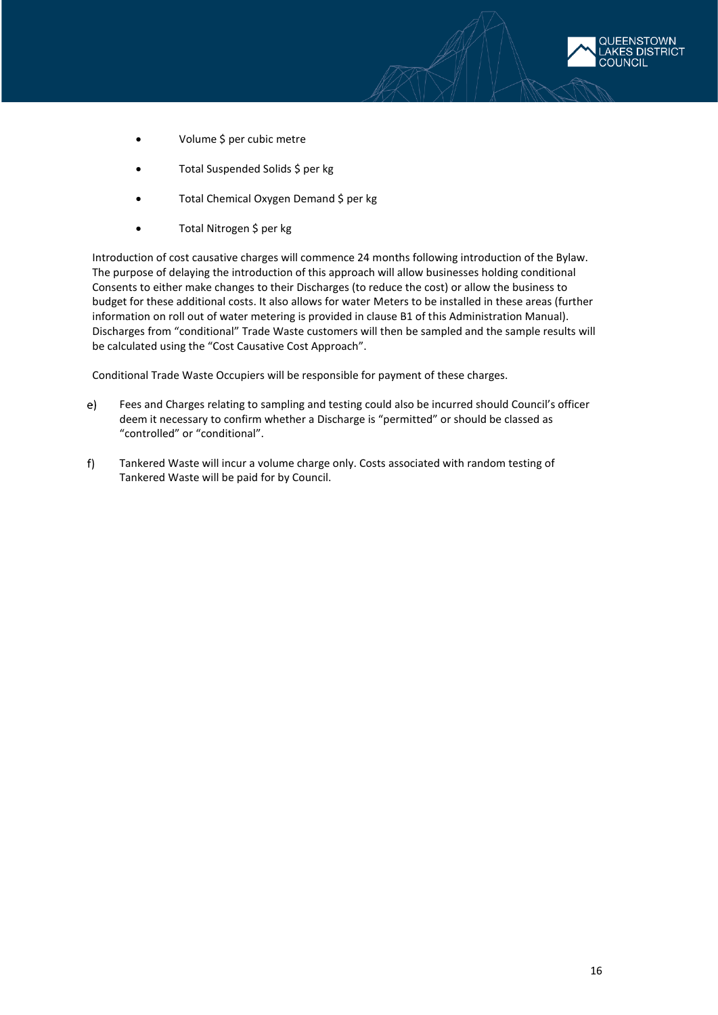

- Volume \$ per cubic metre
- Total Suspended Solids \$ per kg
- Total Chemical Oxygen Demand \$ per kg
- Total Nitrogen \$ per kg

Introduction of cost causative charges will commence 24 months following introduction of the Bylaw. The purpose of delaying the introduction of this approach will allow businesses holding conditional Consents to either make changes to their Discharges (to reduce the cost) or allow the business to budget for these additional costs. It also allows for water Meters to be installed in these areas (further information on roll out of water metering is provided in clause B1 of this Administration Manual). Discharges from "conditional" Trade Waste customers will then be sampled and the sample results will be calculated using the "Cost Causative Cost Approach".

Conditional Trade Waste Occupiers will be responsible for payment of these charges.

- $e)$ Fees and Charges relating to sampling and testing could also be incurred should Council's officer deem it necessary to confirm whether a Discharge is "permitted" or should be classed as "controlled" or "conditional".
- $f$ Tankered Waste will incur a volume charge only. Costs associated with random testing of Tankered Waste will be paid for by Council.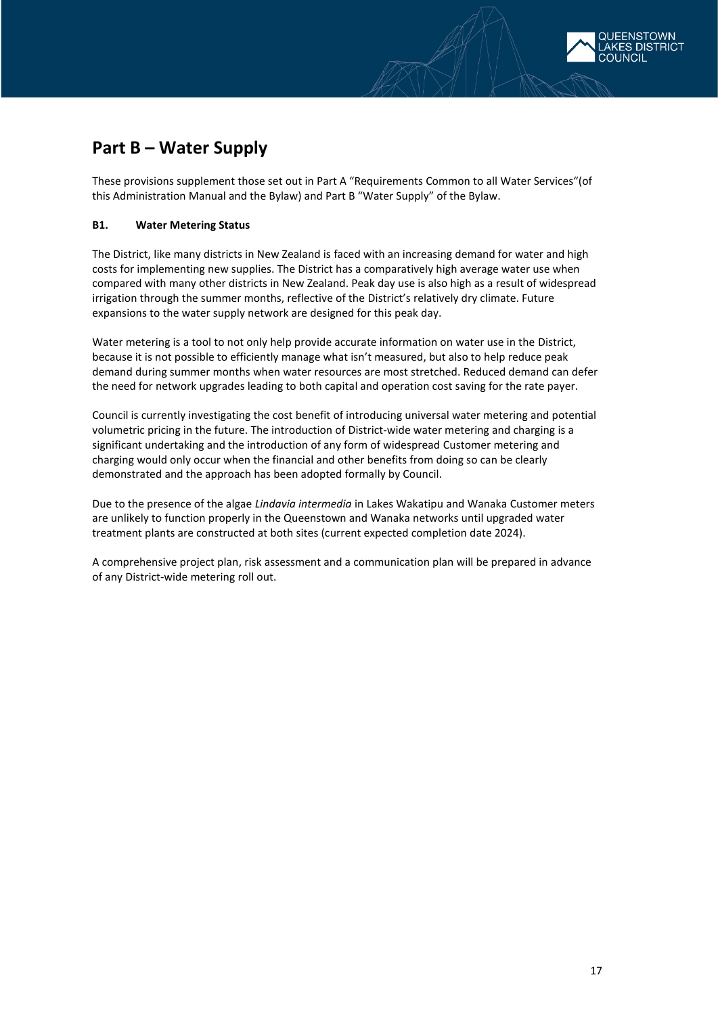

# <span id="page-16-0"></span>**Part B – Water Supply**

These provisions supplement those set out in Part A "Requirements Common to all Water Services"(of this Administration Manual and the Bylaw) and Part B "Water Supply" of the Bylaw.

### <span id="page-16-1"></span>**B1. Water Metering Status**

The District, like many districts in New Zealand is faced with an increasing demand for water and high costs for implementing new supplies. The District has a comparatively high average water use when compared with many other districts in New Zealand. Peak day use is also high as a result of widespread irrigation through the summer months, reflective of the District's relatively dry climate. Future expansions to the water supply network are designed for this peak day.

Water metering is a tool to not only help provide accurate information on water use in the District, because it is not possible to efficiently manage what isn't measured, but also to help reduce peak demand during summer months when water resources are most stretched. Reduced demand can defer the need for network upgrades leading to both capital and operation cost saving for the rate payer.

Council is currently investigating the cost benefit of introducing universal water metering and potential volumetric pricing in the future. The introduction of District-wide water metering and charging is a significant undertaking and the introduction of any form of widespread Customer metering and charging would only occur when the financial and other benefits from doing so can be clearly demonstrated and the approach has been adopted formally by Council.

Due to the presence of the algae *Lindavia intermedia* in Lakes Wakatipu and Wanaka Customer meters are unlikely to function properly in the Queenstown and Wanaka networks until upgraded water treatment plants are constructed at both sites (current expected completion date 2024).

A comprehensive project plan, risk assessment and a communication plan will be prepared in advance of any District-wide metering roll out.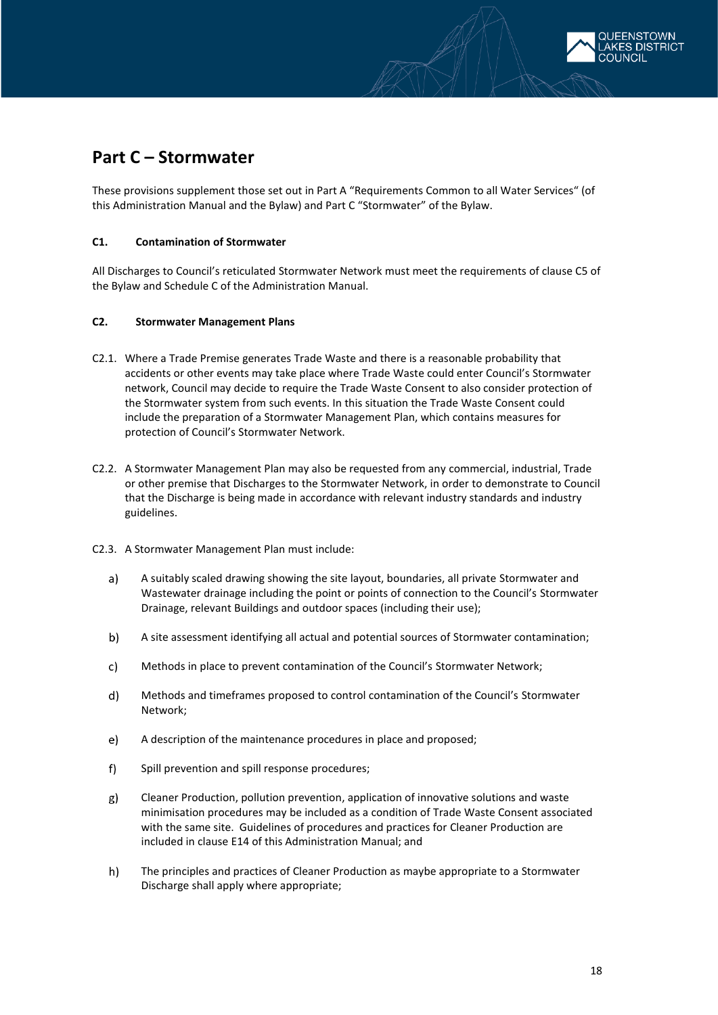

## <span id="page-17-0"></span>**Part C – Stormwater**

These provisions supplement those set out in Part A "Requirements Common to all Water Services" (of this Administration Manual and the Bylaw) and Part C "Stormwater" of the Bylaw.

### <span id="page-17-1"></span>**C1. Contamination of Stormwater**

All Discharges to Council's reticulated Stormwater Network must meet the requirements of clause C5 of the Bylaw and Schedule C of the Administration Manual.

### <span id="page-17-2"></span>**C2. Stormwater Management Plans**

- C2.1. Where a Trade Premise generates Trade Waste and there is a reasonable probability that accidents or other events may take place where Trade Waste could enter Council's Stormwater network, Council may decide to require the Trade Waste Consent to also consider protection of the Stormwater system from such events. In this situation the Trade Waste Consent could include the preparation of a Stormwater Management Plan, which contains measures for protection of Council's Stormwater Network.
- C2.2. A Stormwater Management Plan may also be requested from any commercial, industrial, Trade or other premise that Discharges to the Stormwater Network, in order to demonstrate to Council that the Discharge is being made in accordance with relevant industry standards and industry guidelines.
- C2.3. A Stormwater Management Plan must include:
	- $a)$ A suitably scaled drawing showing the site layout, boundaries, all private Stormwater and Wastewater drainage including the point or points of connection to the Council's Stormwater Drainage, relevant Buildings and outdoor spaces (including their use);
	- b) A site assessment identifying all actual and potential sources of Stormwater contamination;
	- $c)$ Methods in place to prevent contamination of the Council's Stormwater Network;
	- $\mathsf{d}$ Methods and timeframes proposed to control contamination of the Council's Stormwater Network;
	- A description of the maintenance procedures in place and proposed;  $e)$
	- $f$ Spill prevention and spill response procedures;
	- $g)$ Cleaner Production, pollution prevention, application of innovative solutions and waste minimisation procedures may be included as a condition of Trade Waste Consent associated with the same site. Guidelines of procedures and practices for Cleaner Production are included in clause E14 of this Administration Manual; and
	- $h)$ The principles and practices of Cleaner Production as maybe appropriate to a Stormwater Discharge shall apply where appropriate;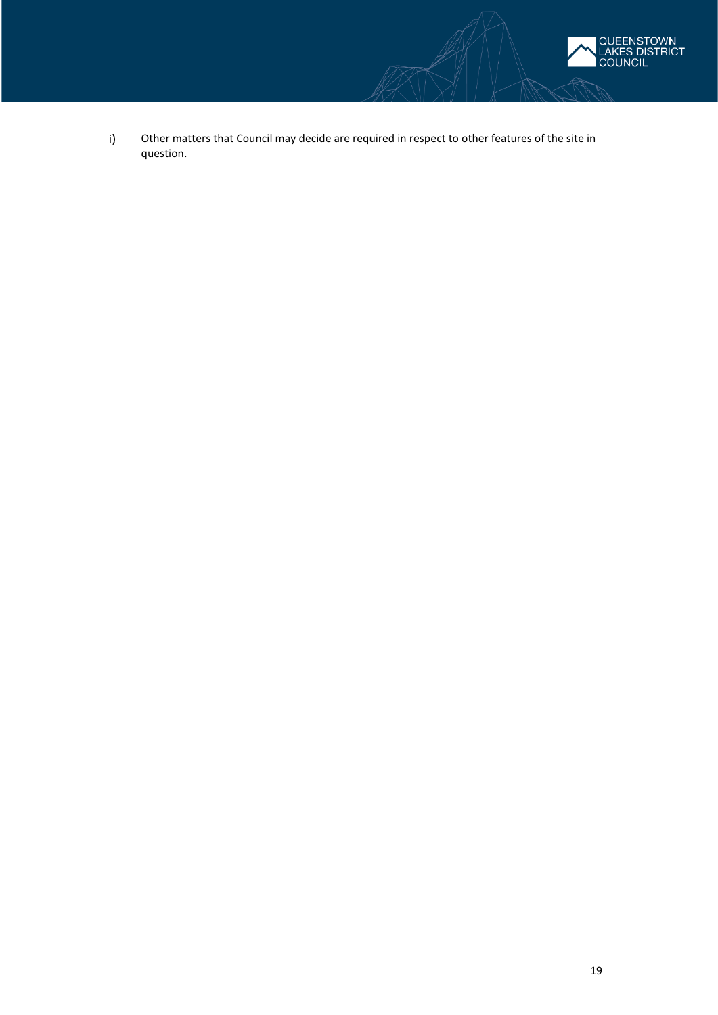

 $i)$ Other matters that Council may decide are required in respect to other features of the site in question.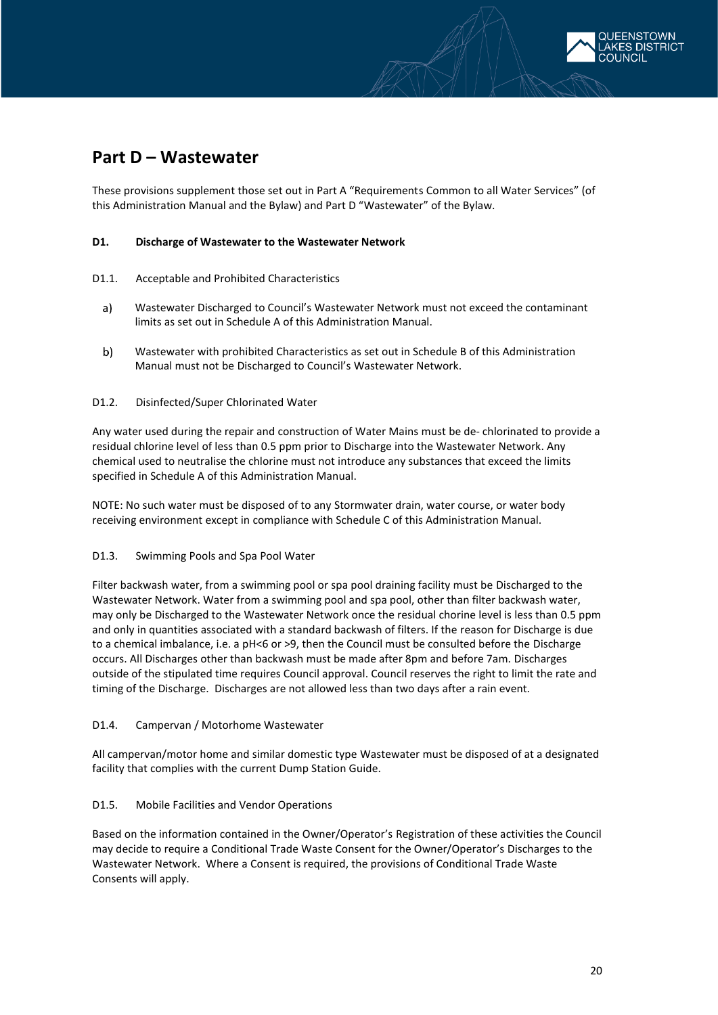

## <span id="page-19-0"></span>**Part D – Wastewater**

These provisions supplement those set out in Part A "Requirements Common to all Water Services" (of this Administration Manual and the Bylaw) and Part D "Wastewater" of the Bylaw.

### <span id="page-19-1"></span>**D1. Discharge of Wastewater to the Wastewater Network**

- D1.1. Acceptable and Prohibited Characteristics
	- $a)$ Wastewater Discharged to Council's Wastewater Network must not exceed the contaminant limits as set out in Schedule A of this Administration Manual.
	- $b)$ Wastewater with prohibited Characteristics as set out in Schedule B of this Administration Manual must not be Discharged to Council's Wastewater Network.

### D1.2. Disinfected/Super Chlorinated Water

Any water used during the repair and construction of Water Mains must be de- chlorinated to provide a residual chlorine level of less than 0.5 ppm prior to Discharge into the Wastewater Network. Any chemical used to neutralise the chlorine must not introduce any substances that exceed the limits specified in Schedule A of this Administration Manual.

NOTE: No such water must be disposed of to any Stormwater drain, water course, or water body receiving environment except in compliance with Schedule C of this Administration Manual.

### D1.3. Swimming Pools and Spa Pool Water

Filter backwash water, from a swimming pool or spa pool draining facility must be Discharged to the Wastewater Network. Water from a swimming pool and spa pool, other than filter backwash water, may only be Discharged to the Wastewater Network once the residual chorine level is less than 0.5 ppm and only in quantities associated with a standard backwash of filters. If the reason for Discharge is due to a chemical imbalance, i.e. a pH<6 or >9, then the Council must be consulted before the Discharge occurs. All Discharges other than backwash must be made after 8pm and before 7am. Discharges outside of the stipulated time requires Council approval. Council reserves the right to limit the rate and timing of the Discharge. Discharges are not allowed less than two days after a rain event.

### D1.4. Campervan / Motorhome Wastewater

All campervan/motor home and similar domestic type Wastewater must be disposed of at a designated facility that complies with the current Dump Station Guide.

### D1.5. Mobile Facilities and Vendor Operations

Based on the information contained in the Owner/Operator's Registration of these activities the Council may decide to require a Conditional Trade Waste Consent for the Owner/Operator's Discharges to the Wastewater Network. Where a Consent is required, the provisions of Conditional Trade Waste Consents will apply.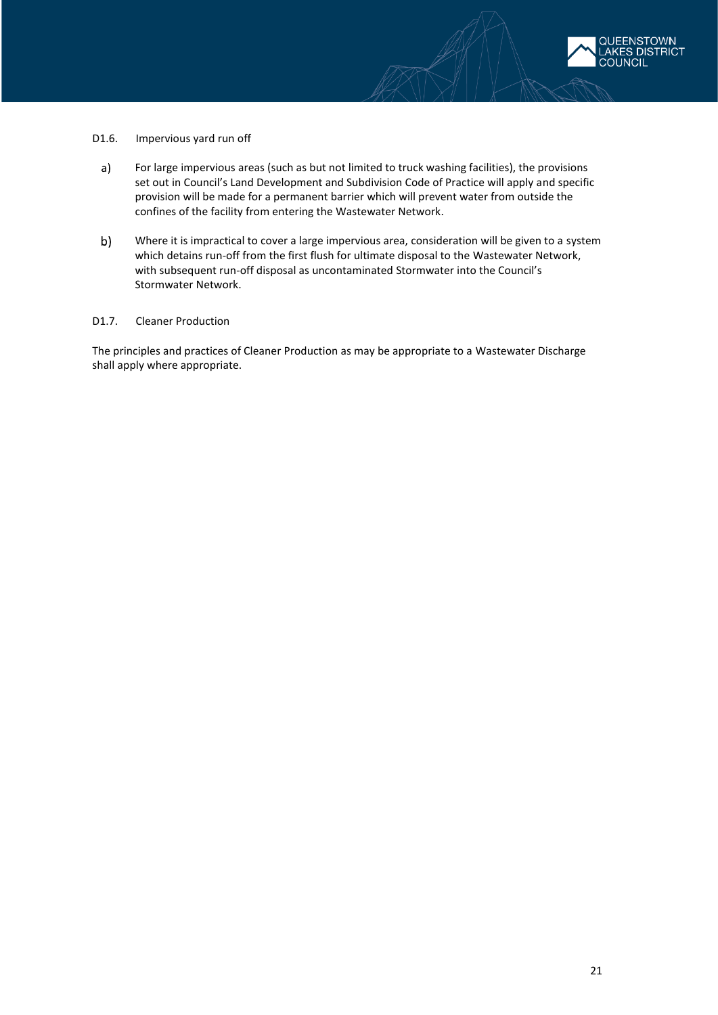

- D1.6. Impervious yard run off
- $a)$ For large impervious areas (such as but not limited to truck washing facilities), the provisions set out in Council's Land Development and Subdivision Code of Practice will apply and specific provision will be made for a permanent barrier which will prevent water from outside the confines of the facility from entering the Wastewater Network.
- $b)$ Where it is impractical to cover a large impervious area, consideration will be given to a system which detains run-off from the first flush for ultimate disposal to the Wastewater Network, with subsequent run-off disposal as uncontaminated Stormwater into the Council's Stormwater Network.

#### D1.7. Cleaner Production

The principles and practices of Cleaner Production as may be appropriate to a Wastewater Discharge shall apply where appropriate.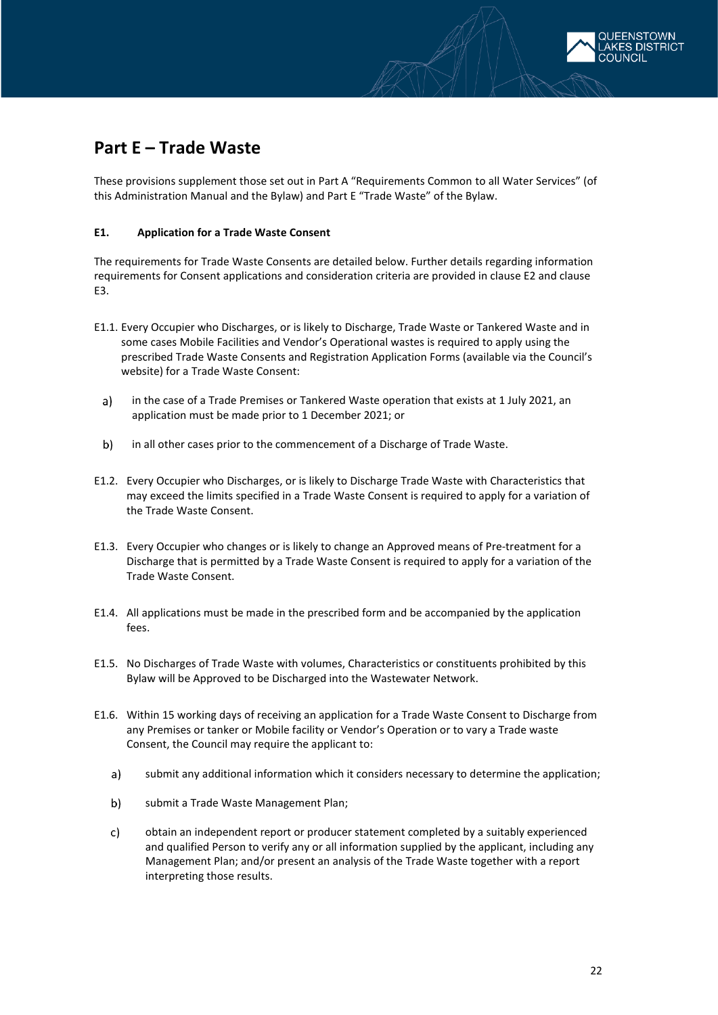

## <span id="page-21-0"></span>**Part E – Trade Waste**

These provisions supplement those set out in Part A "Requirements Common to all Water Services" (of this Administration Manual and the Bylaw) and Part E "Trade Waste" of the Bylaw.

### <span id="page-21-1"></span>**E1. Application for a Trade Waste Consent**

The requirements for Trade Waste Consents are detailed below. Further details regarding information requirements for Consent applications and consideration criteria are provided in clause E2 and clause E3.

- E1.1. Every Occupier who Discharges, or is likely to Discharge, Trade Waste or Tankered Waste and in some cases Mobile Facilities and Vendor's Operational wastes is required to apply using the prescribed Trade Waste Consents and Registration Application Forms (available via the Council's website) for a Trade Waste Consent:
	- $a)$ in the case of a Trade Premises or Tankered Waste operation that exists at 1 July 2021, an application must be made prior to 1 December 2021; or
	- b) in all other cases prior to the commencement of a Discharge of Trade Waste.
- E1.2. Every Occupier who Discharges, or is likely to Discharge Trade Waste with Characteristics that may exceed the limits specified in a Trade Waste Consent is required to apply for a variation of the Trade Waste Consent.
- E1.3. Every Occupier who changes or is likely to change an Approved means of Pre-treatment for a Discharge that is permitted by a Trade Waste Consent is required to apply for a variation of the Trade Waste Consent.
- E1.4. All applications must be made in the prescribed form and be accompanied by the application fees.
- E1.5. No Discharges of Trade Waste with volumes, Characteristics or constituents prohibited by this Bylaw will be Approved to be Discharged into the Wastewater Network.
- E1.6. Within 15 working days of receiving an application for a Trade Waste Consent to Discharge from any Premises or tanker or Mobile facility or Vendor's Operation or to vary a Trade waste Consent, the Council may require the applicant to:
	- submit any additional information which it considers necessary to determine the application;  $a)$
	- $b)$ submit a Trade Waste Management Plan;
	- obtain an independent report or producer statement completed by a suitably experienced  $\mathsf{c}$ ) and qualified Person to verify any or all information supplied by the applicant, including any Management Plan; and/or present an analysis of the Trade Waste together with a report interpreting those results.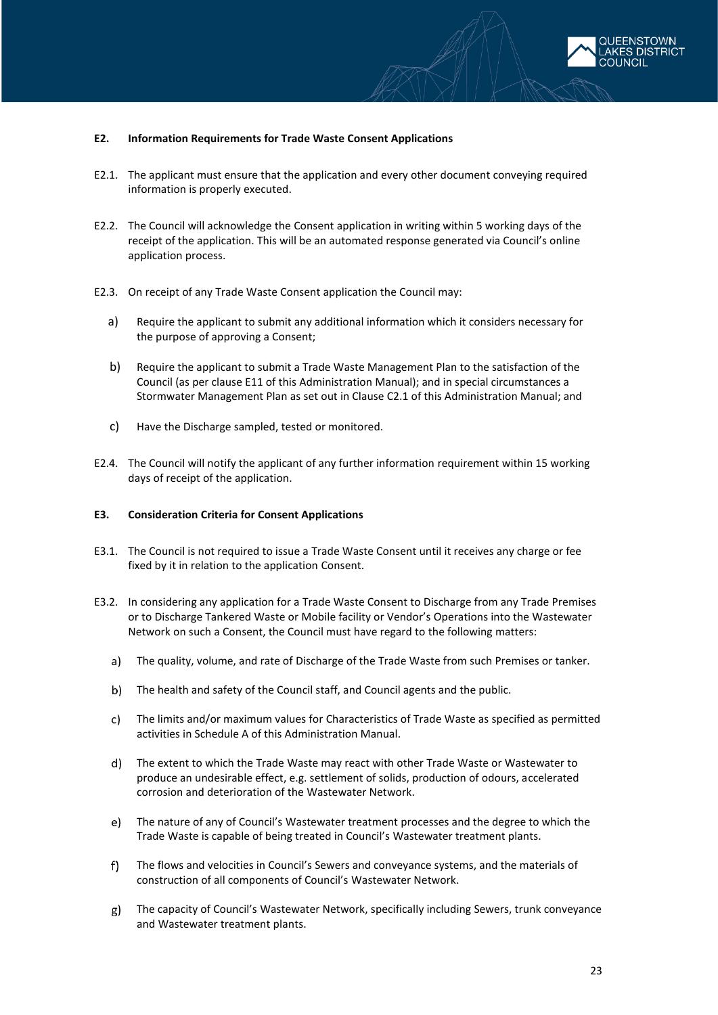

#### <span id="page-22-0"></span>**E2. Information Requirements for Trade Waste Consent Applications**

- E2.1. The applicant must ensure that the application and every other document conveying required information is properly executed.
- E2.2. The Council will acknowledge the Consent application in writing within 5 working days of the receipt of the application. This will be an automated response generated via Council's online application process.
- E2.3. On receipt of any Trade Waste Consent application the Council may:
	- a) Require the applicant to submit any additional information which it considers necessary for the purpose of approving a Consent;
	- b) Require the applicant to submit a Trade Waste Management Plan to the satisfaction of the Council (as per clause E11 of this Administration Manual); and in special circumstances a Stormwater Management Plan as set out in Clause C2.1 of this Administration Manual; and
	- c) Have the Discharge sampled, tested or monitored.
- E2.4. The Council will notify the applicant of any further information requirement within 15 working days of receipt of the application.

#### <span id="page-22-1"></span>**E3. Consideration Criteria for Consent Applications**

- E3.1. The Council is not required to issue a Trade Waste Consent until it receives any charge or fee fixed by it in relation to the application Consent.
- E3.2. In considering any application for a Trade Waste Consent to Discharge from any Trade Premises or to Discharge Tankered Waste or Mobile facility or Vendor's Operations into the Wastewater Network on such a Consent, the Council must have regard to the following matters:
	- a) The quality, volume, and rate of Discharge of the Trade Waste from such Premises or tanker.
	- $b)$ The health and safety of the Council staff, and Council agents and the public.
	- The limits and/or maximum values for Characteristics of Trade Waste as specified as permitted  $\mathsf{c}$ ) activities in Schedule A of this Administration Manual.
	- The extent to which the Trade Waste may react with other Trade Waste or Wastewater to produce an undesirable effect, e.g. settlement of solids, production of odours, accelerated corrosion and deterioration of the Wastewater Network.
	- $e)$ The nature of any of Council's Wastewater treatment processes and the degree to which the Trade Waste is capable of being treated in Council's Wastewater treatment plants.
	- $f$ ) The flows and velocities in Council's Sewers and conveyance systems, and the materials of construction of all components of Council's Wastewater Network.
	- g) The capacity of Council's Wastewater Network, specifically including Sewers, trunk conveyance and Wastewater treatment plants.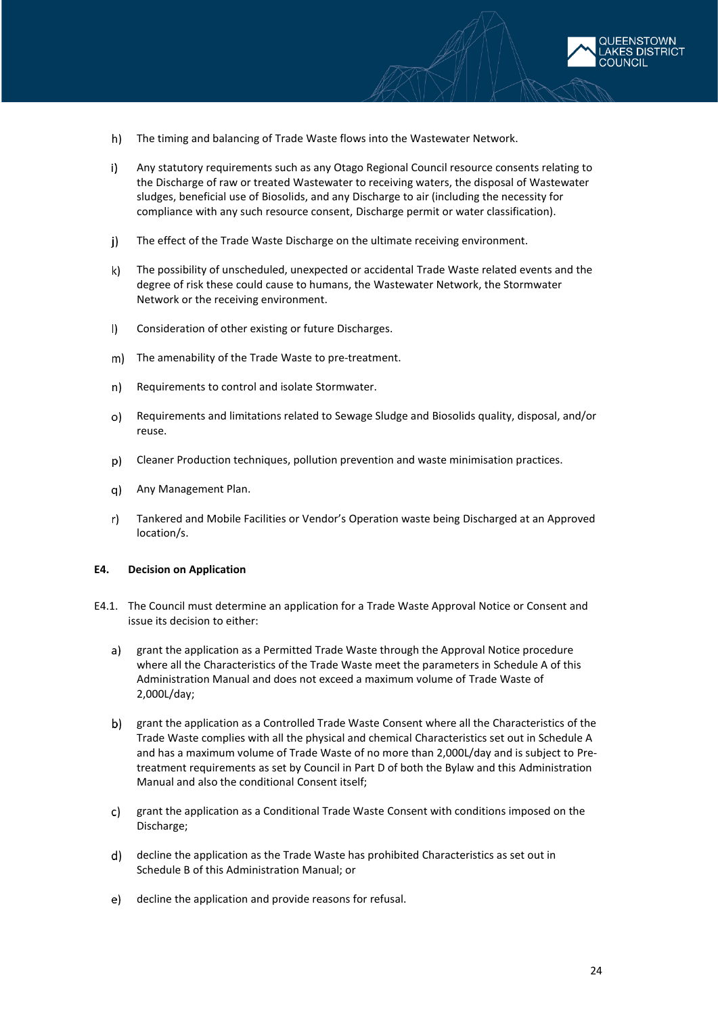

- $h$ The timing and balancing of Trade Waste flows into the Wastewater Network.
- $\mathbf{i}$ Any statutory requirements such as any Otago Regional Council resource consents relating to the Discharge of raw or treated Wastewater to receiving waters, the disposal of Wastewater sludges, beneficial use of Biosolids, and any Discharge to air (including the necessity for compliance with any such resource consent, Discharge permit or water classification).
- The effect of the Trade Waste Discharge on the ultimate receiving environment. j).
- $\mathsf{k}$ The possibility of unscheduled, unexpected or accidental Trade Waste related events and the degree of risk these could cause to humans, the Wastewater Network, the Stormwater Network or the receiving environment.
- $\mathbf{D}$ Consideration of other existing or future Discharges.
- m) The amenability of the Trade Waste to pre-treatment.
- $n$ ) Requirements to control and isolate Stormwater.
- Requirements and limitations related to Sewage Sludge and Biosolids quality, disposal, and/or  $O$ reuse.
- Cleaner Production techniques, pollution prevention and waste minimisation practices.
- q) -Any Management Plan.
- $r$ ) Tankered and Mobile Facilities or Vendor's Operation waste being Discharged at an Approved location/s.

#### <span id="page-23-0"></span>**E4. Decision on Application**

- E4.1. The Council must determine an application for a Trade Waste Approval Notice or Consent and issue its decision to either:
	- a) grant the application as a Permitted Trade Waste through the Approval Notice procedure where all the Characteristics of the Trade Waste meet the parameters in Schedule A of this Administration Manual and does not exceed a maximum volume of Trade Waste of 2,000L/day;
	- b) grant the application as a Controlled Trade Waste Consent where all the Characteristics of the Trade Waste complies with all the physical and chemical Characteristics set out in Schedule A and has a maximum volume of Trade Waste of no more than 2,000L/day and is subject to Pretreatment requirements as set by Council in Part D of both the Bylaw and this Administration Manual and also the conditional Consent itself;
	- grant the application as a Conditional Trade Waste Consent with conditions imposed on the  $c)$ Discharge;
	- decline the application as the Trade Waste has prohibited Characteristics as set out in Schedule B of this Administration Manual; or
	- e) decline the application and provide reasons for refusal.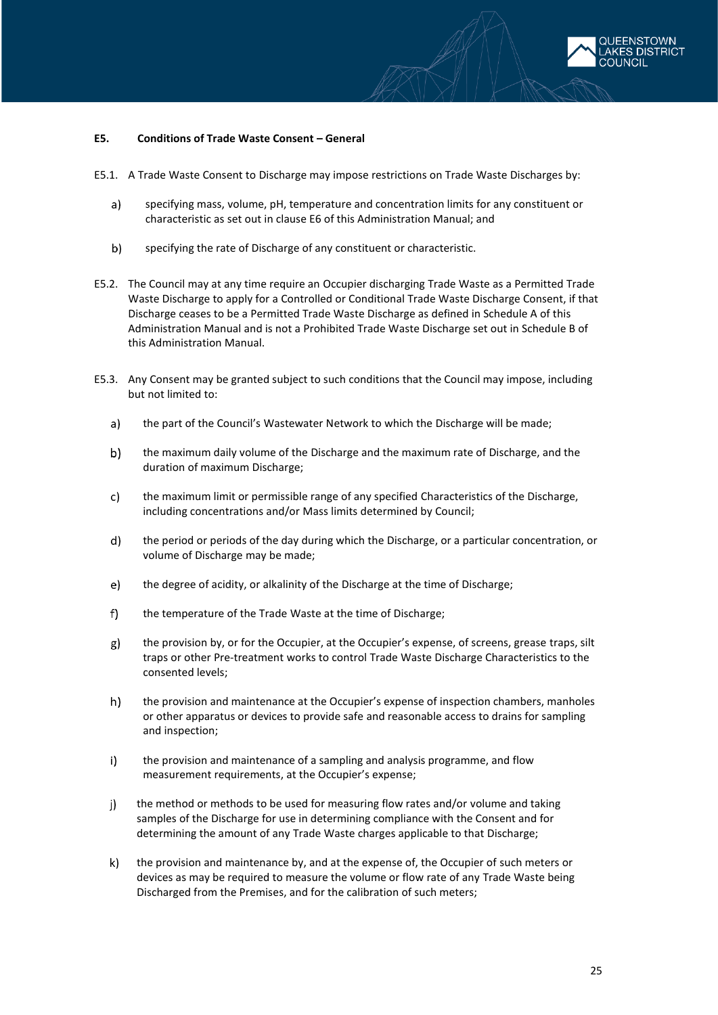

### <span id="page-24-0"></span>**E5. Conditions of Trade Waste Consent – General**

- E5.1. A Trade Waste Consent to Discharge may impose restrictions on Trade Waste Discharges by:
	- $a)$ specifying mass, volume, pH, temperature and concentration limits for any constituent or characteristic as set out in clause E6 of this Administration Manual; and
	- $b)$ specifying the rate of Discharge of any constituent or characteristic.
- E5.2. The Council may at any time require an Occupier discharging Trade Waste as a Permitted Trade Waste Discharge to apply for a Controlled or Conditional Trade Waste Discharge Consent, if that Discharge ceases to be a Permitted Trade Waste Discharge as defined in Schedule A of this Administration Manual and is not a Prohibited Trade Waste Discharge set out in Schedule B of this Administration Manual.
- E5.3. Any Consent may be granted subject to such conditions that the Council may impose, including but not limited to:
	- $a)$ the part of the Council's Wastewater Network to which the Discharge will be made;
	- $b)$ the maximum daily volume of the Discharge and the maximum rate of Discharge, and the duration of maximum Discharge;
	- c) the maximum limit or permissible range of any specified Characteristics of the Discharge, including concentrations and/or Mass limits determined by Council;
	- d) the period or periods of the day during which the Discharge, or a particular concentration, or volume of Discharge may be made;
	- e) the degree of acidity, or alkalinity of the Discharge at the time of Discharge;
	- $f$ ) the temperature of the Trade Waste at the time of Discharge;
	- g) the provision by, or for the Occupier, at the Occupier's expense, of screens, grease traps, silt traps or other Pre-treatment works to control Trade Waste Discharge Characteristics to the consented levels;
	- $h)$ the provision and maintenance at the Occupier's expense of inspection chambers, manholes or other apparatus or devices to provide safe and reasonable access to drains for sampling and inspection;
	- $\mathbf{i}$ the provision and maintenance of a sampling and analysis programme, and flow measurement requirements, at the Occupier's expense;
	- j) the method or methods to be used for measuring flow rates and/or volume and taking samples of the Discharge for use in determining compliance with the Consent and for determining the amount of any Trade Waste charges applicable to that Discharge;
	- $\mathsf{k}$ the provision and maintenance by, and at the expense of, the Occupier of such meters or devices as may be required to measure the volume or flow rate of any Trade Waste being Discharged from the Premises, and for the calibration of such meters;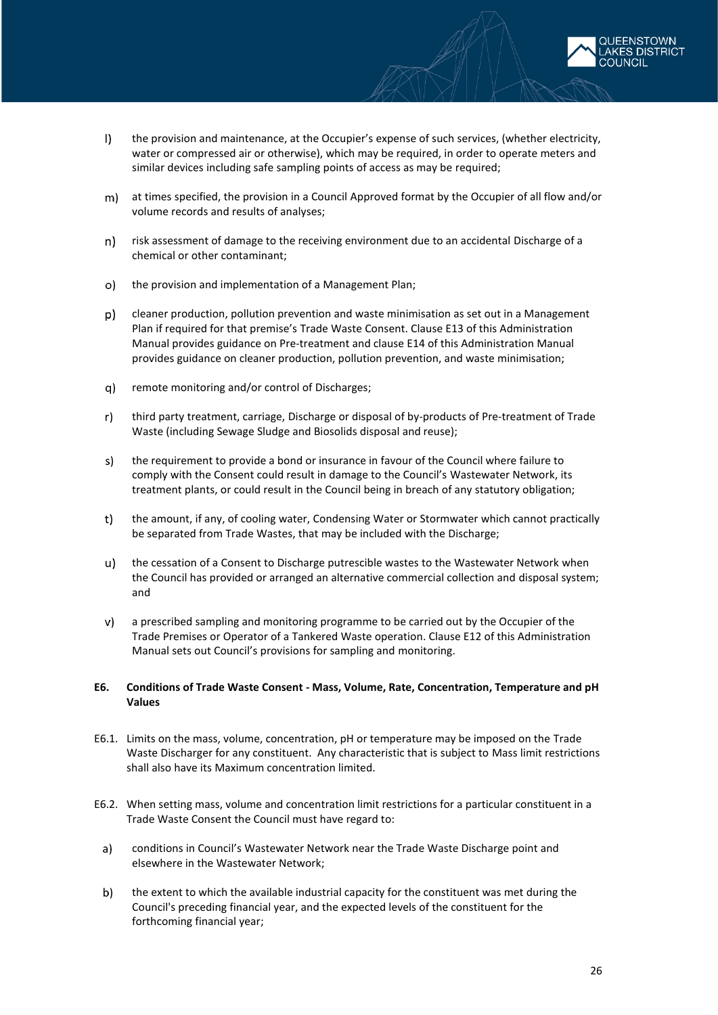- $\mathbf{D}$ the provision and maintenance, at the Occupier's expense of such services, (whether electricity, water or compressed air or otherwise), which may be required, in order to operate meters and similar devices including safe sampling points of access as may be required;
- at times specified, the provision in a Council Approved format by the Occupier of all flow and/or volume records and results of analyses;
- risk assessment of damage to the receiving environment due to an accidental Discharge of a  $n)$ chemical or other contaminant;
- the provision and implementation of a Management Plan;  $\circ$
- p) cleaner production, pollution prevention and waste minimisation as set out in a Management Plan if required for that premise's Trade Waste Consent. Clause E13 of this Administration Manual provides guidance on Pre-treatment and clause E14 of this Administration Manual provides guidance on cleaner production, pollution prevention, and waste minimisation;
- remote monitoring and/or control of Discharges; q)
- $r$ ) third party treatment, carriage, Discharge or disposal of by-products of Pre-treatment of Trade Waste (including Sewage Sludge and Biosolids disposal and reuse);
- s) the requirement to provide a bond or insurance in favour of the Council where failure to comply with the Consent could result in damage to the Council's Wastewater Network, its treatment plants, or could result in the Council being in breach of any statutory obligation;
- $t$ ) the amount, if any, of cooling water, Condensing Water or Stormwater which cannot practically be separated from Trade Wastes, that may be included with the Discharge;
- $u$ ) the cessation of a Consent to Discharge putrescible wastes to the Wastewater Network when the Council has provided or arranged an alternative commercial collection and disposal system; and
- v) a prescribed sampling and monitoring programme to be carried out by the Occupier of the Trade Premises or Operator of a Tankered Waste operation. Clause E12 of this Administration Manual sets out Council's provisions for sampling and monitoring.

### <span id="page-25-0"></span>**E6. Conditions of Trade Waste Consent - Mass, Volume, Rate, Concentration, Temperature and pH Values**

- E6.1. Limits on the mass, volume, concentration, pH or temperature may be imposed on the Trade Waste Discharger for any constituent. Any characteristic that is subject to Mass limit restrictions shall also have its Maximum concentration limited.
- E6.2. When setting mass, volume and concentration limit restrictions for a particular constituent in a Trade Waste Consent the Council must have regard to:
	- $a)$ conditions in Council's Wastewater Network near the Trade Waste Discharge point and elsewhere in the Wastewater Network;
	- $b)$ the extent to which the available industrial capacity for the constituent was met during the Council's preceding financial year, and the expected levels of the constituent for the forthcoming financial year;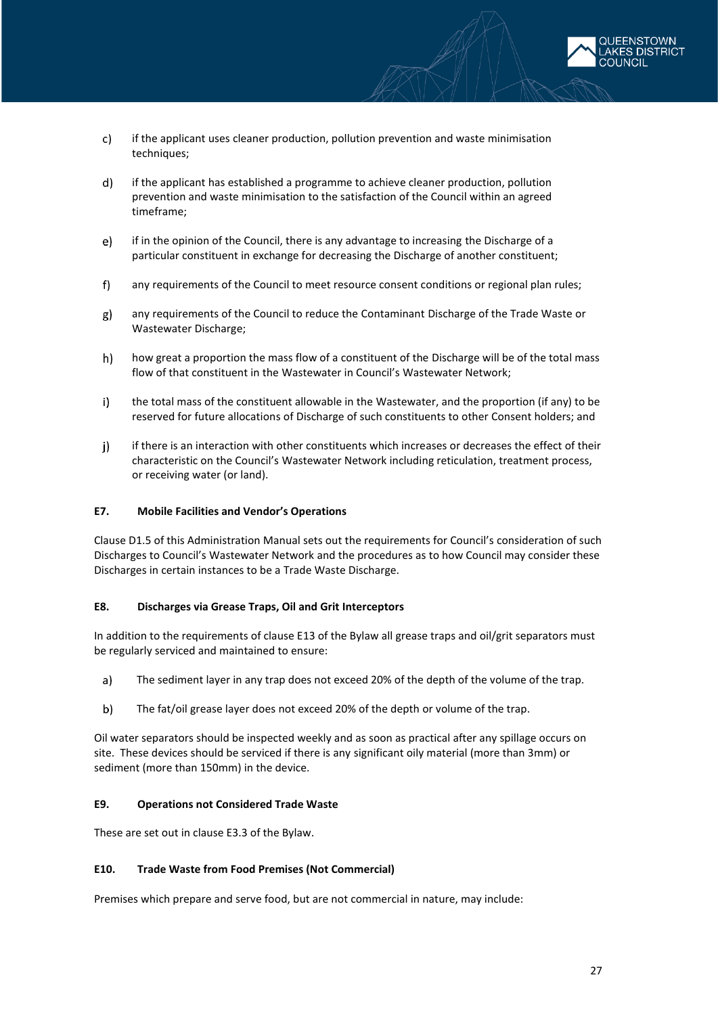

- $c)$ if the applicant uses cleaner production, pollution prevention and waste minimisation techniques;
- $\mathsf{d}$ if the applicant has established a programme to achieve cleaner production, pollution prevention and waste minimisation to the satisfaction of the Council within an agreed timeframe;
- if in the opinion of the Council, there is any advantage to increasing the Discharge of a  $\vert e \rangle$ particular constituent in exchange for decreasing the Discharge of another constituent;
- $f$ any requirements of the Council to meet resource consent conditions or regional plan rules;
- g) any requirements of the Council to reduce the Contaminant Discharge of the Trade Waste or Wastewater Discharge;
- $h$ how great a proportion the mass flow of a constituent of the Discharge will be of the total mass flow of that constituent in the Wastewater in Council's Wastewater Network;
- $i)$ the total mass of the constituent allowable in the Wastewater, and the proportion (if any) to be reserved for future allocations of Discharge of such constituents to other Consent holders; and
- $\mathbf{i}$ if there is an interaction with other constituents which increases or decreases the effect of their characteristic on the Council's Wastewater Network including reticulation, treatment process, or receiving water (or land).

### <span id="page-26-0"></span>**E7. Mobile Facilities and Vendor's Operations**

Clause D1.5 of this Administration Manual sets out the requirements for Council's consideration of such Discharges to Council's Wastewater Network and the procedures as to how Council may consider these Discharges in certain instances to be a Trade Waste Discharge.

#### <span id="page-26-1"></span>**E8. Discharges via Grease Traps, Oil and Grit Interceptors**

In addition to the requirements of clause E13 of the Bylaw all grease traps and oil/grit separators must be regularly serviced and maintained to ensure:

- $a)$ The sediment layer in any trap does not exceed 20% of the depth of the volume of the trap.
- $b)$ The fat/oil grease layer does not exceed 20% of the depth or volume of the trap.

Oil water separators should be inspected weekly and as soon as practical after any spillage occurs on site. These devices should be serviced if there is any significant oily material (more than 3mm) or sediment (more than 150mm) in the device.

### <span id="page-26-2"></span>**E9. Operations not Considered Trade Waste**

<span id="page-26-3"></span>These are set out in clause E3.3 of the Bylaw.

### **E10. Trade Waste from Food Premises (Not Commercial)**

Premises which prepare and serve food, but are not commercial in nature, may include: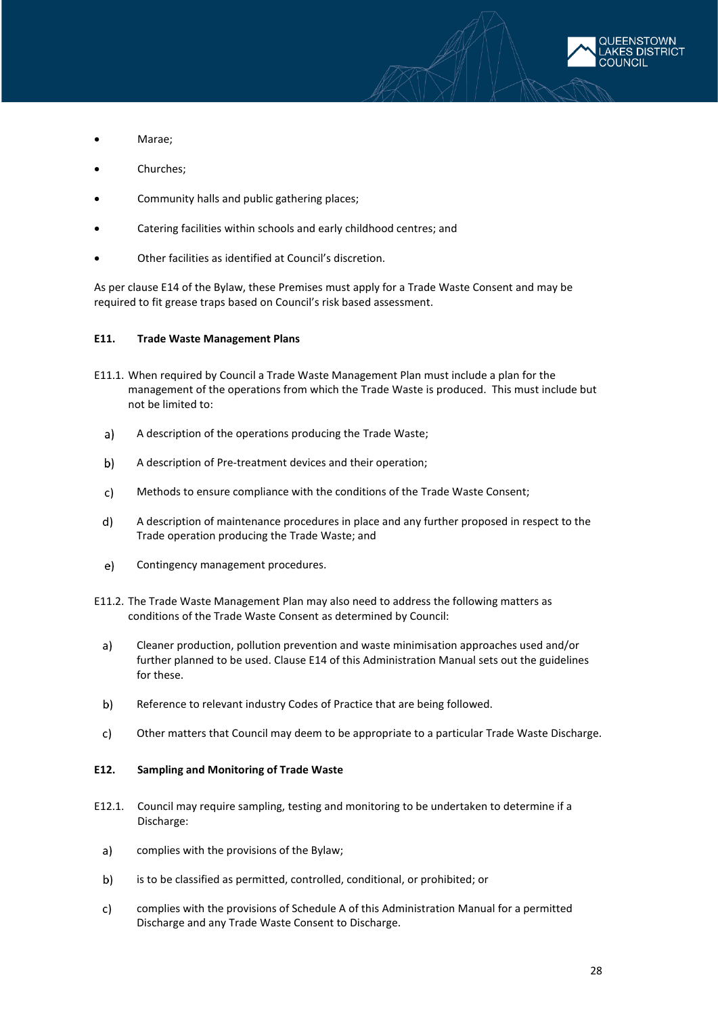

- Marae;
- Churches;
- Community halls and public gathering places;
- Catering facilities within schools and early childhood centres; and
- Other facilities as identified at Council's discretion.

As per clause E14 of the Bylaw, these Premises must apply for a Trade Waste Consent and may be required to fit grease traps based on Council's risk based assessment.

#### <span id="page-27-0"></span>**E11. Trade Waste Management Plans**

- E11.1. When required by Council a Trade Waste Management Plan must include a plan for the management of the operations from which the Trade Waste is produced. This must include but not be limited to:
	- A description of the operations producing the Trade Waste;  $a)$
	- A description of Pre-treatment devices and their operation; b)
	- $c)$ Methods to ensure compliance with the conditions of the Trade Waste Consent;
	- A description of maintenance procedures in place and any further proposed in respect to the  $d)$ Trade operation producing the Trade Waste; and
	- e) Contingency management procedures.
- E11.2. The Trade Waste Management Plan may also need to address the following matters as conditions of the Trade Waste Consent as determined by Council:
	- Cleaner production, pollution prevention and waste minimisation approaches used and/or a) further planned to be used. Clause E14 of this Administration Manual sets out the guidelines for these.
	- Reference to relevant industry Codes of Practice that are being followed. b)
	- c) Other matters that Council may deem to be appropriate to a particular Trade Waste Discharge.

### <span id="page-27-1"></span>**E12. Sampling and Monitoring of Trade Waste**

- E12.1. Council may require sampling, testing and monitoring to be undertaken to determine if a Discharge:
	- $a)$ complies with the provisions of the Bylaw;
	- $b)$ is to be classified as permitted, controlled, conditional, or prohibited; or
	- $c)$ complies with the provisions of Schedule A of this Administration Manual for a permitted Discharge and any Trade Waste Consent to Discharge.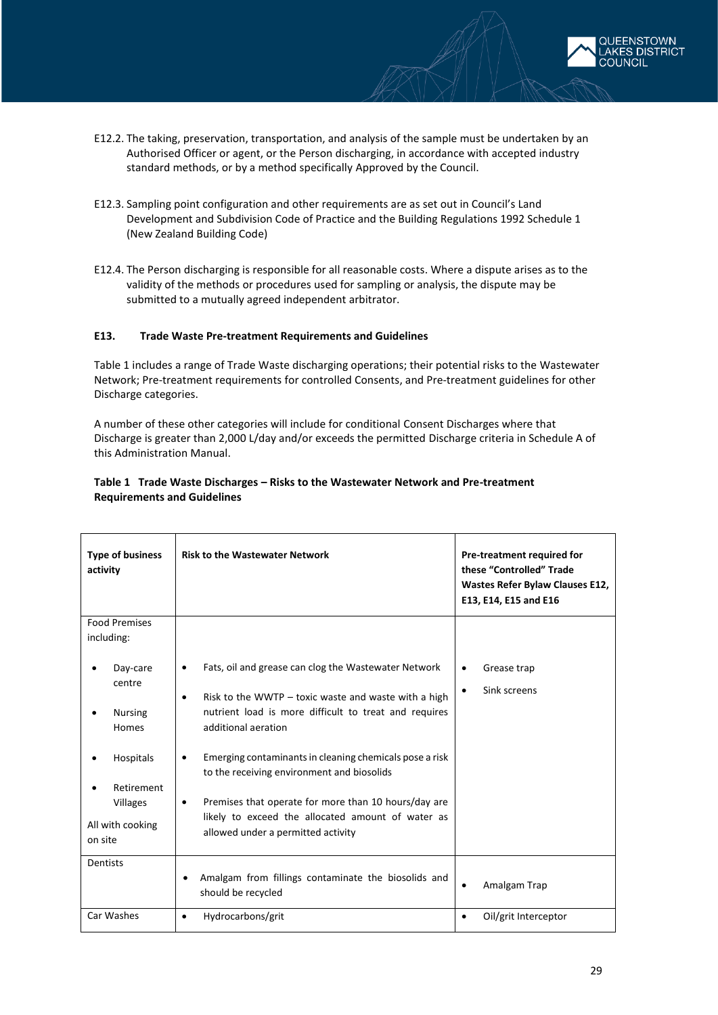

- E12.2. The taking, preservation, transportation, and analysis of the sample must be undertaken by an Authorised Officer or agent, or the Person discharging, in accordance with accepted industry standard methods, or by a method specifically Approved by the Council.
- E12.3. Sampling point configuration and other requirements are as set out in Council's Land Development and Subdivision Code of Practice and the Building Regulations 1992 Schedule 1 (New Zealand Building Code)
- E12.4. The Person discharging is responsible for all reasonable costs. Where a dispute arises as to the validity of the methods or procedures used for sampling or analysis, the dispute may be submitted to a mutually agreed independent arbitrator.

### <span id="page-28-0"></span>**E13. Trade Waste Pre-treatment Requirements and Guidelines**

Table 1 includes a range of Trade Waste discharging operations; their potential risks to the Wastewater Network; Pre-treatment requirements for controlled Consents, and Pre-treatment guidelines for other Discharge categories.

A number of these other categories will include for conditional Consent Discharges where that Discharge is greater than 2,000 L/day and/or exceeds the permitted Discharge criteria in Schedule A of this Administration Manual.

| Table 1 Trade Waste Discharges – Risks to the Wastewater Network and Pre-treatment |
|------------------------------------------------------------------------------------|
| <b>Requirements and Guidelines</b>                                                 |

| <b>Type of business</b><br>activity | <b>Risk to the Wastewater Network</b>                                                                              | Pre-treatment required for<br>these "Controlled" Trade<br>Wastes Refer Bylaw Clauses E12,<br>E13, E14, E15 and E16 |
|-------------------------------------|--------------------------------------------------------------------------------------------------------------------|--------------------------------------------------------------------------------------------------------------------|
| <b>Food Premises</b>                |                                                                                                                    |                                                                                                                    |
| including:                          |                                                                                                                    |                                                                                                                    |
| Day-care                            | Fats, oil and grease can clog the Wastewater Network<br>$\bullet$                                                  | Grease trap<br>$\bullet$                                                                                           |
| centre                              | Risk to the WWTP $-$ toxic waste and waste with a high<br>$\bullet$                                                | Sink screens<br>$\bullet$                                                                                          |
| <b>Nursing</b><br>Homes             | nutrient load is more difficult to treat and requires<br>additional aeration                                       |                                                                                                                    |
| <b>Hospitals</b>                    | Emerging contaminants in cleaning chemicals pose a risk<br>$\bullet$<br>to the receiving environment and biosolids |                                                                                                                    |
| Retirement                          |                                                                                                                    |                                                                                                                    |
| Villages                            | Premises that operate for more than 10 hours/day are<br>$\bullet$                                                  |                                                                                                                    |
| All with cooking                    | likely to exceed the allocated amount of water as                                                                  |                                                                                                                    |
| on site                             | allowed under a permitted activity                                                                                 |                                                                                                                    |
| <b>Dentists</b>                     |                                                                                                                    |                                                                                                                    |
|                                     | Amalgam from fillings contaminate the biosolids and<br>should be recycled                                          | Amalgam Trap<br>$\bullet$                                                                                          |
| Car Washes                          | Hydrocarbons/grit<br>$\bullet$                                                                                     | Oil/grit Interceptor<br>$\bullet$                                                                                  |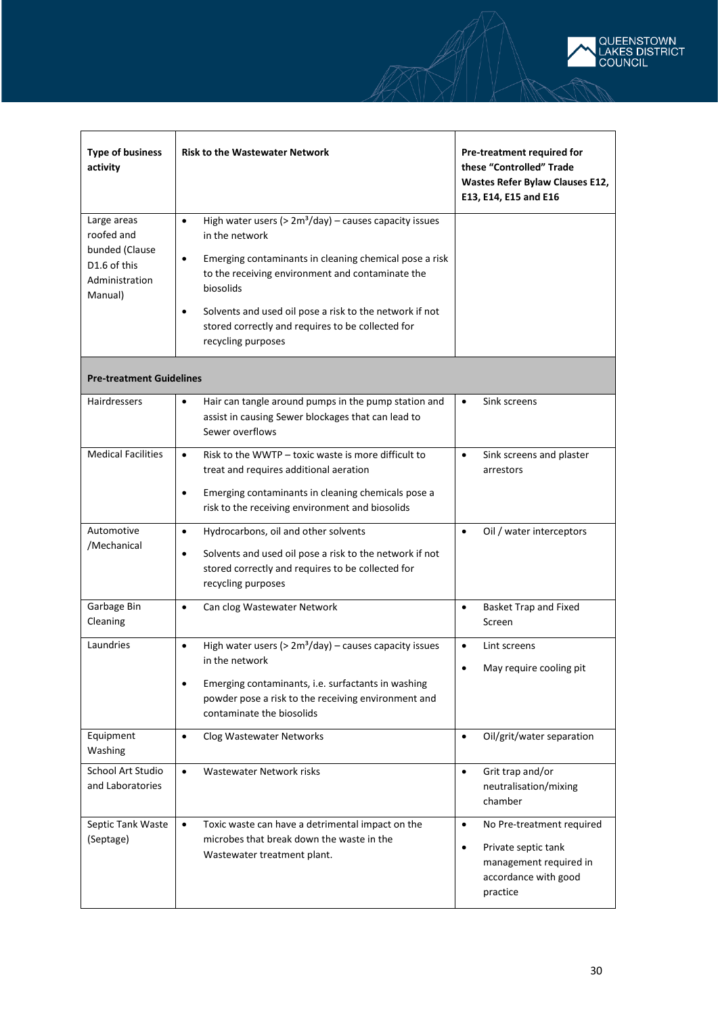

| <b>Type of business</b><br>activity                                                      | <b>Risk to the Wastewater Network</b>                                                                                                                                                                                                                                                                                                                                               | Pre-treatment required for<br>these "Controlled" Trade<br>Wastes Refer Bylaw Clauses E12,<br>E13, E14, E15 and E16                       |
|------------------------------------------------------------------------------------------|-------------------------------------------------------------------------------------------------------------------------------------------------------------------------------------------------------------------------------------------------------------------------------------------------------------------------------------------------------------------------------------|------------------------------------------------------------------------------------------------------------------------------------------|
| Large areas<br>roofed and<br>bunded (Clause<br>D1.6 of this<br>Administration<br>Manual) | High water users ( $> 2m3/day$ ) – causes capacity issues<br>$\bullet$<br>in the network<br>Emerging contaminants in cleaning chemical pose a risk<br>$\bullet$<br>to the receiving environment and contaminate the<br>biosolids<br>Solvents and used oil pose a risk to the network if not<br>$\bullet$<br>stored correctly and requires to be collected for<br>recycling purposes |                                                                                                                                          |
| <b>Pre-treatment Guidelines</b>                                                          |                                                                                                                                                                                                                                                                                                                                                                                     |                                                                                                                                          |
| <b>Hairdressers</b>                                                                      | Hair can tangle around pumps in the pump station and<br>$\bullet$<br>assist in causing Sewer blockages that can lead to<br>Sewer overflows                                                                                                                                                                                                                                          | Sink screens<br>$\bullet$                                                                                                                |
| <b>Medical Facilities</b>                                                                | Risk to the WWTP - toxic waste is more difficult to<br>$\bullet$<br>treat and requires additional aeration<br>Emerging contaminants in cleaning chemicals pose a<br>$\bullet$<br>risk to the receiving environment and biosolids                                                                                                                                                    | Sink screens and plaster<br>$\bullet$<br>arrestors                                                                                       |
| Automotive<br>/Mechanical                                                                | Hydrocarbons, oil and other solvents<br>$\bullet$<br>Solvents and used oil pose a risk to the network if not<br>$\bullet$<br>stored correctly and requires to be collected for<br>recycling purposes                                                                                                                                                                                | Oil / water interceptors<br>$\bullet$                                                                                                    |
| Garbage Bin<br>Cleaning                                                                  | Can clog Wastewater Network<br>$\bullet$                                                                                                                                                                                                                                                                                                                                            | <b>Basket Trap and Fixed</b><br>$\bullet$<br>Screen                                                                                      |
| Laundries                                                                                | High water users ( $> 2m3/day$ ) – causes capacity issues<br>$\bullet$<br>in the network<br>Emerging contaminants, i.e. surfactants in washing<br>$\bullet$<br>powder pose a risk to the receiving environment and<br>contaminate the biosolids                                                                                                                                     | Lint screens<br>$\bullet$<br>May require cooling pit                                                                                     |
| Equipment<br>Washing                                                                     | $\bullet$<br>Clog Wastewater Networks                                                                                                                                                                                                                                                                                                                                               | Oil/grit/water separation<br>$\bullet$                                                                                                   |
| School Art Studio<br>and Laboratories                                                    | Wastewater Network risks<br>$\bullet$                                                                                                                                                                                                                                                                                                                                               | Grit trap and/or<br>$\bullet$<br>neutralisation/mixing<br>chamber                                                                        |
| Septic Tank Waste<br>(Septage)                                                           | $\bullet$<br>Toxic waste can have a detrimental impact on the<br>microbes that break down the waste in the<br>Wastewater treatment plant.                                                                                                                                                                                                                                           | No Pre-treatment required<br>$\bullet$<br>Private septic tank<br>$\bullet$<br>management required in<br>accordance with good<br>practice |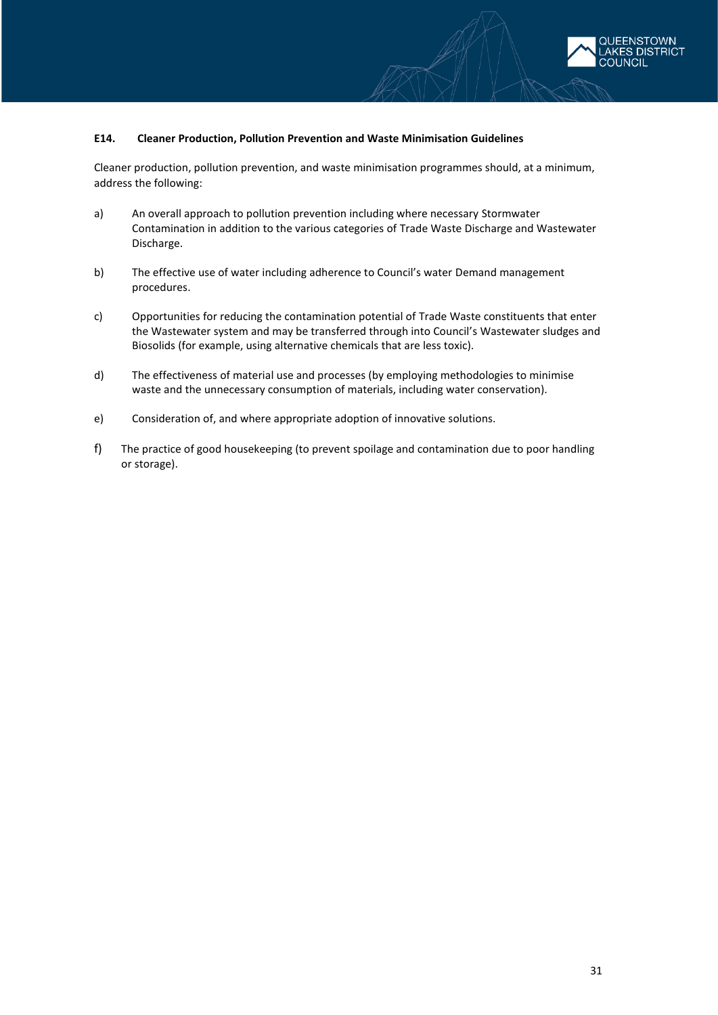

#### <span id="page-30-0"></span>**E14. Cleaner Production, Pollution Prevention and Waste Minimisation Guidelines**

Cleaner production, pollution prevention, and waste minimisation programmes should, at a minimum, address the following:

- a) An overall approach to pollution prevention including where necessary Stormwater Contamination in addition to the various categories of Trade Waste Discharge and Wastewater Discharge.
- b) The effective use of water including adherence to Council's water Demand management procedures.
- c) Opportunities for reducing the contamination potential of Trade Waste constituents that enter the Wastewater system and may be transferred through into Council's Wastewater sludges and Biosolids (for example, using alternative chemicals that are less toxic).
- d) The effectiveness of material use and processes (by employing methodologies to minimise waste and the unnecessary consumption of materials, including water conservation).
- e) Consideration of, and where appropriate adoption of innovative solutions.
- f) The practice of good housekeeping (to prevent spoilage and contamination due to poor handling or storage).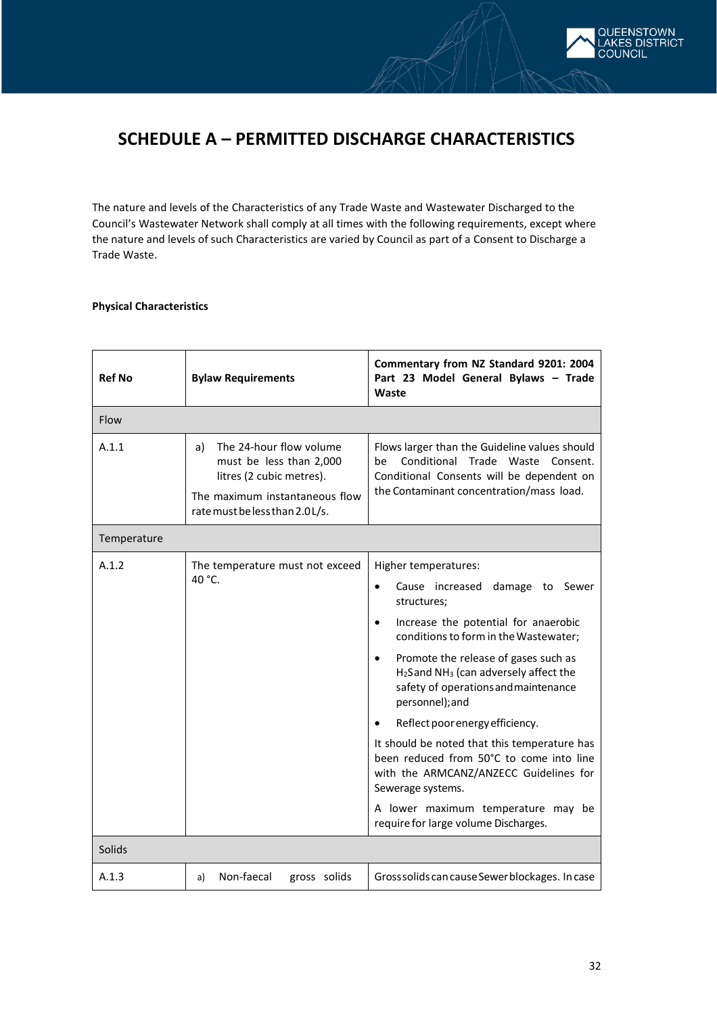

# **SCHEDULE A – PERMITTED DISCHARGE CHARACTERISTICS**

The nature and levels of the Characteristics of any Trade Waste and Wastewater Discharged to the Council's Wastewater Network shall comply at all times with the following requirements, except where the nature and levels of such Characteristics are varied by Council as part of a Consent to Discharge a Trade Waste.

### **Physical Characteristics**

| <b>Ref No</b> | <b>Bylaw Requirements</b>                                                                                                                                 | Commentary from NZ Standard 9201: 2004<br>Part 23 Model General Bylaws - Trade<br>Waste                                                                                                                                                                                                                                                                                                                                                                                                                                                                                                                                                           |
|---------------|-----------------------------------------------------------------------------------------------------------------------------------------------------------|---------------------------------------------------------------------------------------------------------------------------------------------------------------------------------------------------------------------------------------------------------------------------------------------------------------------------------------------------------------------------------------------------------------------------------------------------------------------------------------------------------------------------------------------------------------------------------------------------------------------------------------------------|
| Flow          |                                                                                                                                                           |                                                                                                                                                                                                                                                                                                                                                                                                                                                                                                                                                                                                                                                   |
| A.1.1         | The 24-hour flow volume<br>a)<br>must be less than 2,000<br>litres (2 cubic metres).<br>The maximum instantaneous flow<br>rate must be less than 2.0 L/s. | Flows larger than the Guideline values should<br>Conditional Trade Waste Consent.<br>be<br>Conditional Consents will be dependent on<br>the Contaminant concentration/mass load.                                                                                                                                                                                                                                                                                                                                                                                                                                                                  |
| Temperature   |                                                                                                                                                           |                                                                                                                                                                                                                                                                                                                                                                                                                                                                                                                                                                                                                                                   |
| A.1.2         | The temperature must not exceed<br>40 °C.                                                                                                                 | Higher temperatures:<br>damage to Sewer<br>Cause increased<br>$\bullet$<br>structures;<br>Increase the potential for anaerobic<br>$\bullet$<br>conditions to form in the Wastewater;<br>Promote the release of gases such as<br>$\bullet$<br>H <sub>2</sub> Sand NH <sub>3</sub> (can adversely affect the<br>safety of operations and maintenance<br>personnel); and<br>Reflect poor energy efficiency.<br>It should be noted that this temperature has<br>been reduced from 50°C to come into line<br>with the ARMCANZ/ANZECC Guidelines for<br>Sewerage systems.<br>A lower maximum temperature may be<br>require for large volume Discharges. |
| Solids        |                                                                                                                                                           |                                                                                                                                                                                                                                                                                                                                                                                                                                                                                                                                                                                                                                                   |
| A.1.3         | Non-faecal<br>gross solids<br>a)                                                                                                                          | Gross solids can cause Sewer blockages. In case                                                                                                                                                                                                                                                                                                                                                                                                                                                                                                                                                                                                   |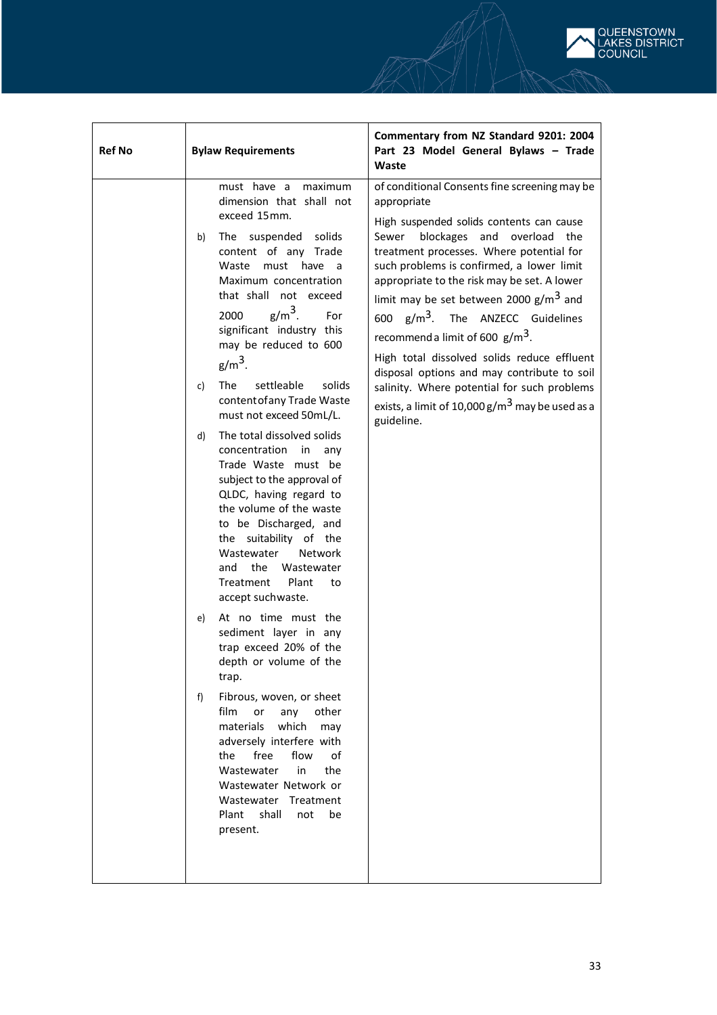

| <b>Ref No</b> | <b>Bylaw Requirements</b>                                                                                                                                                                                                                                                                                                                                                                                                                                                                                                                                                                                                                                                                                                                                                                                                                                                                                                                                                                                                                                                                                                       | Commentary from NZ Standard 9201: 2004<br>Part 23 Model General Bylaws - Trade<br>Waste                                                                                                                                                                                                                                                                                                                                                                                                                                                                                                                                                                |
|---------------|---------------------------------------------------------------------------------------------------------------------------------------------------------------------------------------------------------------------------------------------------------------------------------------------------------------------------------------------------------------------------------------------------------------------------------------------------------------------------------------------------------------------------------------------------------------------------------------------------------------------------------------------------------------------------------------------------------------------------------------------------------------------------------------------------------------------------------------------------------------------------------------------------------------------------------------------------------------------------------------------------------------------------------------------------------------------------------------------------------------------------------|--------------------------------------------------------------------------------------------------------------------------------------------------------------------------------------------------------------------------------------------------------------------------------------------------------------------------------------------------------------------------------------------------------------------------------------------------------------------------------------------------------------------------------------------------------------------------------------------------------------------------------------------------------|
|               | must have a<br>maximum<br>dimension that shall not<br>exceed 15mm.<br>The suspended solids<br>b)<br>content of any Trade<br>Waste<br>must have<br>a<br>Maximum concentration<br>that shall not exceed<br>$g/m3$ .<br>2000<br>For<br>significant industry this<br>may be reduced to 600<br>$g/m3$ .<br>settleable<br>solids<br>The<br>c)<br>content of any Trade Waste<br>must not exceed 50mL/L.<br>The total dissolved solids<br>d)<br>concentration<br>in<br>any<br>Trade Waste must be<br>subject to the approval of<br>QLDC, having regard to<br>the volume of the waste<br>to be Discharged, and<br>the suitability of the<br>Wastewater<br><b>Network</b><br>and the Wastewater<br>Plant<br>Treatment<br>to<br>accept suchwaste.<br>At no time must the<br>e)<br>sediment layer in any<br>trap exceed 20% of the<br>depth or volume of the<br>trap.<br>f<br>Fibrous, woven, or sheet<br>film<br>or<br>any other<br>which<br>materials<br>may<br>adversely interfere with<br>free<br>flow<br>the<br>οf<br>Wastewater<br>in<br>the<br>Wastewater Network or<br>Wastewater Treatment<br>Plant shall<br>not<br>be<br>present. | of conditional Consents fine screening may be<br>appropriate<br>High suspended solids contents can cause<br>blockages and overload the<br>Sewer<br>treatment processes. Where potential for<br>such problems is confirmed, a lower limit<br>appropriate to the risk may be set. A lower<br>limit may be set between 2000 $g/m^3$ and<br>600 g/m <sup>3</sup> . The ANZECC Guidelines<br>recommend a limit of 600 $\text{g/m}^3$ .<br>High total dissolved solids reduce effluent<br>disposal options and may contribute to soil<br>salinity. Where potential for such problems<br>exists, a limit of 10,000 $\rm g/m^3$ may be used as a<br>guideline. |
|               |                                                                                                                                                                                                                                                                                                                                                                                                                                                                                                                                                                                                                                                                                                                                                                                                                                                                                                                                                                                                                                                                                                                                 |                                                                                                                                                                                                                                                                                                                                                                                                                                                                                                                                                                                                                                                        |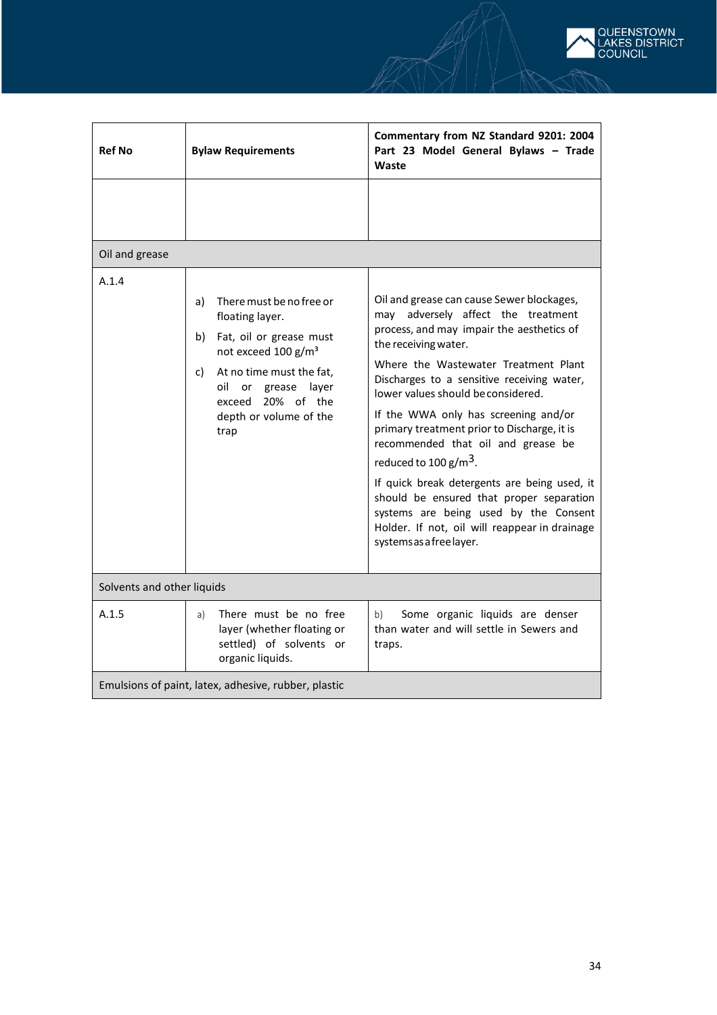

| <b>Ref No</b>                                        | <b>Bylaw Requirements</b>                                                                                                                                                                                                             | Commentary from NZ Standard 9201: 2004<br>Part 23 Model General Bylaws - Trade<br>Waste                                                                                                                                                                                                                                                                                                                                                                                                                                                                                                                                                                             |
|------------------------------------------------------|---------------------------------------------------------------------------------------------------------------------------------------------------------------------------------------------------------------------------------------|---------------------------------------------------------------------------------------------------------------------------------------------------------------------------------------------------------------------------------------------------------------------------------------------------------------------------------------------------------------------------------------------------------------------------------------------------------------------------------------------------------------------------------------------------------------------------------------------------------------------------------------------------------------------|
|                                                      |                                                                                                                                                                                                                                       |                                                                                                                                                                                                                                                                                                                                                                                                                                                                                                                                                                                                                                                                     |
| Oil and grease                                       |                                                                                                                                                                                                                                       |                                                                                                                                                                                                                                                                                                                                                                                                                                                                                                                                                                                                                                                                     |
| A.1.4                                                | There must be no free or<br>a)<br>floating layer.<br>b)<br>Fat, oil or grease must<br>not exceed 100 g/m <sup>3</sup><br>At no time must the fat,<br>C)<br>oil or grease layer<br>exceed 20% of the<br>depth or volume of the<br>trap | Oil and grease can cause Sewer blockages,<br>may adversely affect the treatment<br>process, and may impair the aesthetics of<br>the receiving water.<br>Where the Wastewater Treatment Plant<br>Discharges to a sensitive receiving water,<br>lower values should be considered.<br>If the WWA only has screening and/or<br>primary treatment prior to Discharge, it is<br>recommended that oil and grease be<br>reduced to 100 $\frac{g}{m^3}$ .<br>If quick break detergents are being used, it<br>should be ensured that proper separation<br>systems are being used by the Consent<br>Holder. If not, oil will reappear in drainage<br>systems as a free layer. |
| Solvents and other liquids                           |                                                                                                                                                                                                                                       |                                                                                                                                                                                                                                                                                                                                                                                                                                                                                                                                                                                                                                                                     |
| A.1.5                                                | There must be no free<br>a)<br>layer (whether floating or<br>settled) of solvents or<br>organic liquids.                                                                                                                              | b)<br>Some organic liquids are denser<br>than water and will settle in Sewers and<br>traps.                                                                                                                                                                                                                                                                                                                                                                                                                                                                                                                                                                         |
| Emulsions of paint, latex, adhesive, rubber, plastic |                                                                                                                                                                                                                                       |                                                                                                                                                                                                                                                                                                                                                                                                                                                                                                                                                                                                                                                                     |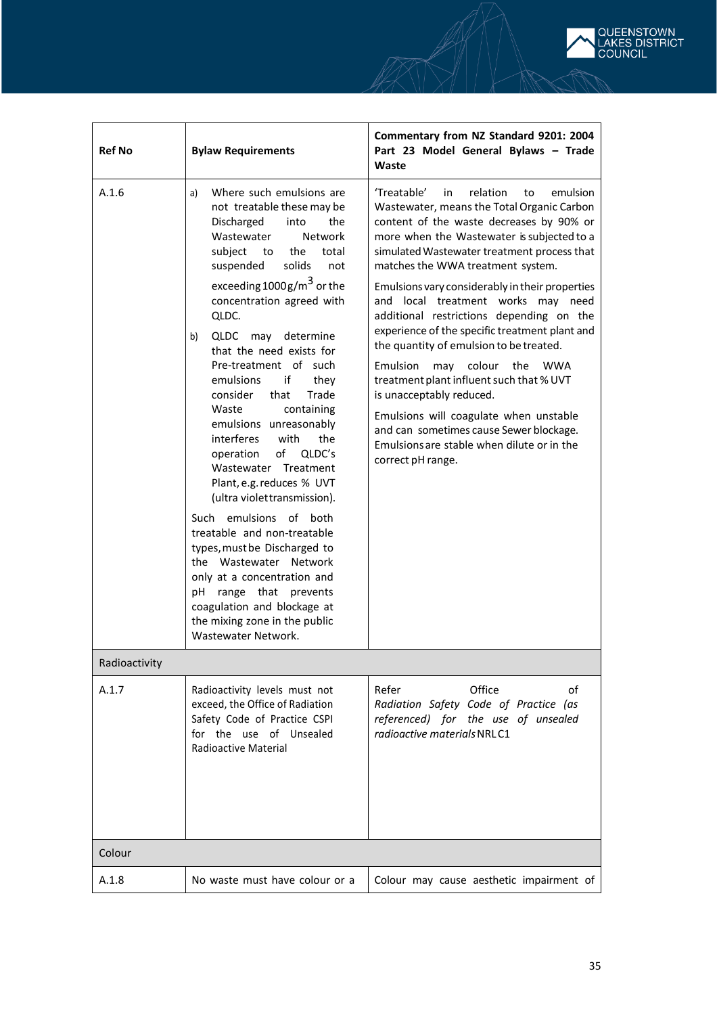

| <b>Ref No</b> | <b>Bylaw Requirements</b>                                                                                                                                                                                                                                                                                                                                                                                                                                                                                                                                                                                                                                                                                                                                                                                                                                                                | Commentary from NZ Standard 9201: 2004<br>Part 23 Model General Bylaws - Trade<br>Waste                                                                                                                                                                                                                                                                                                                                                                                                                                                                                                                                                                                                                                                                                                      |
|---------------|------------------------------------------------------------------------------------------------------------------------------------------------------------------------------------------------------------------------------------------------------------------------------------------------------------------------------------------------------------------------------------------------------------------------------------------------------------------------------------------------------------------------------------------------------------------------------------------------------------------------------------------------------------------------------------------------------------------------------------------------------------------------------------------------------------------------------------------------------------------------------------------|----------------------------------------------------------------------------------------------------------------------------------------------------------------------------------------------------------------------------------------------------------------------------------------------------------------------------------------------------------------------------------------------------------------------------------------------------------------------------------------------------------------------------------------------------------------------------------------------------------------------------------------------------------------------------------------------------------------------------------------------------------------------------------------------|
| A.1.6         | Where such emulsions are<br>a)<br>not treatable these may be<br>Discharged<br>into<br>the<br>Wastewater<br><b>Network</b><br>the<br>subject<br>total<br>to<br>solids<br>suspended<br>not<br>exceeding $1000$ g/m <sup>3</sup> or the<br>concentration agreed with<br>QLDC.<br>QLDC may determine<br>b)<br>that the need exists for<br>Pre-treatment of such<br>if<br>emulsions<br>they<br>consider<br>that<br>Trade<br>containing<br>Waste<br>emulsions unreasonably<br>interferes<br>with<br>the<br>of<br>QLDC's<br>operation<br>Wastewater Treatment<br>Plant, e.g. reduces % UVT<br>(ultra violettransmission).<br>Such emulsions of both<br>treatable and non-treatable<br>types, must be Discharged to<br>the Wastewater Network<br>only at a concentration and<br>range that prevents<br>рH<br>coagulation and blockage at<br>the mixing zone in the public<br>Wastewater Network. | 'Treatable'<br>relation<br>emulsion<br>in<br>to<br>Wastewater, means the Total Organic Carbon<br>content of the waste decreases by 90% or<br>more when the Wastewater is subjected to a<br>simulated Wastewater treatment process that<br>matches the WWA treatment system.<br>Emulsions vary considerably in their properties<br>and local treatment works may need<br>additional restrictions depending on the<br>experience of the specific treatment plant and<br>the quantity of emulsion to be treated.<br>may colour<br>Emulsion<br>the<br><b>WWA</b><br>treatment plant influent such that % UVT<br>is unacceptably reduced.<br>Emulsions will coagulate when unstable<br>and can sometimes cause Sewer blockage.<br>Emulsions are stable when dilute or in the<br>correct pH range. |
| Radioactivity |                                                                                                                                                                                                                                                                                                                                                                                                                                                                                                                                                                                                                                                                                                                                                                                                                                                                                          |                                                                                                                                                                                                                                                                                                                                                                                                                                                                                                                                                                                                                                                                                                                                                                                              |
| A.1.7         | Radioactivity levels must not<br>exceed, the Office of Radiation<br>Safety Code of Practice CSPI<br>for the use of Unsealed<br>Radioactive Material                                                                                                                                                                                                                                                                                                                                                                                                                                                                                                                                                                                                                                                                                                                                      | Office<br>Refer<br>οf<br>Radiation Safety Code of Practice (as<br>referenced) for the use of unsealed<br>radioactive materials NRLC1                                                                                                                                                                                                                                                                                                                                                                                                                                                                                                                                                                                                                                                         |
| Colour        |                                                                                                                                                                                                                                                                                                                                                                                                                                                                                                                                                                                                                                                                                                                                                                                                                                                                                          |                                                                                                                                                                                                                                                                                                                                                                                                                                                                                                                                                                                                                                                                                                                                                                                              |
| A.1.8         | No waste must have colour or a                                                                                                                                                                                                                                                                                                                                                                                                                                                                                                                                                                                                                                                                                                                                                                                                                                                           | Colour may cause aesthetic impairment of                                                                                                                                                                                                                                                                                                                                                                                                                                                                                                                                                                                                                                                                                                                                                     |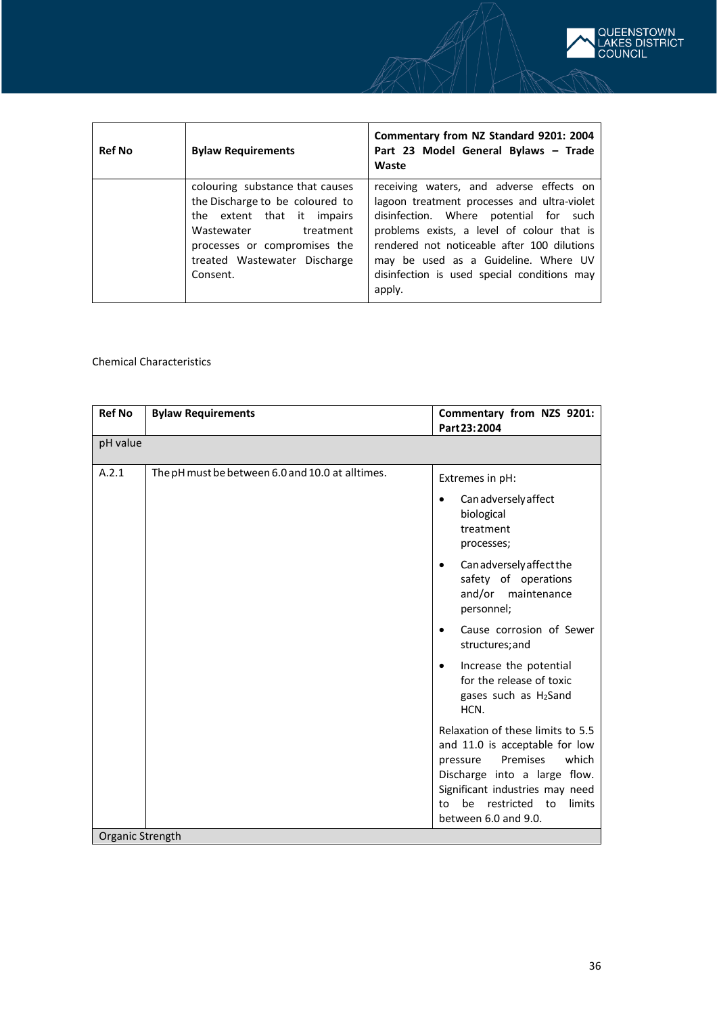

| <b>Ref No</b> | <b>Bylaw Requirements</b>                                                                                                                                                                               | Commentary from NZ Standard 9201: 2004<br>Part 23 Model General Bylaws - Trade<br>Waste                                                                                                                                                                                                                                         |
|---------------|---------------------------------------------------------------------------------------------------------------------------------------------------------------------------------------------------------|---------------------------------------------------------------------------------------------------------------------------------------------------------------------------------------------------------------------------------------------------------------------------------------------------------------------------------|
|               | colouring substance that causes<br>the Discharge to be coloured to<br>the extent that it impairs<br>Wastewater<br>treatment<br>processes or compromises the<br>treated Wastewater Discharge<br>Consent. | receiving waters, and adverse effects on<br>lagoon treatment processes and ultra-violet<br>disinfection. Where potential for such<br>problems exists, a level of colour that is<br>rendered not noticeable after 100 dilutions<br>may be used as a Guideline. Where UV<br>disinfection is used special conditions may<br>apply. |

### Chemical Characteristics

| <b>Ref No</b>    | <b>Bylaw Requirements</b>                        | Commentary from NZS 9201:<br>Part 23:2004                                                                                                                                                                                              |  |  |  |
|------------------|--------------------------------------------------|----------------------------------------------------------------------------------------------------------------------------------------------------------------------------------------------------------------------------------------|--|--|--|
| pH value         |                                                  |                                                                                                                                                                                                                                        |  |  |  |
| A.2.1            | The pH must be between 6.0 and 10.0 at alltimes. | Extremes in pH:                                                                                                                                                                                                                        |  |  |  |
|                  |                                                  | Can adversely affect<br>biological<br>treatment<br>processes;                                                                                                                                                                          |  |  |  |
|                  |                                                  | Can adversely affect the<br>safety of operations<br>and/or maintenance<br>personnel;                                                                                                                                                   |  |  |  |
|                  |                                                  | Cause corrosion of Sewer<br>structures; and                                                                                                                                                                                            |  |  |  |
|                  |                                                  | Increase the potential<br>for the release of toxic<br>gases such as H2Sand<br>HCN.                                                                                                                                                     |  |  |  |
|                  |                                                  | Relaxation of these limits to 5.5<br>and 11.0 is acceptable for low<br>which<br>Premises<br>pressure<br>Discharge into a large flow.<br>Significant industries may need<br>be<br>restricted to<br>limits<br>to<br>between 6.0 and 9.0. |  |  |  |
| Organic Strength |                                                  |                                                                                                                                                                                                                                        |  |  |  |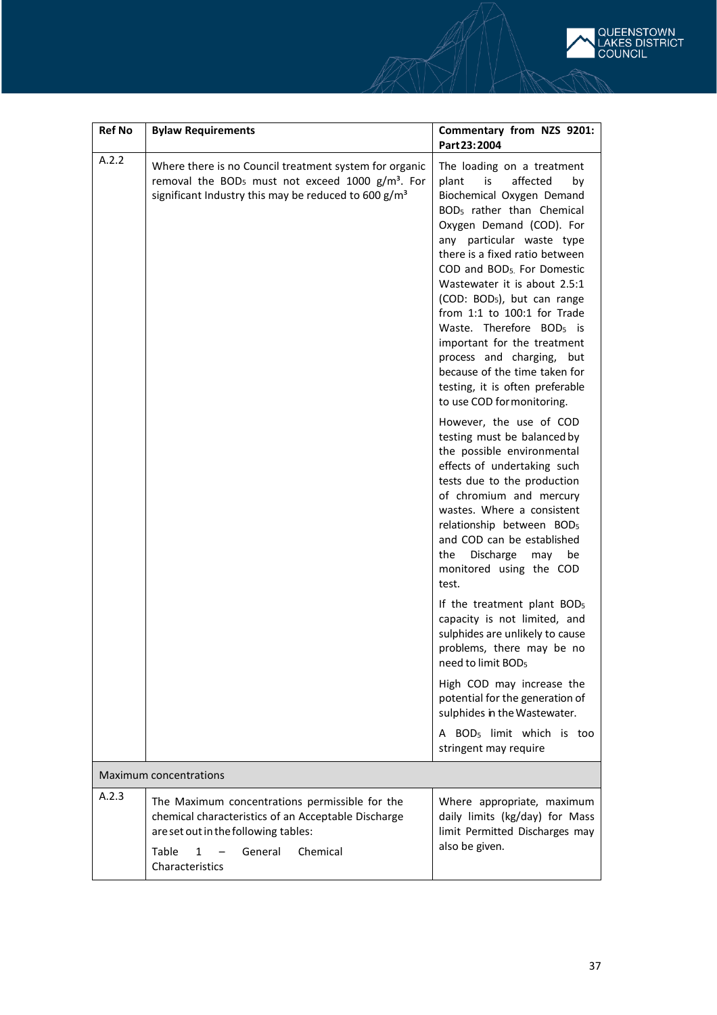

| <b>Ref No</b> | <b>Bylaw Requirements</b>                                                                                                                                                                              | Commentary from NZS 9201:<br>Part 23:2004                                                                                                                                                                                                                                                                                                                                                                                                                                                                                                                                                 |  |  |  |
|---------------|--------------------------------------------------------------------------------------------------------------------------------------------------------------------------------------------------------|-------------------------------------------------------------------------------------------------------------------------------------------------------------------------------------------------------------------------------------------------------------------------------------------------------------------------------------------------------------------------------------------------------------------------------------------------------------------------------------------------------------------------------------------------------------------------------------------|--|--|--|
| A.2.2         | Where there is no Council treatment system for organic<br>removal the BOD <sub>5</sub> must not exceed 1000 g/m <sup>3</sup> . For<br>significant Industry this may be reduced to 600 g/m <sup>3</sup> | The loading on a treatment<br>affected<br>plant<br>is<br>by<br>Biochemical Oxygen Demand<br>BOD <sub>5</sub> rather than Chemical<br>Oxygen Demand (COD). For<br>any particular waste type<br>there is a fixed ratio between<br>COD and BOD <sub>5</sub> For Domestic<br>Wastewater it is about 2.5:1<br>(COD: BOD <sub>5</sub> ), but can range<br>from $1:1$ to $100:1$ for Trade<br>Waste. Therefore BOD <sub>5</sub> is<br>important for the treatment<br>process and charging, but<br>because of the time taken for<br>testing, it is often preferable<br>to use COD for monitoring. |  |  |  |
|               |                                                                                                                                                                                                        | However, the use of COD<br>testing must be balanced by<br>the possible environmental<br>effects of undertaking such<br>tests due to the production<br>of chromium and mercury<br>wastes. Where a consistent<br>relationship between BOD <sub>5</sub><br>and COD can be established<br>Discharge<br>the<br>may<br>be<br>monitored using the COD<br>test.                                                                                                                                                                                                                                   |  |  |  |
|               |                                                                                                                                                                                                        | If the treatment plant BOD <sub>5</sub><br>capacity is not limited, and<br>sulphides are unlikely to cause<br>problems, there may be no<br>need to limit BOD <sub>5</sub>                                                                                                                                                                                                                                                                                                                                                                                                                 |  |  |  |
|               |                                                                                                                                                                                                        | High COD may increase the<br>potential for the generation of<br>sulphides in the Wastewater.                                                                                                                                                                                                                                                                                                                                                                                                                                                                                              |  |  |  |
|               |                                                                                                                                                                                                        | A BOD <sub>5</sub> limit which is too<br>stringent may require                                                                                                                                                                                                                                                                                                                                                                                                                                                                                                                            |  |  |  |
|               | <b>Maximum concentrations</b>                                                                                                                                                                          |                                                                                                                                                                                                                                                                                                                                                                                                                                                                                                                                                                                           |  |  |  |
| A.2.3         | The Maximum concentrations permissible for the<br>chemical characteristics of an Acceptable Discharge<br>are set out in the following tables:<br>Table<br>Chemical<br>General<br>1<br>Characteristics  | Where appropriate, maximum<br>daily limits (kg/day) for Mass<br>limit Permitted Discharges may<br>also be given.                                                                                                                                                                                                                                                                                                                                                                                                                                                                          |  |  |  |
|               |                                                                                                                                                                                                        |                                                                                                                                                                                                                                                                                                                                                                                                                                                                                                                                                                                           |  |  |  |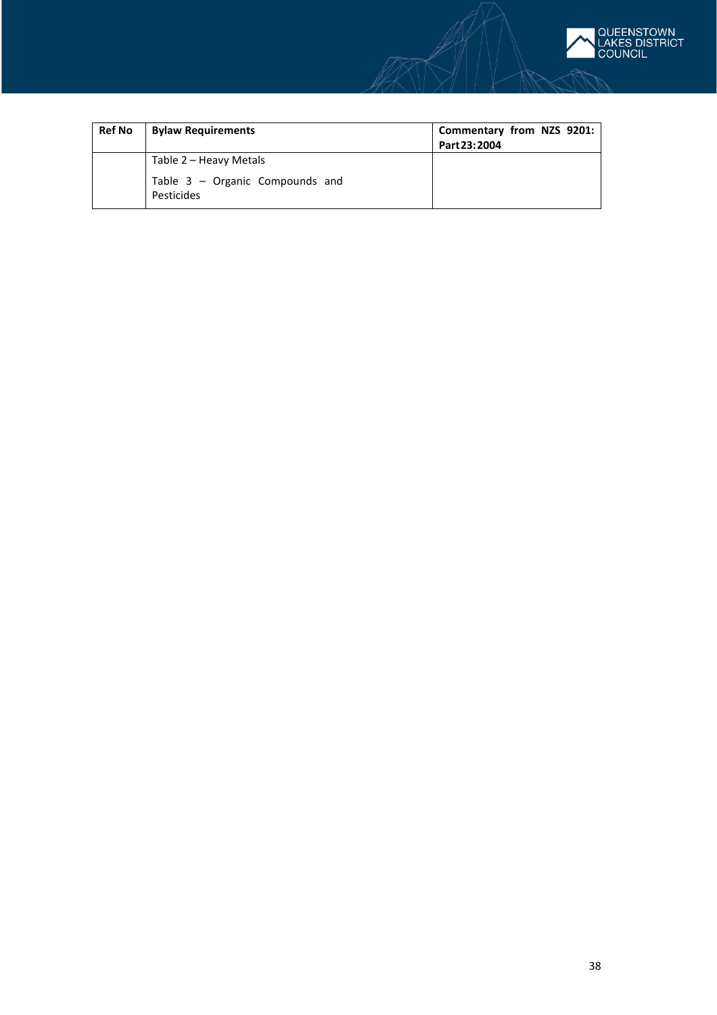

| <b>Ref No</b> | <b>Bylaw Requirements</b>                       | Commentary from NZS 9201:<br>Part 23: 2004 |
|---------------|-------------------------------------------------|--------------------------------------------|
|               | Table 2 – Heavy Metals                          |                                            |
|               | Table $3$ – Organic Compounds and<br>Pesticides |                                            |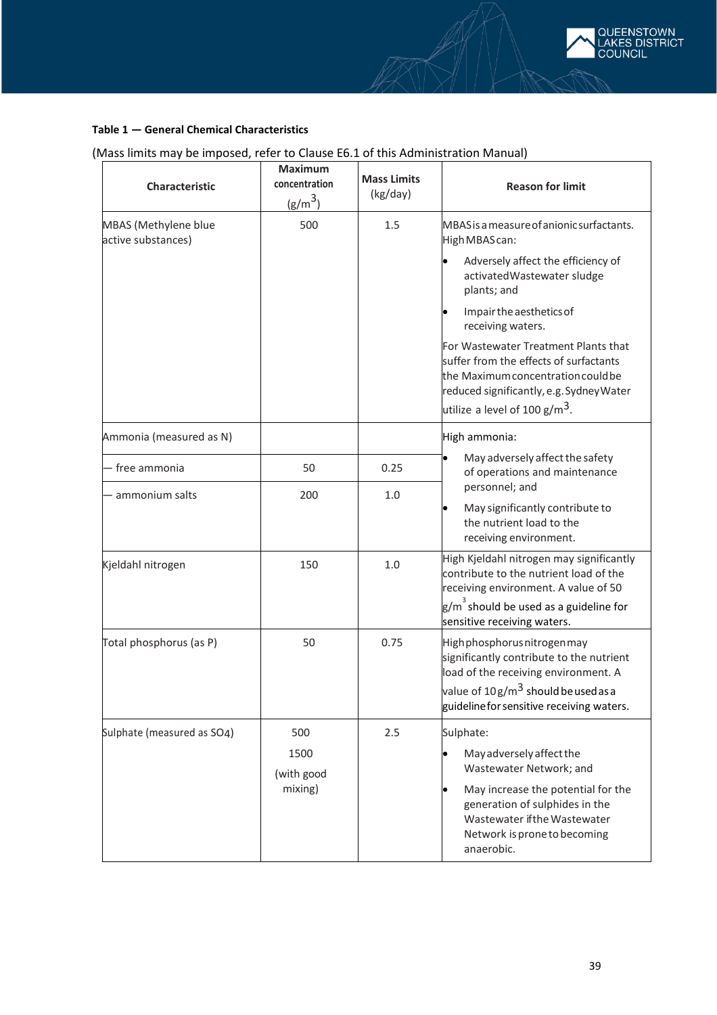

### **Table 1 — General Chemical Characteristics**

## (Mass limits may be imposed, refer to Clause E6.1 of this Administration Manual)

| Characteristic                             | <b>Maximum</b><br>concentration<br>$(g/m^3)$ | <b>Mass Limits</b><br>(kg/day) | <b>Reason for limit</b>                                                                                                                                                                                                                                                                                                                                                                                          |
|--------------------------------------------|----------------------------------------------|--------------------------------|------------------------------------------------------------------------------------------------------------------------------------------------------------------------------------------------------------------------------------------------------------------------------------------------------------------------------------------------------------------------------------------------------------------|
| MBAS (Methylene blue<br>active substances) | 500                                          | 1.5                            | MBAS is a measure of anionic surfactants.<br>High MBAS can:<br>Adversely affect the efficiency of<br>activatedWastewater sludge<br>plants; and<br>Impair the aesthetics of<br>receiving waters.<br>For Wastewater Treatment Plants that<br>suffer from the effects of surfactants<br>the Maximum concentration could be<br>reduced significantly, e.g. Sydney Water<br>utilize a level of 100 g/m <sup>3</sup> . |
| Ammonia (measured as N)                    |                                              |                                | High ammonia:                                                                                                                                                                                                                                                                                                                                                                                                    |
| - free ammonia                             | 50                                           | 0.25                           | May adversely affect the safety<br>of operations and maintenance                                                                                                                                                                                                                                                                                                                                                 |
| - ammonium salts                           | 200                                          | 1.0                            | personnel; and<br>May significantly contribute to<br>the nutrient load to the<br>receiving environment.                                                                                                                                                                                                                                                                                                          |
| Kjeldahl nitrogen                          | 150                                          | 1.0                            | High Kjeldahl nitrogen may significantly<br>contribute to the nutrient load of the<br>receiving environment. A value of 50<br>$\mathsf{g/m}^3$ should be used as a guideline for<br>sensitive receiving waters.                                                                                                                                                                                                  |
| Total phosphorus (as P)                    | 50                                           | 0.75                           | Highphosphorusnitrogenmay<br>significantly contribute to the nutrient<br>load of the receiving environment. A<br>value of 10g/m <sup>3</sup> should be used as a<br>guideline for sensitive receiving waters.                                                                                                                                                                                                    |
| Sulphate (measured as SO4)                 | 500<br>1500<br>(with good<br>mixing)         | 2.5                            | Sulphate:<br>May adversely affect the<br>Wastewater Network; and<br>May increase the potential for the<br>generation of sulphides in the<br>Wastewater if the Wastewater<br>Network is prone to becoming<br>anaerobic.                                                                                                                                                                                           |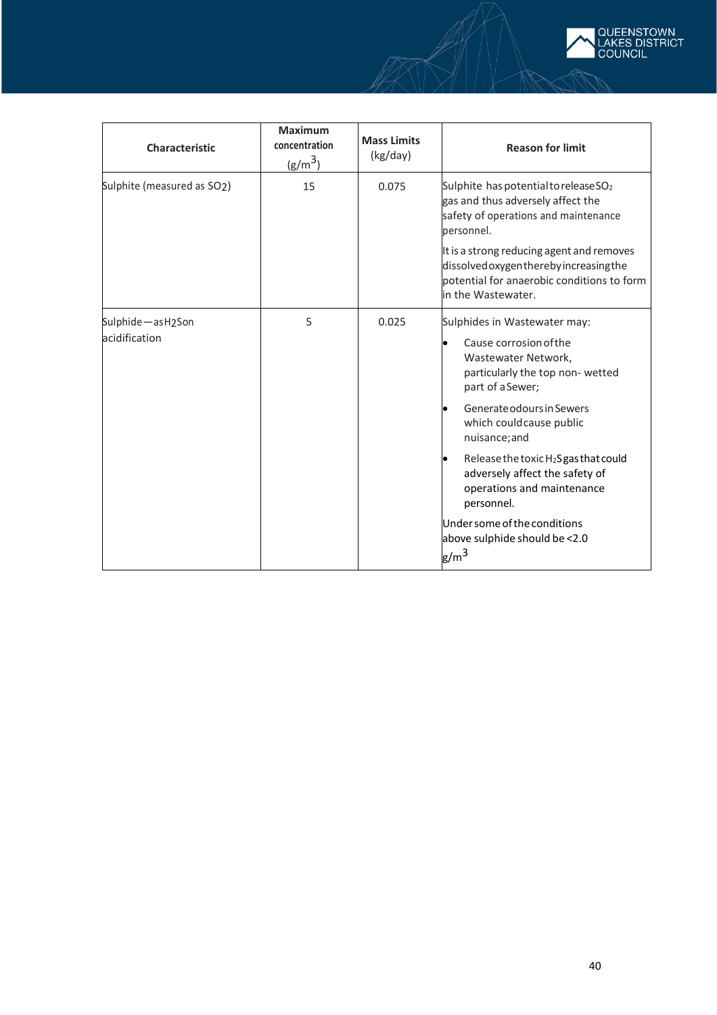

| <b>Maximum</b><br>concentration<br>$(g/m^3)$ | <b>Mass Limits</b><br>(kg/day) | <b>Reason for limit</b>                                                                                                                                                                                                                                                                                                                                                                                           |
|----------------------------------------------|--------------------------------|-------------------------------------------------------------------------------------------------------------------------------------------------------------------------------------------------------------------------------------------------------------------------------------------------------------------------------------------------------------------------------------------------------------------|
| 15                                           | 0.075                          | Sulphite has potential to release SO <sub>2</sub><br>gas and thus adversely affect the<br>safety of operations and maintenance<br>personnel.<br>It is a strong reducing agent and removes<br>dissolved oxygenthereby increasing the<br>potential for anaerobic conditions to form<br>in the Wastewater.                                                                                                           |
| 5                                            | 0.025                          | Sulphides in Wastewater may:<br>Cause corrosion of the<br>Wastewater Network,<br>particularly the top non-wetted<br>part of a Sewer;<br>Generate odours in Sewers<br>which couldcause public<br>nuisance; and<br>Release the toxic H <sub>2</sub> S gas that could<br>adversely affect the safety of<br>operations and maintenance<br>personnel.<br>Under some of the conditions<br>above sulphide should be <2.0 |
|                                              |                                |                                                                                                                                                                                                                                                                                                                                                                                                                   |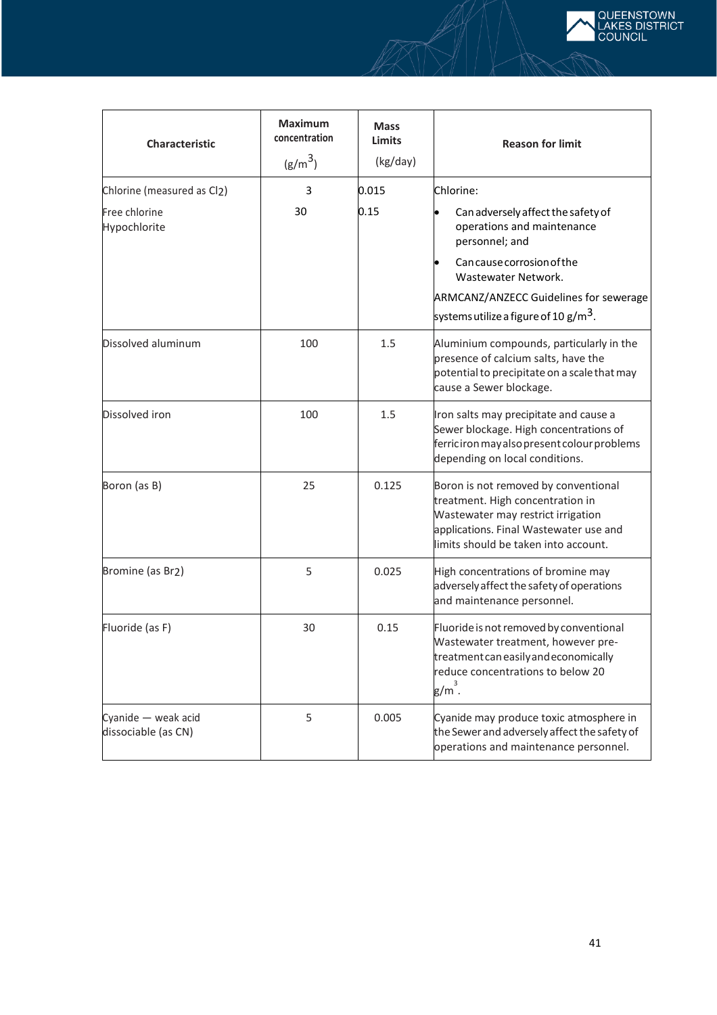

| <b>Characteristic</b>                      | <b>Maximum</b><br>concentration<br>$(g/m^3)$ | <b>Mass</b><br>Limits<br>(kg/day) | <b>Reason for limit</b>                                                                                                                                                                          |
|--------------------------------------------|----------------------------------------------|-----------------------------------|--------------------------------------------------------------------------------------------------------------------------------------------------------------------------------------------------|
| Chlorine (measured as Cl2)                 | 3                                            | 0.015                             | Chlorine:                                                                                                                                                                                        |
| Free chlorine<br>Hypochlorite              | 30                                           | 0.15                              | Can adversely affect the safety of<br>operations and maintenance<br>personnel; and                                                                                                               |
|                                            |                                              |                                   | Can cause corrosion of the<br>Wastewater Network.                                                                                                                                                |
|                                            |                                              |                                   | ARMCANZ/ANZECC Guidelines for sewerage<br>systems utilize a figure of 10 g/m <sup>3</sup> .                                                                                                      |
| Dissolved aluminum                         | 100                                          | 1.5                               | Aluminium compounds, particularly in the<br>presence of calcium salts, have the<br>potential to precipitate on a scale that may<br>cause a Sewer blockage.                                       |
| Dissolved iron                             | 100                                          | 1.5                               | Iron salts may precipitate and cause a<br>Sewer blockage. High concentrations of<br>ferriciron may also present colour problems<br>depending on local conditions.                                |
| Boron (as B)                               | 25                                           | 0.125                             | Boron is not removed by conventional<br>treatment. High concentration in<br>Wastewater may restrict irrigation<br>applications. Final Wastewater use and<br>limits should be taken into account. |
| Bromine (as Br2)                           | 5                                            | 0.025                             | High concentrations of bromine may<br>adversely affect the safety of operations<br>and maintenance personnel.                                                                                    |
| Fluoride (as F)                            | 30                                           | 0.15                              | Fluoride is not removed by conventional<br>Wastewater treatment, however pre-<br>treatment can easily and economically<br>reduce concentrations to below 20<br>$g/m^3$ .                         |
| Cyanide - weak acid<br>dissociable (as CN) | 5                                            | 0.005                             | Cyanide may produce toxic atmosphere in<br>the Sewer and adversely affect the safety of<br>operations and maintenance personnel.                                                                 |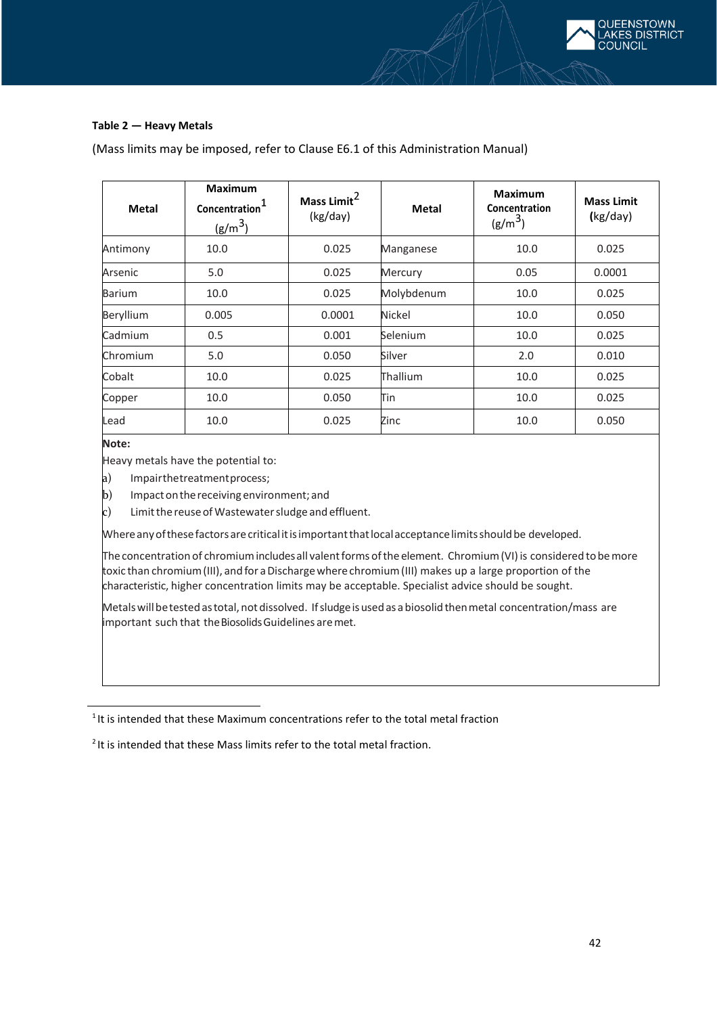

### **Table 2 — Heavy Metals**

| Metal     | <b>Maximum</b><br>Concentration <sup>1</sup><br>(g/m <sup>3</sup> ) | Mass Limit <sup>2</sup><br>(kg/day) | <b>Metal</b>  | <b>Maximum</b><br>Concentration<br>$(g/m^3)$ | <b>Mass Limit</b><br>(kg/day) |
|-----------|---------------------------------------------------------------------|-------------------------------------|---------------|----------------------------------------------|-------------------------------|
| Antimony  | 10.0                                                                | 0.025                               | Manganese     | 10.0                                         | 0.025                         |
| Arsenic   | 5.0                                                                 | 0.025                               | Mercury       | 0.05                                         | 0.0001                        |
| Barium    | 10.0                                                                | 0.025                               | Molybdenum    | 10.0                                         | 0.025                         |
| Beryllium | 0.005                                                               | 0.0001                              | <b>Nickel</b> | 10.0                                         | 0.050                         |
| Cadmium   | 0.5                                                                 | 0.001                               | Selenium      | 10.0                                         | 0.025                         |
| Chromium  | 5.0                                                                 | 0.050                               | Silver        | 2.0                                          | 0.010                         |
| Cobalt    | 10.0                                                                | 0.025                               | Thallium      | 10.0                                         | 0.025                         |
| Copper    | 10.0                                                                | 0.050                               | Tin           | 10.0                                         | 0.025                         |
| Lead      | 10.0                                                                | 0.025                               | Zinc          | 10.0                                         | 0.050                         |

(Mass limits may be imposed, refer to Clause E6.1 of this Administration Manual)

## **Note:**

Heavy metals have the potential to:

- a) Impairthetreatmentprocess;
- b) Impactonthereceiving environment; and
- $c)$  Limit the reuse of Wastewater sludge and effluent.

Whereanyofthesefactors arecriticalitisimportantthatlocalacceptancelimitsshouldbe developed.

The concentration of chromium includes all valent forms of the element. Chromium (VI) is considered to be more toxic than chromium (III), and for a Discharge where chromium (III) makes up a large proportion of the characteristic, higher concentration limits may be acceptable. Specialist advice should be sought.

Metals will be tested as total, not dissolved. If sludge is used as a biosolid then metal concentration/mass are important such that theBiosolids Guidelines aremet.

 $1$ It is intended that these Maximum concentrations refer to the total metal fraction

 $2$  It is intended that these Mass limits refer to the total metal fraction.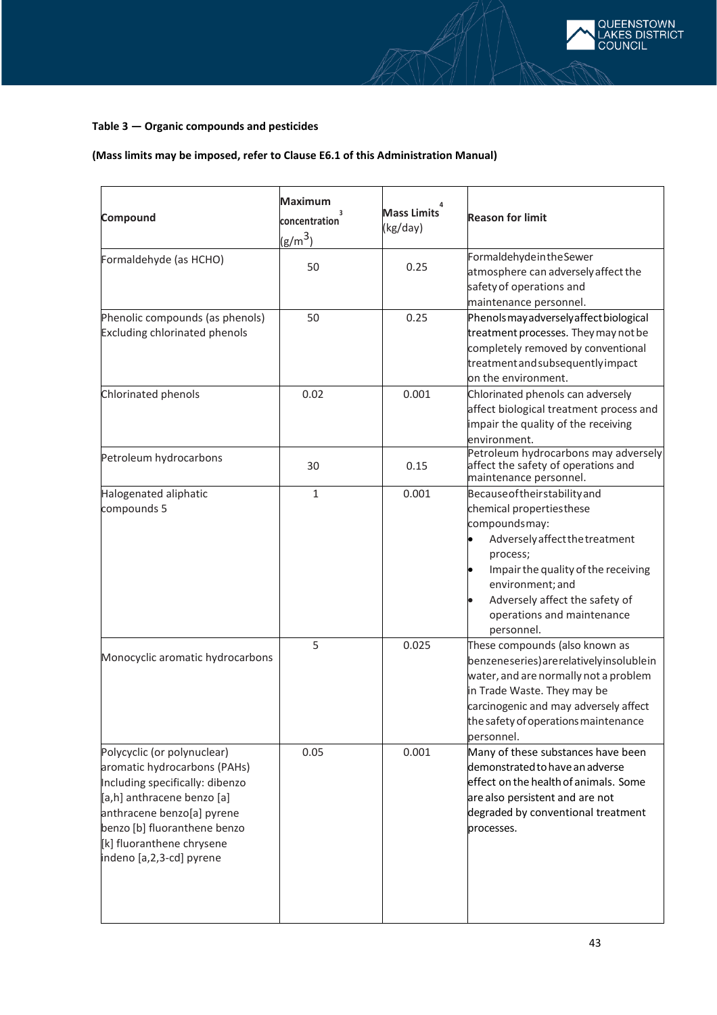### **Table 3 — Organic compounds and pesticides**

## **(Mass limits may be imposed, refer to Clause E6.1 of this Administration Manual)**

| Compound                                                                                                                                                                                                                                            | <b>Maximum</b><br>concentration<br>$(g/m^3)$ | <b>Mass Limits</b><br>(kg/day) | <b>Reason for limit</b>                                                                                                                                                                                                                                           |
|-----------------------------------------------------------------------------------------------------------------------------------------------------------------------------------------------------------------------------------------------------|----------------------------------------------|--------------------------------|-------------------------------------------------------------------------------------------------------------------------------------------------------------------------------------------------------------------------------------------------------------------|
| Formaldehyde (as HCHO)                                                                                                                                                                                                                              | 50                                           | 0.25                           | FormaldehydeintheSewer<br>atmosphere can adversely affect the<br>safety of operations and<br>maintenance personnel.                                                                                                                                               |
| Phenolic compounds (as phenols)<br><b>Excluding chlorinated phenols</b>                                                                                                                                                                             | 50                                           | 0.25                           | Phenols may adversely affect biological<br>treatment processes. They may not be<br>completely removed by conventional<br>treatment and subsequently impact<br>on the environment.                                                                                 |
| Chlorinated phenols                                                                                                                                                                                                                                 | 0.02                                         | 0.001                          | Chlorinated phenols can adversely<br>affect biological treatment process and<br>impair the quality of the receiving<br>environment.                                                                                                                               |
| Petroleum hydrocarbons                                                                                                                                                                                                                              | 30                                           | 0.15                           | Petroleum hydrocarbons may adversely<br>affect the safety of operations and<br>maintenance personnel.                                                                                                                                                             |
| Halogenated aliphatic<br>compounds 5                                                                                                                                                                                                                | $\mathbf{1}$                                 | 0.001                          | Because of theirstability and<br>chemical propertiesthese<br>compoundsmay:<br>Adversely affect the treatment<br>process;<br>Impair the quality of the receiving<br>environment; and<br>Adversely affect the safety of<br>operations and maintenance<br>personnel. |
| Monocyclic aromatic hydrocarbons                                                                                                                                                                                                                    | 5                                            | 0.025                          | These compounds (also known as<br>benzeneseries) arerelativelyinsolublein<br>water, and are normally not a problem<br>in Trade Waste. They may be<br>carcinogenic and may adversely affect<br>the safety of operations maintenance<br>personnel.                  |
| Polycyclic (or polynuclear)<br>aromatic hydrocarbons (PAHs)<br>Including specifically: dibenzo<br>[a,h] anthracene benzo [a]<br>anthracene benzo[a] pyrene<br>benzo [b] fluoranthene benzo<br>[k] fluoranthene chrysene<br>indeno [a,2,3-cd] pyrene | 0.05                                         | 0.001                          | Many of these substances have been<br>demonstrated to have an adverse<br>effect on the health of animals. Some<br>are also persistent and are not<br>degraded by conventional treatment<br>processes.                                                             |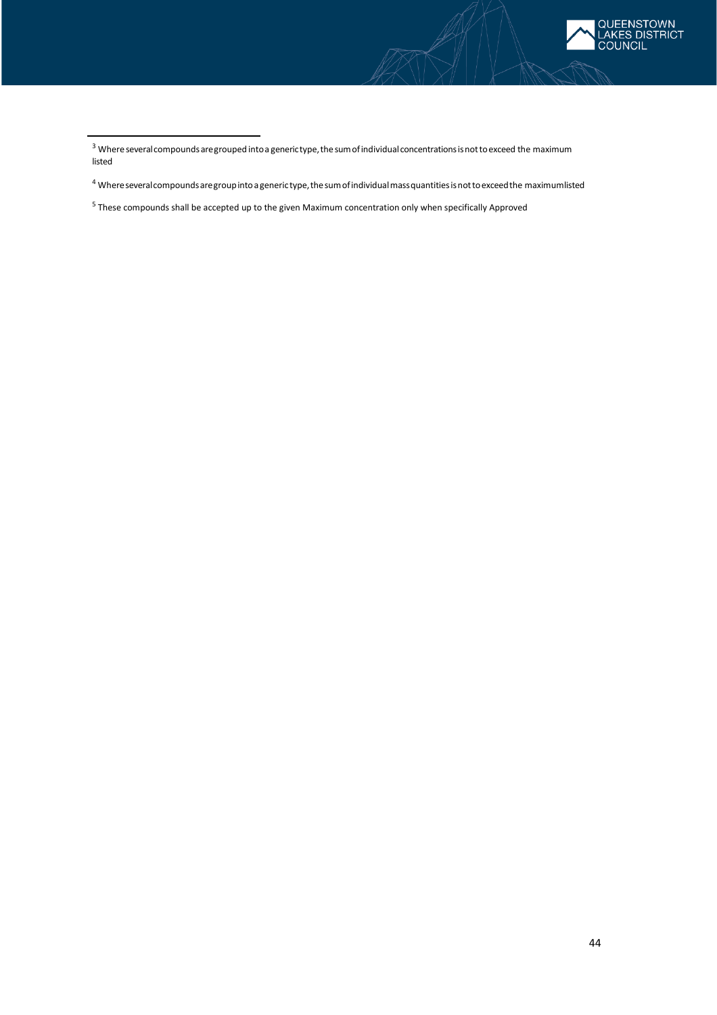

<sup>5</sup> These compounds shall be accepted up to the given Maximum concentration only when specifically Approved

 $3$  Where several compounds are grouped into a generictype, the sum of individual concentrations is not to exceed the maximum listed

<sup>4</sup> Whereseveralcompoundsaregroupintoagenerictype,thesumofindividualmassquantitiesisnottoexceedthe maximumlisted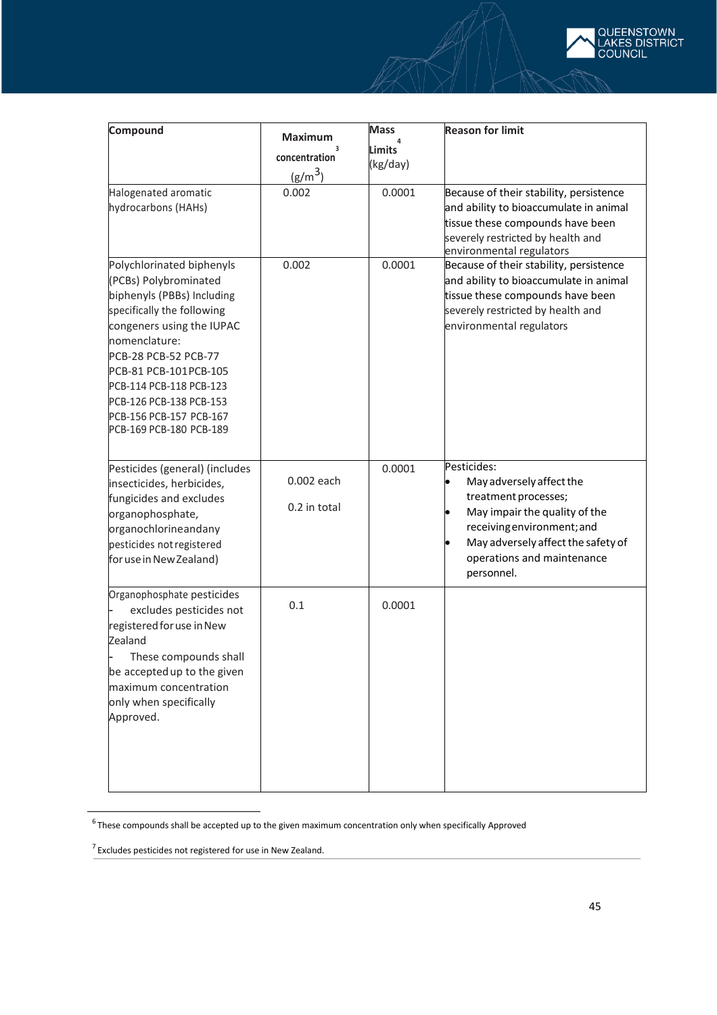

 $6$ These compounds shall be accepted up to the given maximum concentration only when specifically Approved

**EENSTOWN** *CES DISTRICT* 

 $7$  Excludes pesticides not registered for use in New Zealand.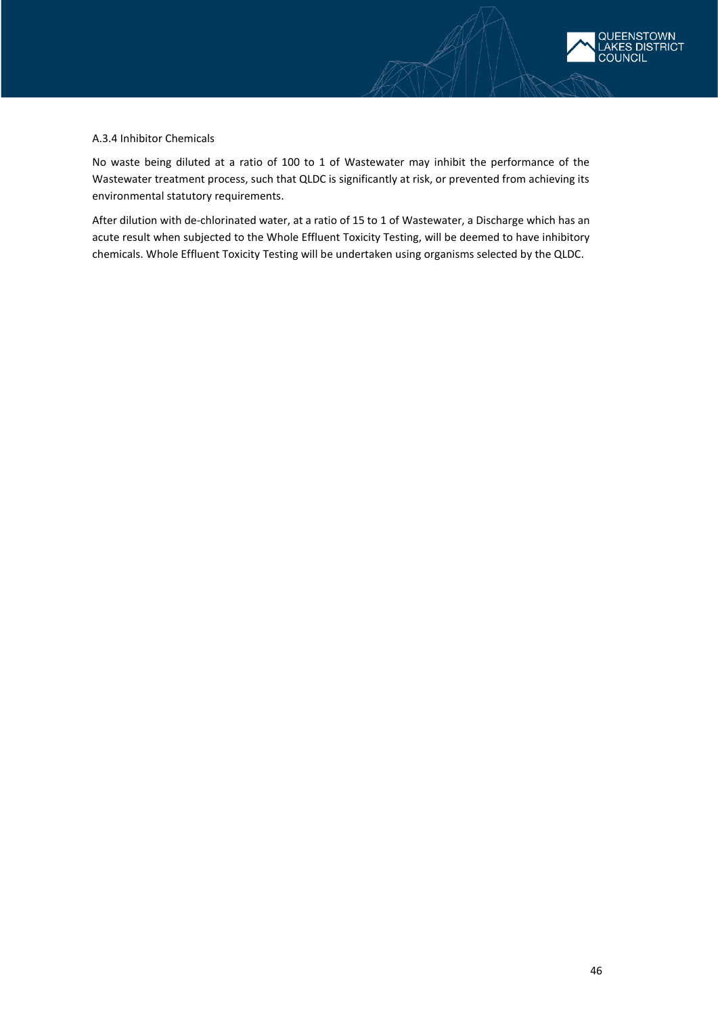

### A.3.4 Inhibitor Chemicals

No waste being diluted at a ratio of 100 to 1 of Wastewater may inhibit the performance of the Wastewater treatment process, such that QLDC is significantly at risk, or prevented from achieving its environmental statutory requirements.

After dilution with de-chlorinated water, at a ratio of 15 to 1 of Wastewater, a Discharge which has an acute result when subjected to the Whole Effluent Toxicity Testing, will be deemed to have inhibitory chemicals. Whole Effluent Toxicity Testing will be undertaken using organisms selected by the QLDC.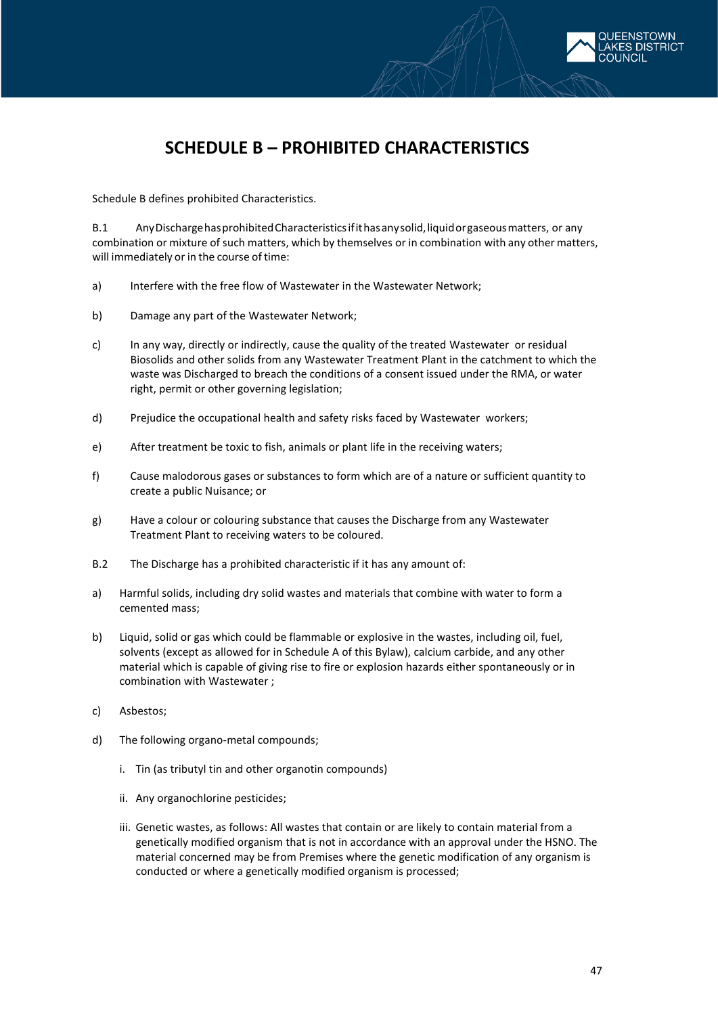

# **SCHEDULE B – PROHIBITED CHARACTERISTICS**

Schedule B defines prohibited Characteristics.

B.1 AnyDischargehasprohibitedCharacteristicsifithasanysolid,liquidorgaseousmatters, or any combination or mixture of such matters, which by themselves or in combination with any other matters, will immediately or in the course of time:

- a) Interfere with the free flow of Wastewater in the Wastewater Network;
- b) Damage any part of the Wastewater Network;
- c) In any way, directly or indirectly, cause the quality of the treated Wastewater or residual Biosolids and other solids from any Wastewater Treatment Plant in the catchment to which the waste was Discharged to breach the conditions of a consent issued under the RMA, or water right, permit or other governing legislation;
- d) Prejudice the occupational health and safety risks faced by Wastewater workers;
- e) After treatment be toxic to fish, animals or plant life in the receiving waters;
- f) Cause malodorous gases or substances to form which are of a nature or sufficient quantity to create a public Nuisance; or
- g) Have a colour or colouring substance that causes the Discharge from any Wastewater Treatment Plant to receiving waters to be coloured.
- B.2 The Discharge has a prohibited characteristic if it has any amount of:
- a) Harmful solids, including dry solid wastes and materials that combine with water to form a cemented mass;
- b) Liquid, solid or gas which could be flammable or explosive in the wastes, including oil, fuel, solvents (except as allowed for in Schedule A of this Bylaw), calcium carbide, and any other material which is capable of giving rise to fire or explosion hazards either spontaneously or in combination with Wastewater ;
- c) Asbestos;
- d) The following organo-metal compounds;
	- i. Tin (as tributyl tin and other organotin compounds)
	- ii. Any organochlorine pesticides;
	- iii. Genetic wastes, as follows: All wastes that contain or are likely to contain material from a genetically modified organism that is not in accordance with an approval under the HSNO. The material concerned may be from Premises where the genetic modification of any organism is conducted or where a genetically modified organism is processed;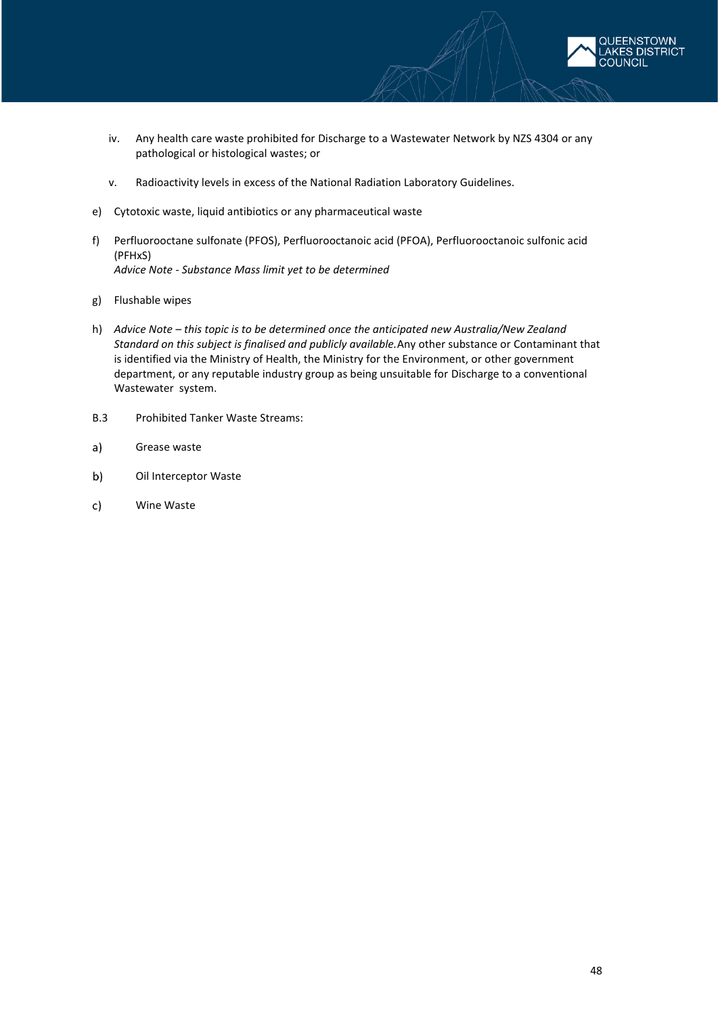

- iv. Any health care waste prohibited for Discharge to a Wastewater Network by NZS 4304 or any pathological or histological wastes; or
- v. Radioactivity levels in excess of the National Radiation Laboratory Guidelines.
- e) Cytotoxic waste, liquid antibiotics or any pharmaceutical waste
- f) Perfluorooctane sulfonate (PFOS), Perfluorooctanoic acid (PFOA), Perfluorooctanoic sulfonic acid (PFHxS) *Advice Note - Substance Mass limit yet to be determined*
- g) Flushable wipes
- h) *Advice Note – this topic is to be determined once the anticipated new Australia/New Zealand Standard on this subject is finalised and publicly available.*Any other substance or Contaminant that is identified via the Ministry of Health, the Ministry for the Environment, or other government department, or any reputable industry group as being unsuitable for Discharge to a conventional Wastewater system.
- B.3 Prohibited Tanker Waste Streams:
- $a)$ Grease waste
- b) Oil Interceptor Waste
- $c)$ Wine Waste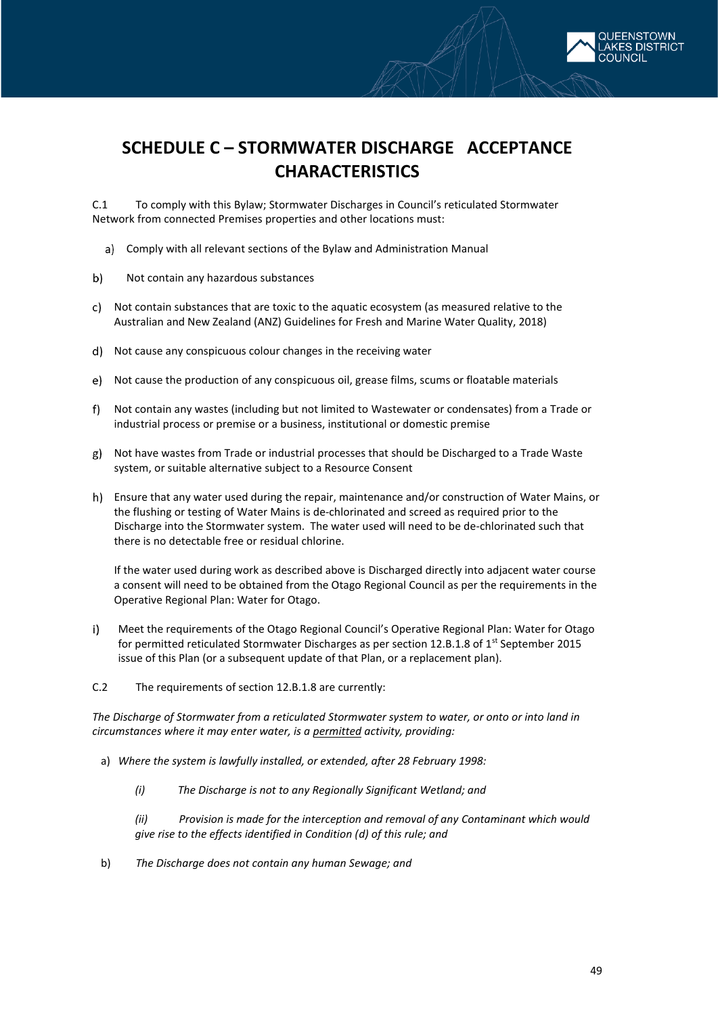

C.1 To comply with this Bylaw; Stormwater Discharges in Council's reticulated Stormwater Network from connected Premises properties and other locations must:

- Comply with all relevant sections of the Bylaw and Administration Manual
- $b)$ Not contain any hazardous substances
- Not contain substances that are toxic to the aquatic ecosystem (as measured relative to the Australian and New Zealand (ANZ) Guidelines for Fresh and Marine Water Quality, 2018)
- Not cause any conspicuous colour changes in the receiving water
- Not cause the production of any conspicuous oil, grease films, scums or floatable materials
- Not contain any wastes (including but not limited to Wastewater or condensates) from a Trade or industrial process or premise or a business, institutional or domestic premise
- Not have wastes from Trade or industrial processes that should be Discharged to a Trade Waste system, or suitable alternative subject to a Resource Consent
- Ensure that any water used during the repair, maintenance and/or construction of Water Mains, or the flushing or testing of Water Mains is de-chlorinated and screed as required prior to the Discharge into the Stormwater system. The water used will need to be de-chlorinated such that there is no detectable free or residual chlorine.

If the water used during work as described above is Discharged directly into adjacent water course a consent will need to be obtained from the Otago Regional Council as per the requirements in the Operative Regional Plan: Water for Otago.

- $i)$ Meet the requirements of the Otago Regional Council's Operative Regional Plan: Water for Otago for permitted reticulated Stormwater Discharges as per section 12.B.1.8 of 1<sup>st</sup> September 2015 issue of this Plan (or a subsequent update of that Plan, or a replacement plan).
- C.2 The requirements of section 12.B.1.8 are currently:

*The Discharge of Stormwater from a reticulated Stormwater system to water, or onto or into land in circumstances where it may enter water, is a permitted activity, providing:* 

- a) *Where the system is lawfully installed, or extended, after 28 February 1998:* 
	- *(i) The Discharge is not to any Regionally Significant Wetland; and*

*(ii) Provision is made for the interception and removal of any Contaminant which would give rise to the effects identified in Condition (d) of this rule; and* 

b) *The Discharge does not contain any human Sewage; and* 

**FNSTOWN DISTRICT**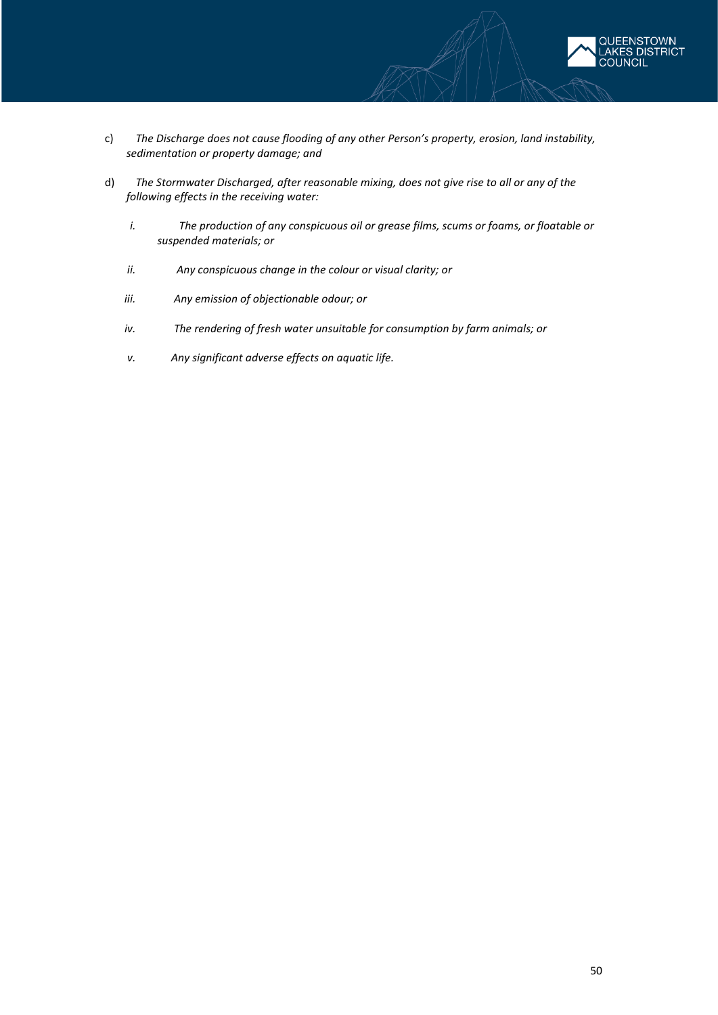

- c) *The Discharge does not cause flooding of any other Person's property, erosion, land instability, sedimentation or property damage; and*
- d) *The Stormwater Discharged, after reasonable mixing, does not give rise to all or any of the following effects in the receiving water:* 
	- *i. The production of any conspicuous oil or grease films, scums or foams, or floatable or suspended materials; or*
	- *ii. Any conspicuous change in the colour or visual clarity; or*
	- *iii. Any emission of objectionable odour; or*
	- *iv. The rendering of fresh water unsuitable for consumption by farm animals; or*
	- *v. Any significant adverse effects on aquatic life.*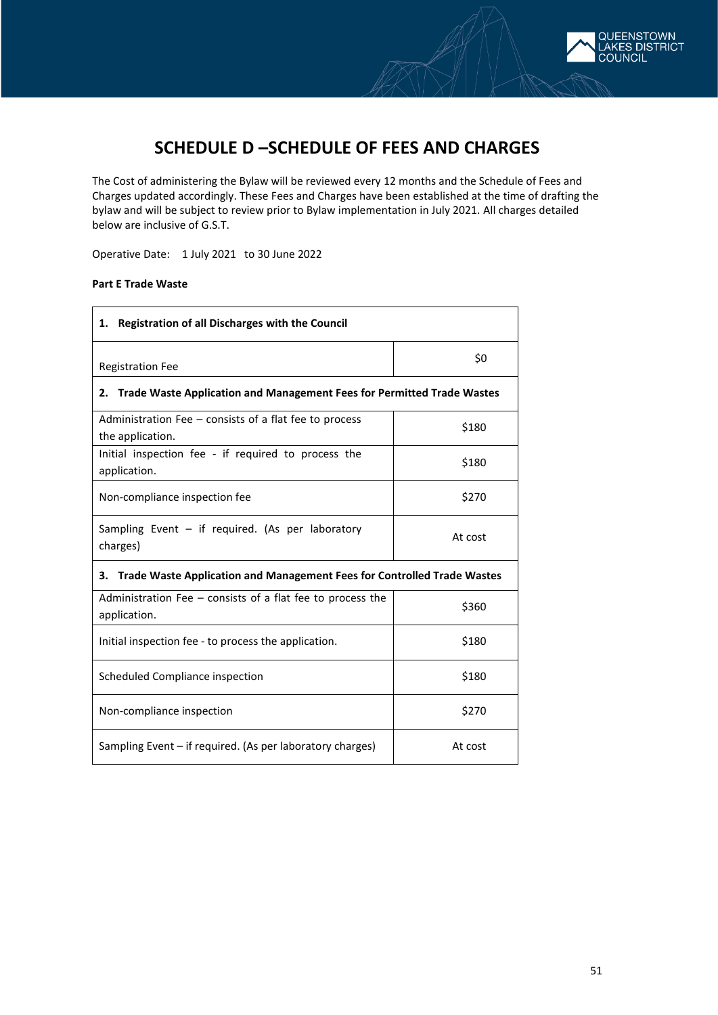

The Cost of administering the Bylaw will be reviewed every 12 months and the Schedule of Fees and Charges updated accordingly. These Fees and Charges have been established at the time of drafting the bylaw and will be subject to review prior to Bylaw implementation in July 2021. All charges detailed below are inclusive of G.S.T.

Operative Date: 1 July 2021 to 30 June 2022

### **Part E Trade Waste**

| <b>Registration of all Discharges with the Council</b><br>1.                         |         |  |  |  |
|--------------------------------------------------------------------------------------|---------|--|--|--|
| <b>Registration Fee</b>                                                              | \$0     |  |  |  |
| <b>Trade Waste Application and Management Fees for Permitted Trade Wastes</b><br>2.  |         |  |  |  |
| Administration Fee – consists of a flat fee to process<br>the application.           | \$180   |  |  |  |
| Initial inspection fee - if required to process the<br>application.                  | \$180   |  |  |  |
| Non-compliance inspection fee                                                        | \$270   |  |  |  |
| Sampling Event - if required. (As per laboratory<br>At cost<br>charges)              |         |  |  |  |
| <b>Trade Waste Application and Management Fees for Controlled Trade Wastes</b><br>З. |         |  |  |  |
| Administration Fee $-$ consists of a flat fee to process the<br>application.         | \$360   |  |  |  |
| Initial inspection fee - to process the application.                                 | \$180   |  |  |  |
| Scheduled Compliance inspection                                                      | \$180   |  |  |  |
| \$270<br>Non-compliance inspection                                                   |         |  |  |  |
| Sampling Event – if required. (As per laboratory charges)                            | At cost |  |  |  |

QUEENSTOWN AKES DISTRICT **COUNCIL**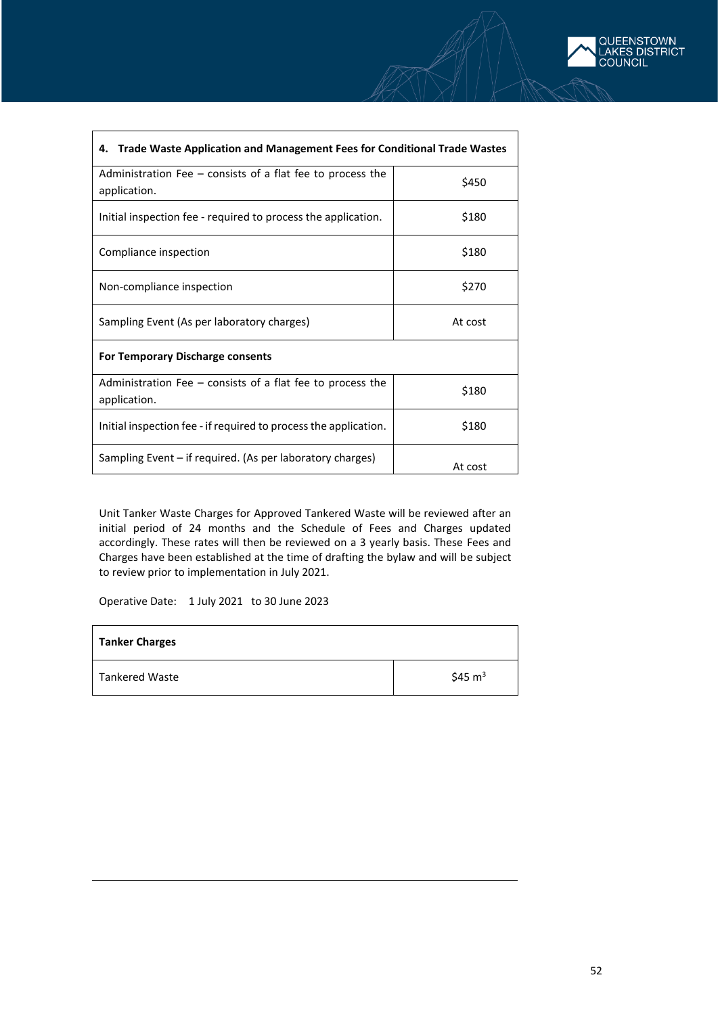| Trade Waste Application and Management Fees for Conditional Trade Wastes<br>4. |         |  |  |  |
|--------------------------------------------------------------------------------|---------|--|--|--|
| Administration Fee $-$ consists of a flat fee to process the<br>application.   | \$450   |  |  |  |
| Initial inspection fee - required to process the application.                  | \$180   |  |  |  |
| Compliance inspection                                                          | \$180   |  |  |  |
| Non-compliance inspection                                                      | \$270   |  |  |  |
| Sampling Event (As per laboratory charges)<br>At cost                          |         |  |  |  |
| <b>For Temporary Discharge consents</b>                                        |         |  |  |  |
| Administration Fee $-$ consists of a flat fee to process the<br>application.   | \$180   |  |  |  |
| Initial inspection fee - if required to process the application.               | \$180   |  |  |  |
| Sampling Event – if required. (As per laboratory charges)                      | At cost |  |  |  |

Unit Tanker Waste Charges for Approved Tankered Waste will be reviewed after an initial period of 24 months and the Schedule of Fees and Charges updated accordingly. These rates will then be reviewed on a 3 yearly basis. These Fees and Charges have been established at the time of drafting the bylaw and will be subject to review prior to implementation in July 2021.

Operative Date: 1 July 2021 to 30 June 2023

| <b>Tanker Charges</b> |                   |
|-----------------------|-------------------|
| Tankered Waste        | $$45 \text{ m}^3$ |